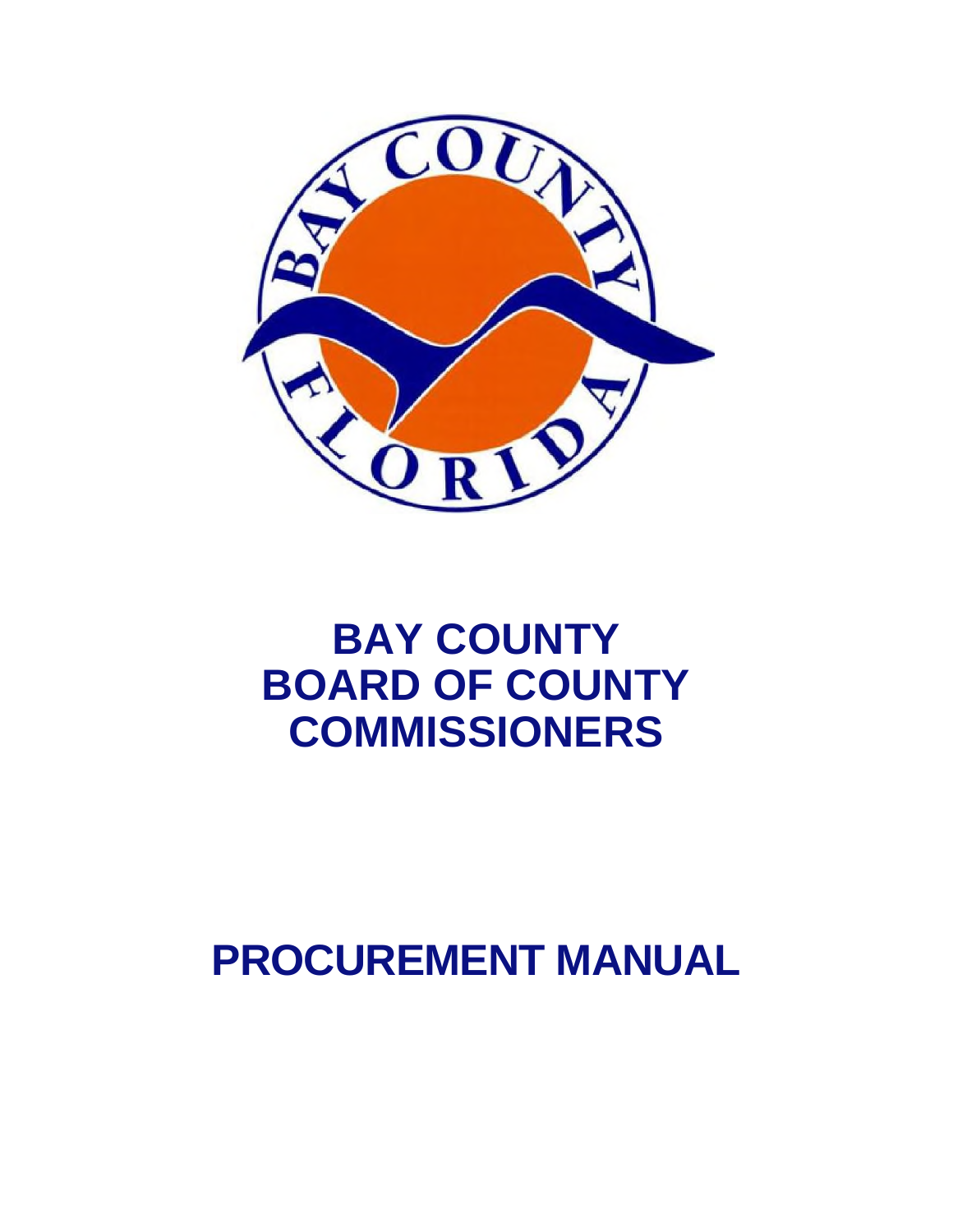

# **BAY COUNTY BOARD OF COUNTY COMMISSIONERS**

# **PROCUREMENT MANUAL**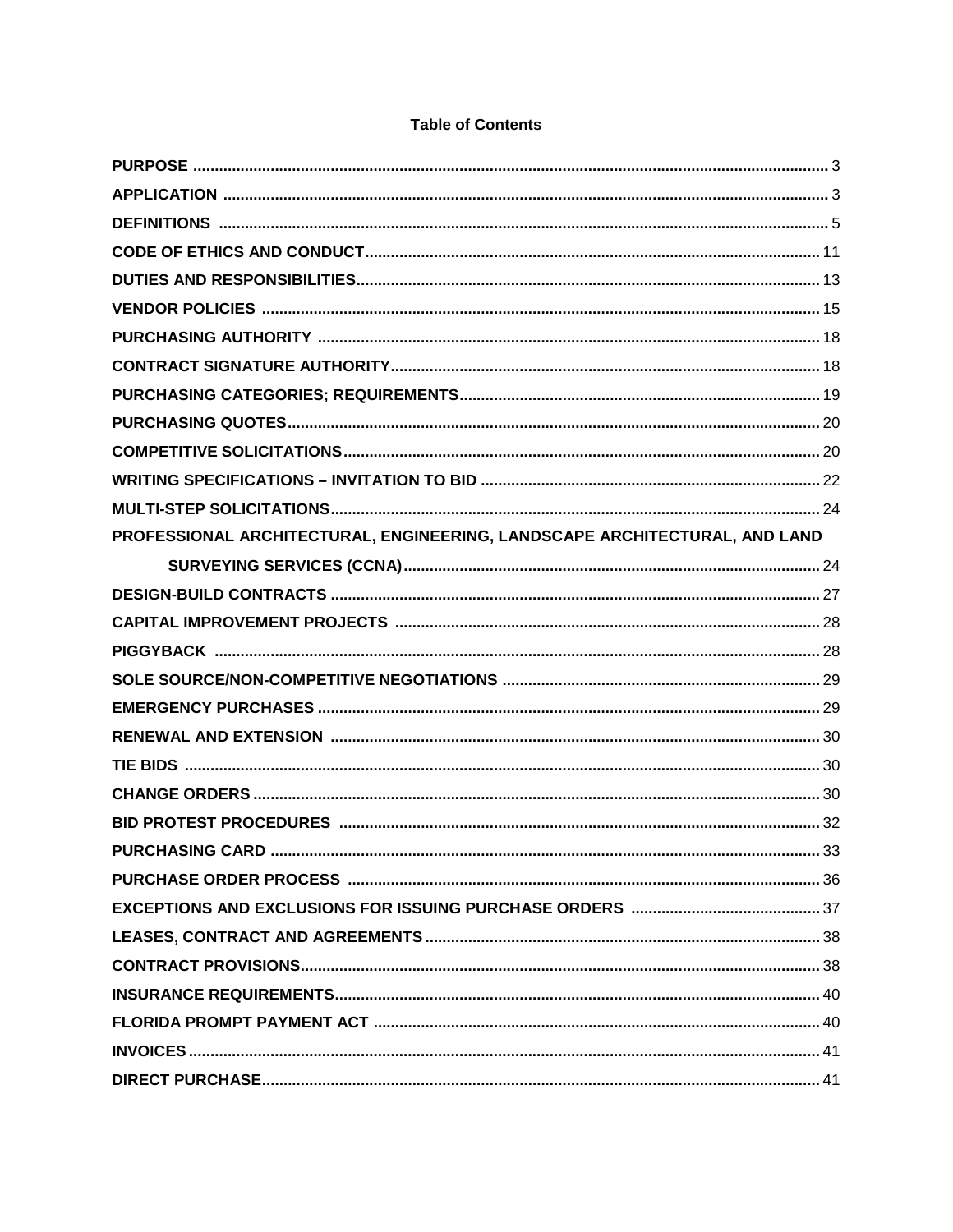| PROFESSIONAL ARCHITECTURAL, ENGINEERING, LANDSCAPE ARCHITECTURAL, AND LAND |     |
|----------------------------------------------------------------------------|-----|
|                                                                            |     |
|                                                                            |     |
|                                                                            |     |
|                                                                            |     |
|                                                                            |     |
|                                                                            |     |
|                                                                            |     |
|                                                                            |     |
|                                                                            |     |
|                                                                            |     |
| <b>PURCHASING CARD</b>                                                     | .33 |
|                                                                            |     |
|                                                                            |     |
|                                                                            |     |
|                                                                            |     |
|                                                                            |     |
|                                                                            |     |
|                                                                            |     |
|                                                                            |     |

#### **Table of Contents**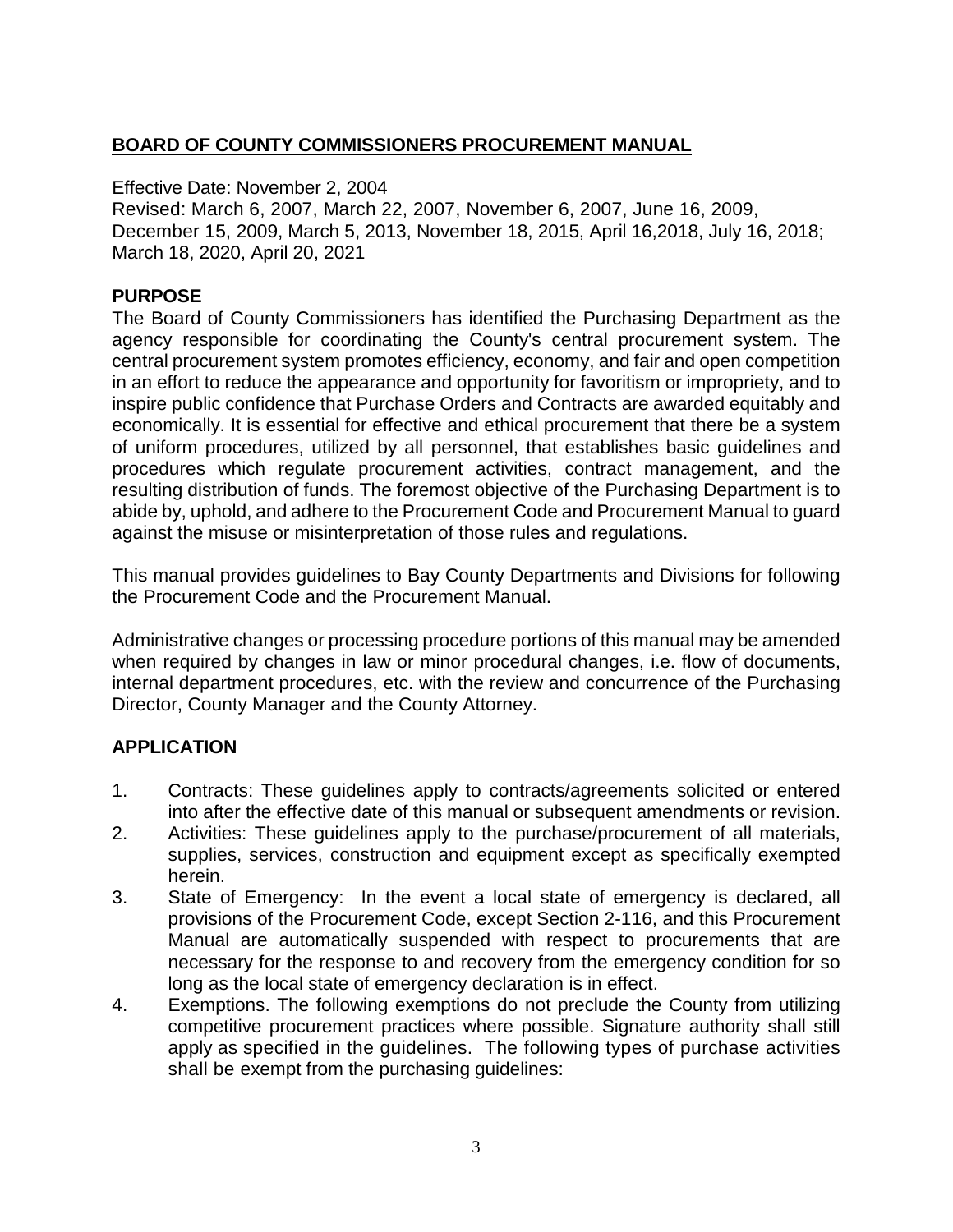# **BOARD OF COUNTY COMMISSIONERS PROCUREMENT MANUAL**

Effective Date: November 2, 2004

Revised: March 6, 2007, March 22, 2007, November 6, 2007, June 16, 2009, December 15, 2009, March 5, 2013, November 18, 2015, April 16,2018, July 16, 2018; March 18, 2020, April 20, 2021

#### **PURPOSE**

The Board of County Commissioners has identified the Purchasing Department as the agency responsible for coordinating the County's central procurement system. The central procurement system promotes efficiency, economy, and fair and open competition in an effort to reduce the appearance and opportunity for favoritism or impropriety, and to inspire public confidence that Purchase Orders and Contracts are awarded equitably and economically. It is essential for effective and ethical procurement that there be a system of uniform procedures, utilized by all personnel, that establishes basic guidelines and procedures which regulate procurement activities, contract management, and the resulting distribution of funds. The foremost objective of the Purchasing Department is to abide by, uphold, and adhere to the Procurement Code and Procurement Manual to guard against the misuse or misinterpretation of those rules and regulations.

This manual provides guidelines to Bay County Departments and Divisions for following the Procurement Code and the Procurement Manual.

Administrative changes or processing procedure portions of this manual may be amended when required by changes in law or minor procedural changes, i.e. flow of documents, internal department procedures, etc. with the review and concurrence of the Purchasing Director, County Manager and the County Attorney.

# **APPLICATION**

- 1. Contracts: These guidelines apply to contracts/agreements solicited or entered into after the effective date of this manual or subsequent amendments or revision.
- 2. Activities: These guidelines apply to the purchase/procurement of all materials, supplies, services, construction and equipment except as specifically exempted herein.
- 3. State of Emergency: In the event a local state of emergency is declared, all provisions of the Procurement Code, except Section 2-116, and this Procurement Manual are automatically suspended with respect to procurements that are necessary for the response to and recovery from the emergency condition for so long as the local state of emergency declaration is in effect.
- 4. Exemptions. The following exemptions do not preclude the County from utilizing competitive procurement practices where possible. Signature authority shall still apply as specified in the guidelines. The following types of purchase activities shall be exempt from the purchasing guidelines: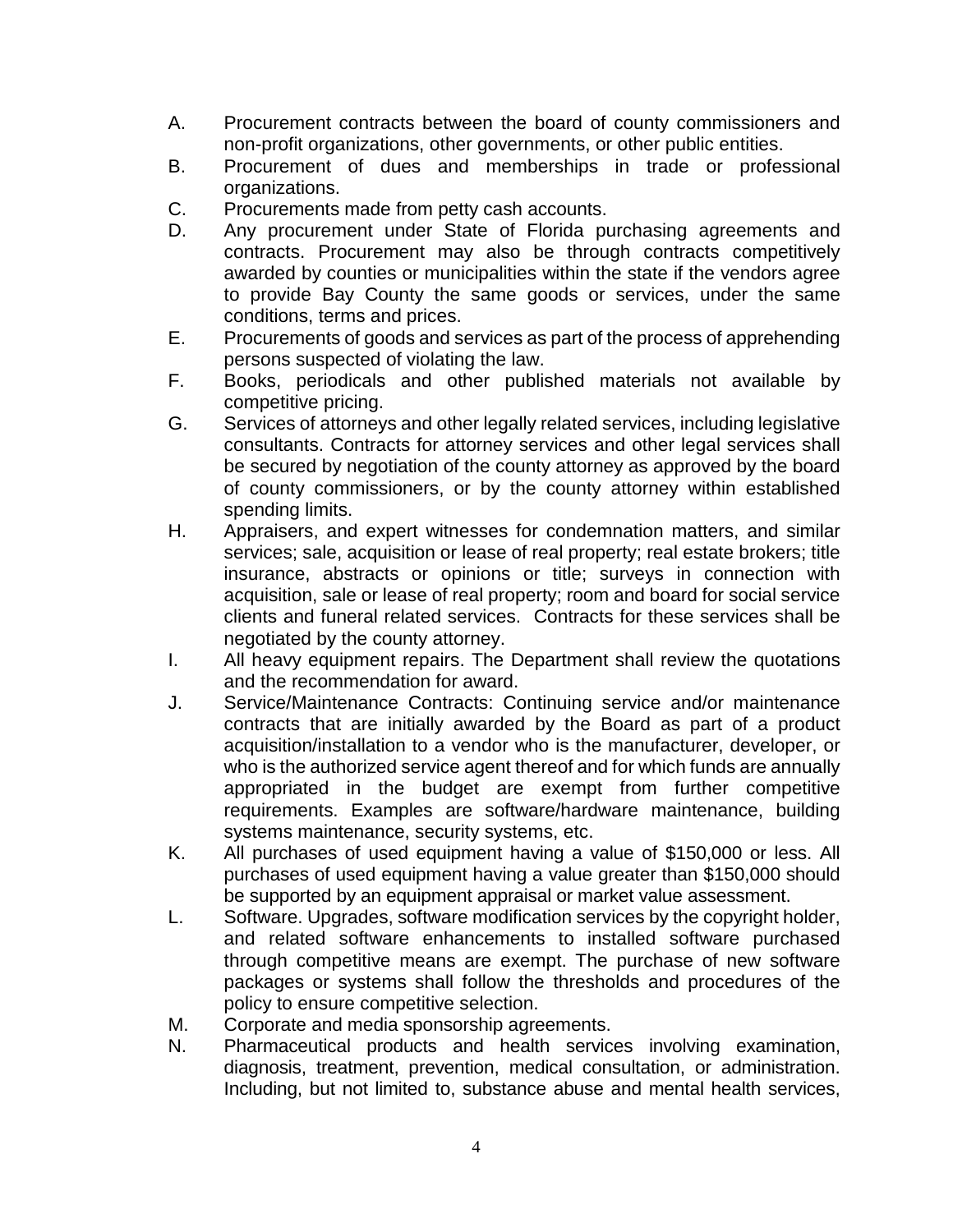- A. Procurement contracts between the board of county commissioners and non-profit organizations, other governments, or other public entities.
- B. Procurement of dues and memberships in trade or professional organizations.
- C. Procurements made from petty cash accounts.
- D. Any procurement under State of Florida purchasing agreements and contracts. Procurement may also be through contracts competitively awarded by counties or municipalities within the state if the vendors agree to provide Bay County the same goods or services, under the same conditions, terms and prices.
- E. Procurements of goods and services as part of the process of apprehending persons suspected of violating the law.
- F. Books, periodicals and other published materials not available by competitive pricing.
- G. Services of attorneys and other legally related services, including legislative consultants. Contracts for attorney services and other legal services shall be secured by negotiation of the county attorney as approved by the board of county commissioners, or by the county attorney within established spending limits.
- H. Appraisers, and expert witnesses for condemnation matters, and similar services; sale, acquisition or lease of real property; real estate brokers; title insurance, abstracts or opinions or title; surveys in connection with acquisition, sale or lease of real property; room and board for social service clients and funeral related services. Contracts for these services shall be negotiated by the county attorney.
- I. All heavy equipment repairs. The Department shall review the quotations and the recommendation for award.
- J. Service/Maintenance Contracts: Continuing service and/or maintenance contracts that are initially awarded by the Board as part of a product acquisition/installation to a vendor who is the manufacturer, developer, or who is the authorized service agent thereof and for which funds are annually appropriated in the budget are exempt from further competitive requirements. Examples are software/hardware maintenance, building systems maintenance, security systems, etc.
- K. All purchases of used equipment having a value of \$150,000 or less. All purchases of used equipment having a value greater than \$150,000 should be supported by an equipment appraisal or market value assessment.
- L. Software. Upgrades, software modification services by the copyright holder, and related software enhancements to installed software purchased through competitive means are exempt. The purchase of new software packages or systems shall follow the thresholds and procedures of the policy to ensure competitive selection.
- M. Corporate and media sponsorship agreements.
- N. Pharmaceutical products and health services involving examination, diagnosis, treatment, prevention, medical consultation, or administration. Including, but not limited to, substance abuse and mental health services,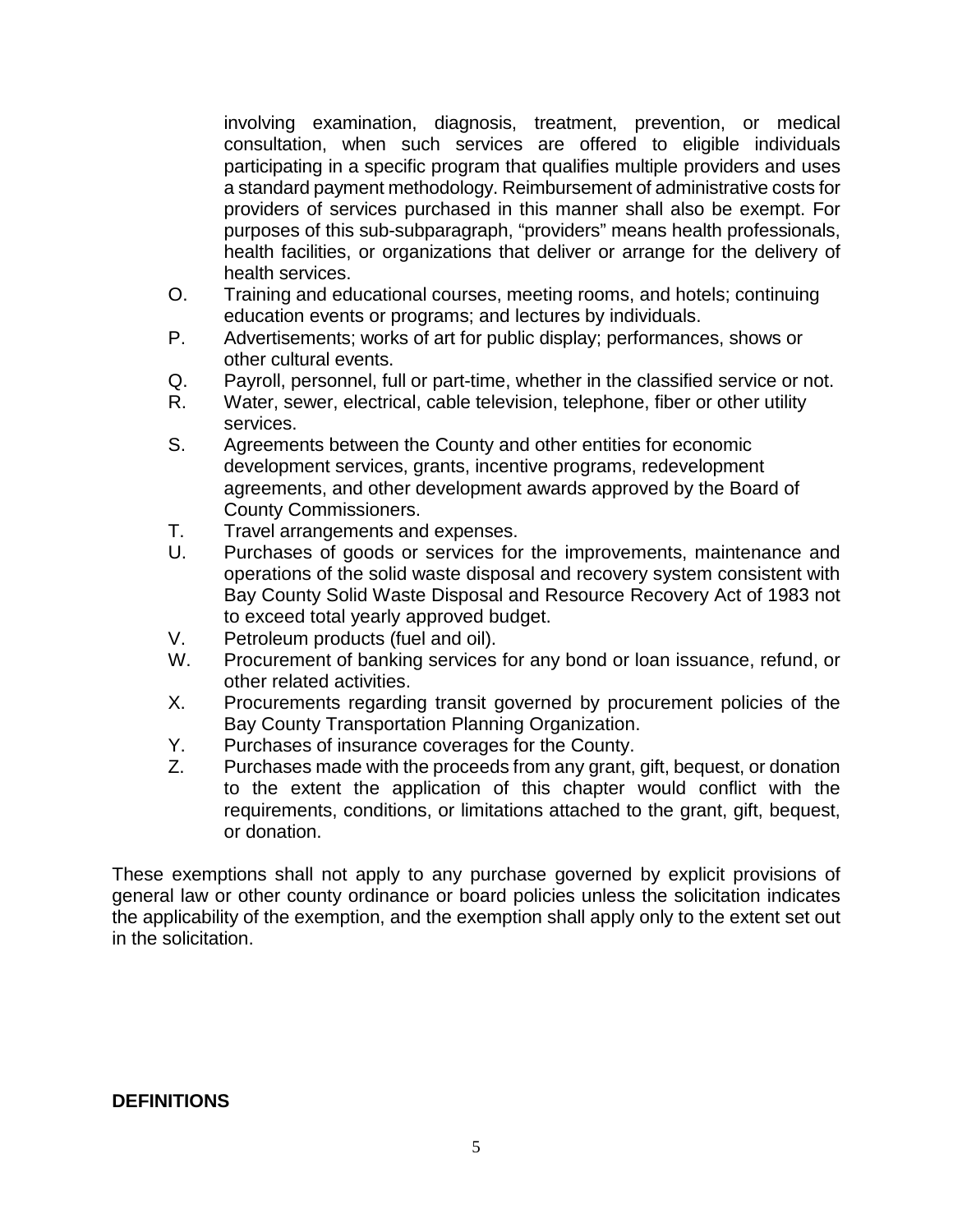involving examination, diagnosis, treatment, prevention, or medical consultation, when such services are offered to eligible individuals participating in a specific program that qualifies multiple providers and uses a standard payment methodology. Reimbursement of administrative costs for providers of services purchased in this manner shall also be exempt. For purposes of this sub-subparagraph, "providers" means health professionals, health facilities, or organizations that deliver or arrange for the delivery of health services.

- O. Training and educational courses, meeting rooms, and hotels; continuing education events or programs; and lectures by individuals.
- P. Advertisements; works of art for public display; performances, shows or other cultural events.
- Q. Payroll, personnel, full or part-time, whether in the classified service or not.
- R. Water, sewer, electrical, cable television, telephone, fiber or other utility services.
- S. Agreements between the County and other entities for economic development services, grants, incentive programs, redevelopment agreements, and other development awards approved by the Board of County Commissioners.
- T. Travel arrangements and expenses.
- U. Purchases of goods or services for the improvements, maintenance and operations of the solid waste disposal and recovery system consistent with Bay County Solid Waste Disposal and Resource Recovery Act of 1983 not to exceed total yearly approved budget.
- V. Petroleum products (fuel and oil).
- W. Procurement of banking services for any bond or loan issuance, refund, or other related activities.
- X. Procurements regarding transit governed by procurement policies of the Bay County Transportation Planning Organization.
- Y. Purchases of insurance coverages for the County.
- Z. Purchases made with the proceeds from any grant, gift, bequest, or donation to the extent the application of this chapter would conflict with the requirements, conditions, or limitations attached to the grant, gift, bequest, or donation.

These exemptions shall not apply to any purchase governed by explicit provisions of general law or other county ordinance or board policies unless the solicitation indicates the applicability of the exemption, and the exemption shall apply only to the extent set out in the solicitation.

# **DEFINITIONS**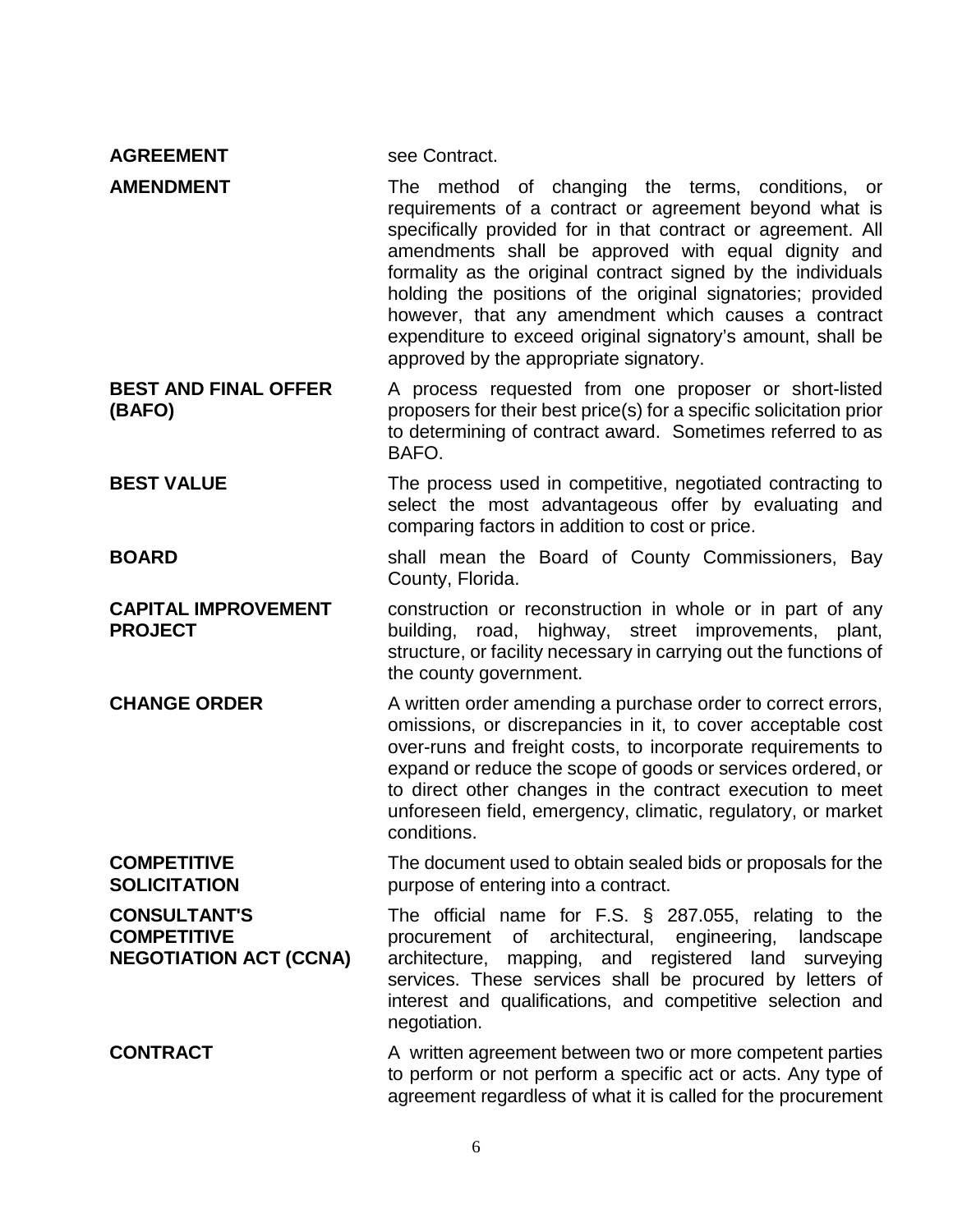| <b>AGREEMENT</b>                                                           | see Contract.                                                                                                                                                                                                                                                                                                                                                                                                                                                                                                                    |
|----------------------------------------------------------------------------|----------------------------------------------------------------------------------------------------------------------------------------------------------------------------------------------------------------------------------------------------------------------------------------------------------------------------------------------------------------------------------------------------------------------------------------------------------------------------------------------------------------------------------|
| <b>AMENDMENT</b>                                                           | The method of changing the terms, conditions, or<br>requirements of a contract or agreement beyond what is<br>specifically provided for in that contract or agreement. All<br>amendments shall be approved with equal dignity and<br>formality as the original contract signed by the individuals<br>holding the positions of the original signatories; provided<br>however, that any amendment which causes a contract<br>expenditure to exceed original signatory's amount, shall be<br>approved by the appropriate signatory. |
| <b>BEST AND FINAL OFFER</b><br>(BAFO)                                      | A process requested from one proposer or short-listed<br>proposers for their best price(s) for a specific solicitation prior<br>to determining of contract award. Sometimes referred to as<br>BAFO.                                                                                                                                                                                                                                                                                                                              |
| <b>BEST VALUE</b>                                                          | The process used in competitive, negotiated contracting to<br>select the most advantageous offer by evaluating and<br>comparing factors in addition to cost or price.                                                                                                                                                                                                                                                                                                                                                            |
| <b>BOARD</b>                                                               | shall mean the Board of County Commissioners, Bay<br>County, Florida.                                                                                                                                                                                                                                                                                                                                                                                                                                                            |
| <b>CAPITAL IMPROVEMENT</b><br><b>PROJECT</b>                               | construction or reconstruction in whole or in part of any<br>building, road, highway, street improvements, plant,<br>structure, or facility necessary in carrying out the functions of<br>the county government.                                                                                                                                                                                                                                                                                                                 |
| <b>CHANGE ORDER</b>                                                        | A written order amending a purchase order to correct errors,<br>omissions, or discrepancies in it, to cover acceptable cost<br>over-runs and freight costs, to incorporate requirements to<br>expand or reduce the scope of goods or services ordered, or<br>to direct other changes in the contract execution to meet<br>unforeseen field, emergency, climatic, regulatory, or market<br>conditions.                                                                                                                            |
| <b>COMPETITIVE</b><br><b>SOLICITATION</b>                                  | The document used to obtain sealed bids or proposals for the<br>purpose of entering into a contract.                                                                                                                                                                                                                                                                                                                                                                                                                             |
| <b>CONSULTANT'S</b><br><b>COMPETITIVE</b><br><b>NEGOTIATION ACT (CCNA)</b> | The official name for $F.S. \S$ 287.055, relating to the<br>procurement of architectural, engineering, landscape<br>architecture, mapping, and registered land<br>surveying<br>services. These services shall be procured by letters of<br>interest and qualifications, and competitive selection and<br>negotiation.                                                                                                                                                                                                            |
| <b>CONTRACT</b>                                                            | A written agreement between two or more competent parties<br>to perform or not perform a specific act or acts. Any type of<br>agreement regardless of what it is called for the procurement                                                                                                                                                                                                                                                                                                                                      |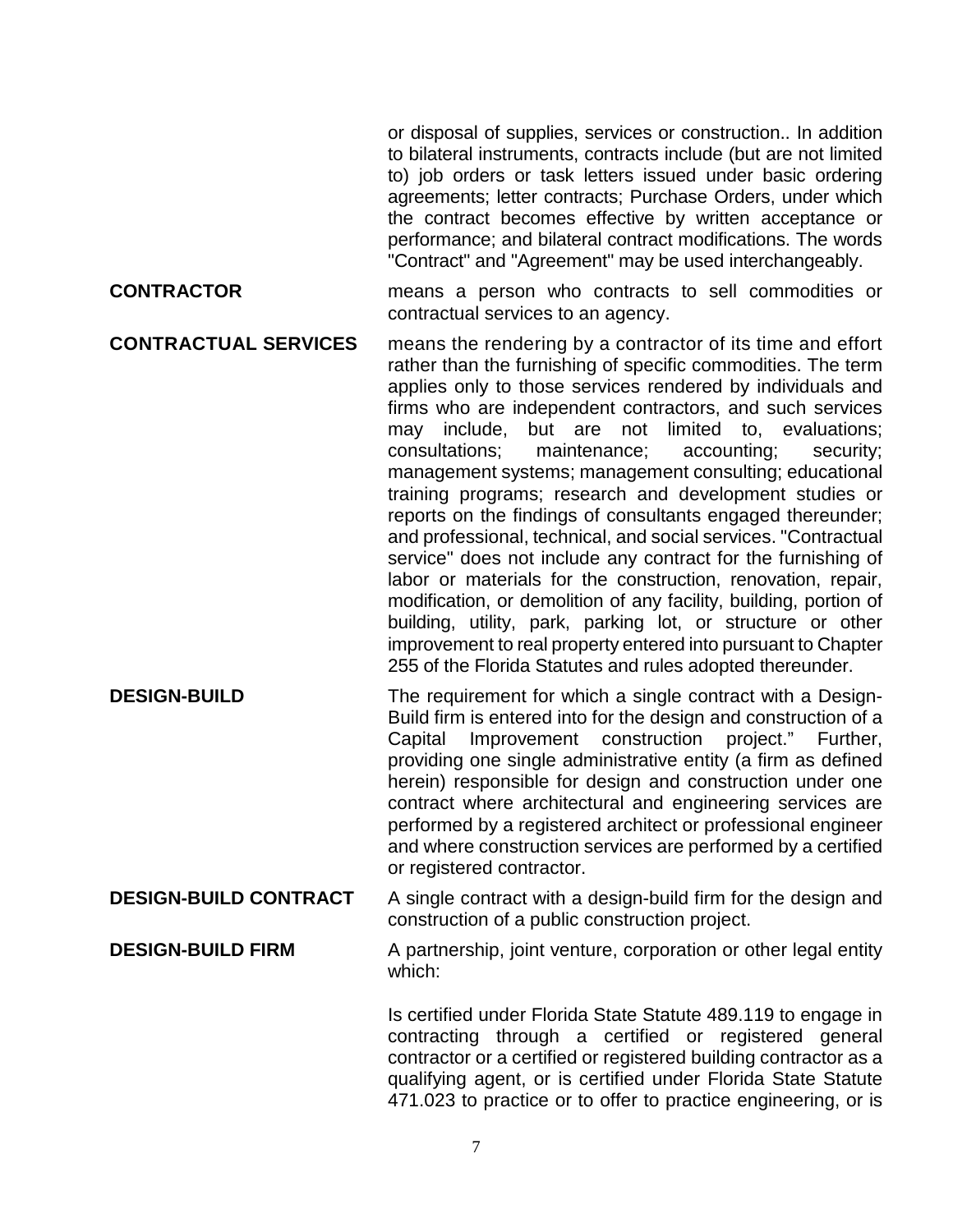or disposal of supplies, services or construction.. In addition to bilateral instruments, contracts include (but are not limited to) job orders or task letters issued under basic ordering agreements; letter contracts; Purchase Orders, under which the contract becomes effective by written acceptance or performance; and bilateral contract modifications. The words "Contract" and "Agreement" may be used interchangeably.

- **CONTRACTOR** means a person who contracts to sell commodities or contractual services to an agency.
- **CONTRACTUAL SERVICES** means the rendering by a contractor of its time and effort rather than the furnishing of specific commodities. The term applies only to those services rendered by individuals and firms who are independent contractors, and such services may include, but are not limited to, evaluations; consultations; maintenance; accounting; security; management systems; management consulting; educational training programs; research and development studies or reports on the findings of consultants engaged thereunder; and professional, technical, and social services. "Contractual service" does not include any contract for the furnishing of labor or materials for the construction, renovation, repair, modification, or demolition of any facility, building, portion of building, utility, park, parking lot, or structure or other improvement to real property entered into pursuant to Chapter 255 of the Florida Statutes and rules adopted thereunder.
- **DESIGN-BUILD** The requirement for which a single contract with a Design-Build firm is entered into for the design and construction of a Capital Improvement construction project." Further, providing one single administrative entity (a firm as defined herein) responsible for design and construction under one contract where architectural and engineering services are performed by a registered architect or professional engineer and where construction services are performed by a certified or registered contractor.
- **DESIGN-BUILD CONTRACT** A single contract with a design-build firm for the design and construction of a public construction project.

**DESIGN-BUILD FIRM** A partnership, joint venture, corporation or other legal entity which:

> Is certified under Florida State Statute 489.119 to engage in contracting through a certified or registered general contractor or a certified or registered building contractor as a qualifying agent, or is certified under Florida State Statute 471.023 to practice or to offer to practice engineering, or is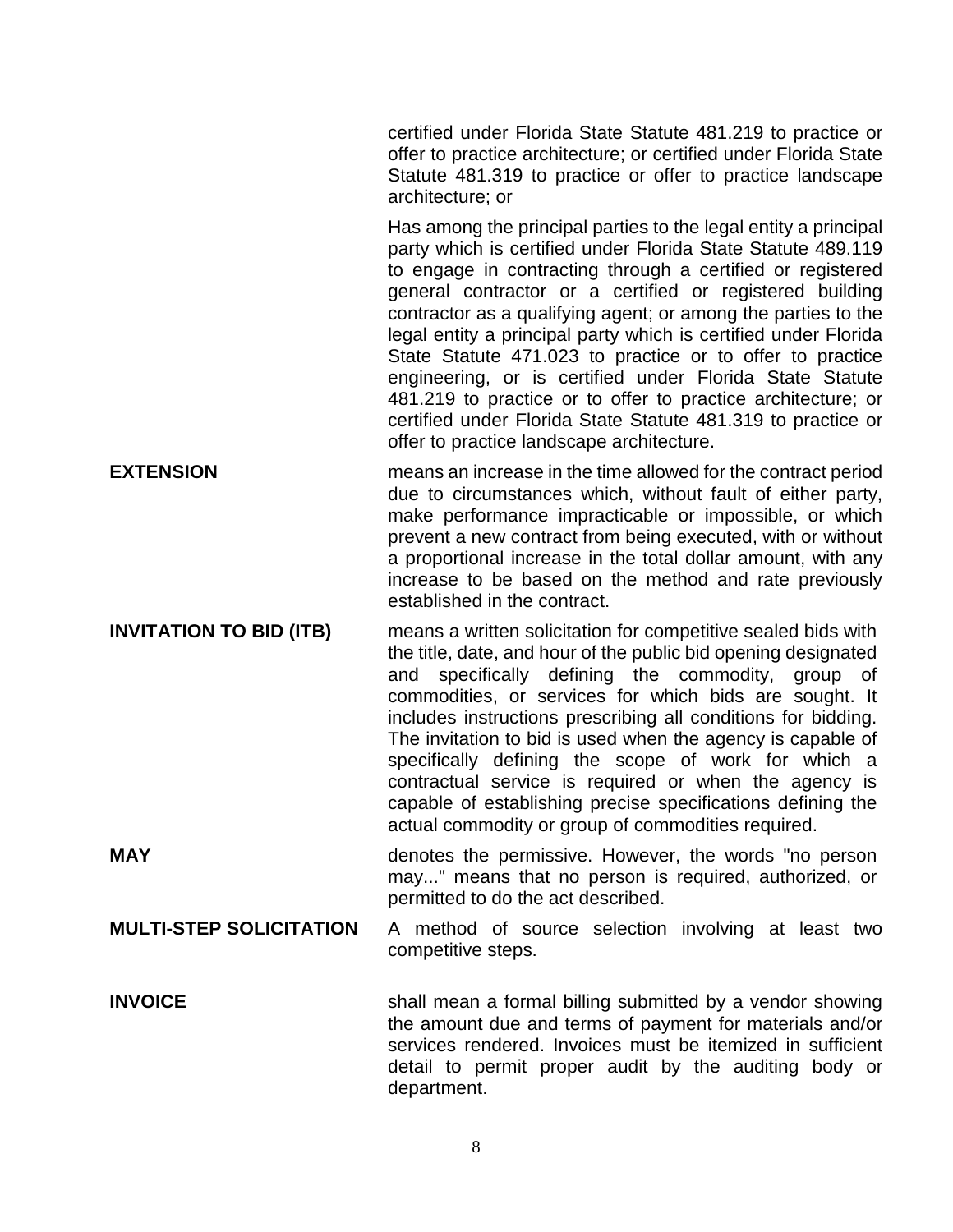certified under Florida State Statute 481.219 to practice or offer to practice architecture; or certified under Florida State Statute 481.319 to practice or offer to practice landscape architecture; or

Has among the principal parties to the legal entity a principal party which is certified under Florida State Statute 489.119 to engage in contracting through a certified or registered general contractor or a certified or registered building contractor as a qualifying agent; or among the parties to the legal entity a principal party which is certified under Florida State Statute 471.023 to practice or to offer to practice engineering, or is certified under Florida State Statute 481.219 to practice or to offer to practice architecture; or certified under Florida State Statute 481.319 to practice or offer to practice landscape architecture.

- **EXTENSION EXTENSION neans an increase in the time allowed for the contract period** due to circumstances which, without fault of either party, make performance impracticable or impossible, or which prevent a new contract from being executed, with or without a proportional increase in the total dollar amount, with any increase to be based on the method and rate previously established in the contract.
- **INVITATION TO BID (ITB)** means a written solicitation for competitive sealed bids with the title, date, and hour of the public bid opening designated and specifically defining the commodity, group of commodities, or services for which bids are sought. It includes instructions prescribing all conditions for bidding. The invitation to bid is used when the agency is capable of specifically defining the scope of work for which a contractual service is required or when the agency is capable of establishing precise specifications defining the actual commodity or group of commodities required.

**MAY MAY denotes the permissive. However, the words "no person** may..." means that no person is required, authorized, or permitted to do the act described.

**MULTI-STEP SOLICITATION** A method of source selection involving at least two competitive steps.

**INVOICE** Shall mean a formal billing submitted by a vendor showing the amount due and terms of payment for materials and/or services rendered. Invoices must be itemized in sufficient detail to permit proper audit by the auditing body or department.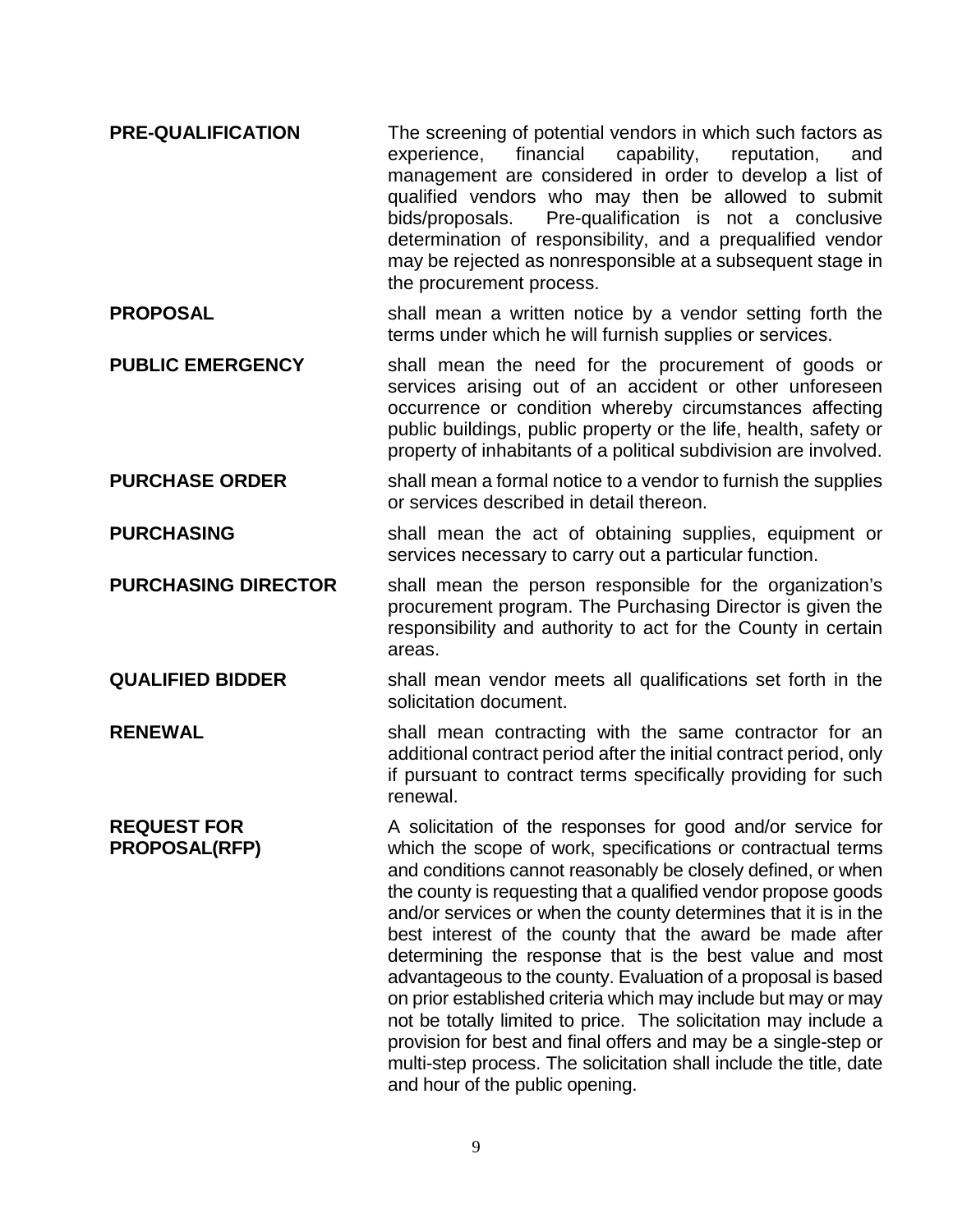- **PRE-QUALIFICATION** The screening of potential vendors in which such factors as experience, financial capability, reputation, and management are considered in order to develop a list of qualified vendors who may then be allowed to submit bids/proposals. Pre-qualification is not a conclusive determination of responsibility, and a prequalified vendor may be rejected as nonresponsible at a subsequent stage in the procurement process.
- **PROPOSAL** Shall mean a written notice by a vendor setting forth the terms under which he will furnish supplies or services.

**PUBLIC EMERGENCY** shall mean the need for the procurement of goods or services arising out of an accident or other unforeseen occurrence or condition whereby circumstances affecting public buildings, public property or the life, health, safety or property of inhabitants of a political subdivision are involved.

- **PURCHASE ORDER** shall mean a formal notice to a vendor to furnish the supplies or services described in detail thereon.
- **PURCHASING** Shall mean the act of obtaining supplies, equipment or services necessary to carry out a particular function.

**PURCHASING DIRECTOR** shall mean the person responsible for the organization's procurement program. The Purchasing Director is given the responsibility and authority to act for the County in certain areas.

- **QUALIFIED BIDDER** shall mean vendor meets all qualifications set forth in the solicitation document.
- **RENEWAL** Shall mean contracting with the same contractor for an additional contract period after the initial contract period, only if pursuant to contract terms specifically providing for such renewal.

**REQUEST FOR PROPOSAL(RFP)**  A solicitation of the responses for good and/or service for which the scope of work, specifications or contractual terms and conditions cannot reasonably be closely defined, or when the county is requesting that a qualified vendor propose goods and/or services or when the county determines that it is in the best interest of the county that the award be made after determining the response that is the best value and most advantageous to the county. Evaluation of a proposal is based on prior established criteria which may include but may or may not be totally limited to price. The solicitation may include a provision for best and final offers and may be a single-step or multi-step process. The solicitation shall include the title, date and hour of the public opening.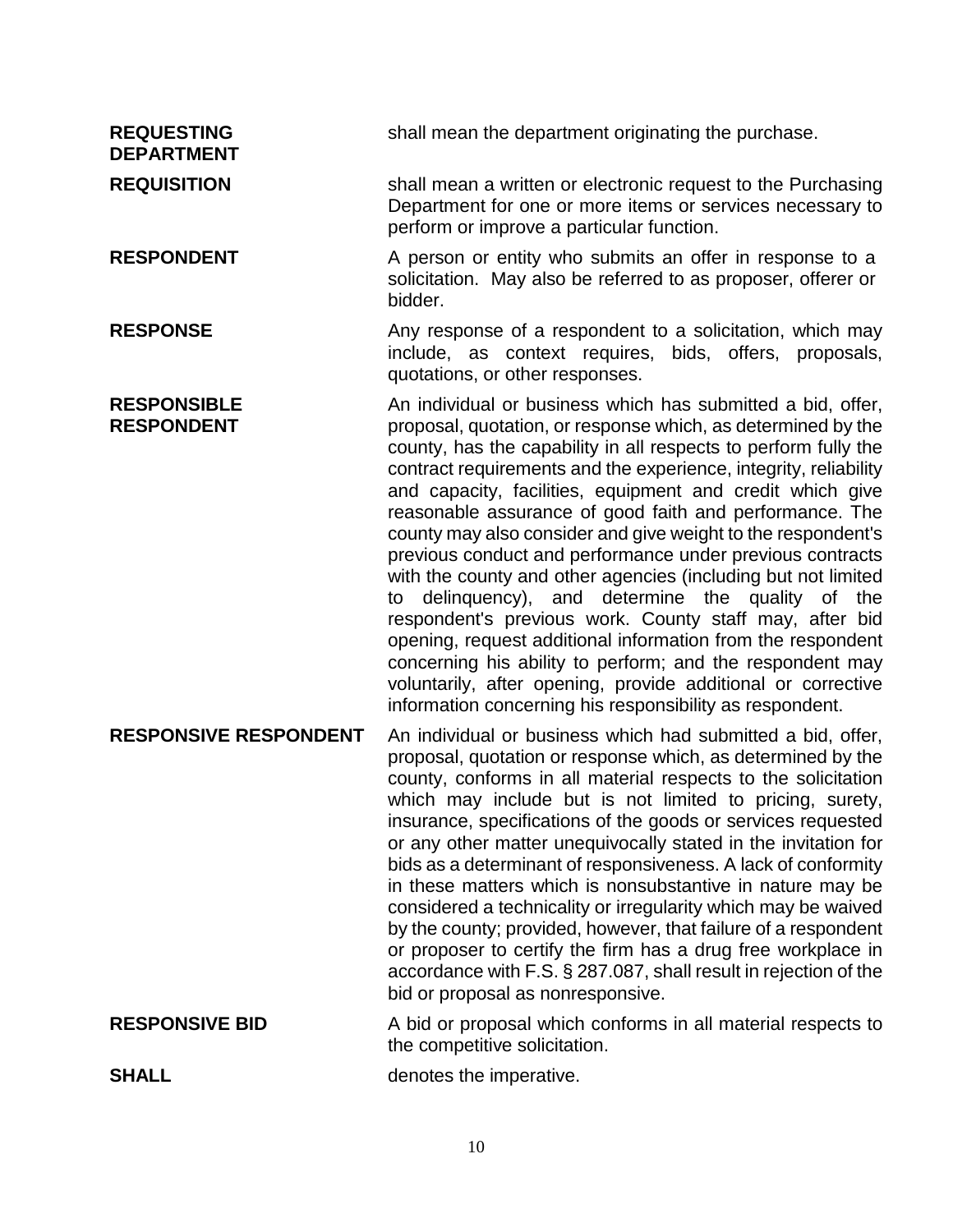| <b>REQUESTING</b><br><b>DEPARTMENT</b>  | shall mean the department originating the purchase.                                                                                                                                                                                                                                                                                                                                                                                                                                                                                                                                                                                                                                                                                                                                                                                                                                                                                                                 |
|-----------------------------------------|---------------------------------------------------------------------------------------------------------------------------------------------------------------------------------------------------------------------------------------------------------------------------------------------------------------------------------------------------------------------------------------------------------------------------------------------------------------------------------------------------------------------------------------------------------------------------------------------------------------------------------------------------------------------------------------------------------------------------------------------------------------------------------------------------------------------------------------------------------------------------------------------------------------------------------------------------------------------|
| <b>REQUISITION</b>                      | shall mean a written or electronic request to the Purchasing<br>Department for one or more items or services necessary to<br>perform or improve a particular function.                                                                                                                                                                                                                                                                                                                                                                                                                                                                                                                                                                                                                                                                                                                                                                                              |
| <b>RESPONDENT</b>                       | A person or entity who submits an offer in response to a<br>solicitation. May also be referred to as proposer, offerer or<br>bidder.                                                                                                                                                                                                                                                                                                                                                                                                                                                                                                                                                                                                                                                                                                                                                                                                                                |
| <b>RESPONSE</b>                         | Any response of a respondent to a solicitation, which may<br>include, as context requires, bids, offers, proposals,<br>quotations, or other responses.                                                                                                                                                                                                                                                                                                                                                                                                                                                                                                                                                                                                                                                                                                                                                                                                              |
| <b>RESPONSIBLE</b><br><b>RESPONDENT</b> | An individual or business which has submitted a bid, offer,<br>proposal, quotation, or response which, as determined by the<br>county, has the capability in all respects to perform fully the<br>contract requirements and the experience, integrity, reliability<br>and capacity, facilities, equipment and credit which give<br>reasonable assurance of good faith and performance. The<br>county may also consider and give weight to the respondent's<br>previous conduct and performance under previous contracts<br>with the county and other agencies (including but not limited<br>delinguency), and determine the quality of the<br>to<br>respondent's previous work. County staff may, after bid<br>opening, request additional information from the respondent<br>concerning his ability to perform; and the respondent may<br>voluntarily, after opening, provide additional or corrective<br>information concerning his responsibility as respondent. |
| <b>RESPONSIVE RESPONDENT</b>            | An individual or business which had submitted a bid, offer,<br>proposal, quotation or response which, as determined by the<br>county, conforms in all material respects to the solicitation<br>which may include but is not limited to pricing, surety,<br>insurance, specifications of the goods or services requested<br>or any other matter unequivocally stated in the invitation for<br>bids as a determinant of responsiveness. A lack of conformity<br>in these matters which is nonsubstantive in nature may be<br>considered a technicality or irregularity which may be waived<br>by the county; provided, however, that failure of a respondent<br>or proposer to certify the firm has a drug free workplace in<br>accordance with F.S. § 287.087, shall result in rejection of the<br>bid or proposal as nonresponsive.                                                                                                                                 |
| <b>RESPONSIVE BID</b>                   | A bid or proposal which conforms in all material respects to<br>the competitive solicitation.                                                                                                                                                                                                                                                                                                                                                                                                                                                                                                                                                                                                                                                                                                                                                                                                                                                                       |
| <b>SHALL</b>                            | denotes the imperative.                                                                                                                                                                                                                                                                                                                                                                                                                                                                                                                                                                                                                                                                                                                                                                                                                                                                                                                                             |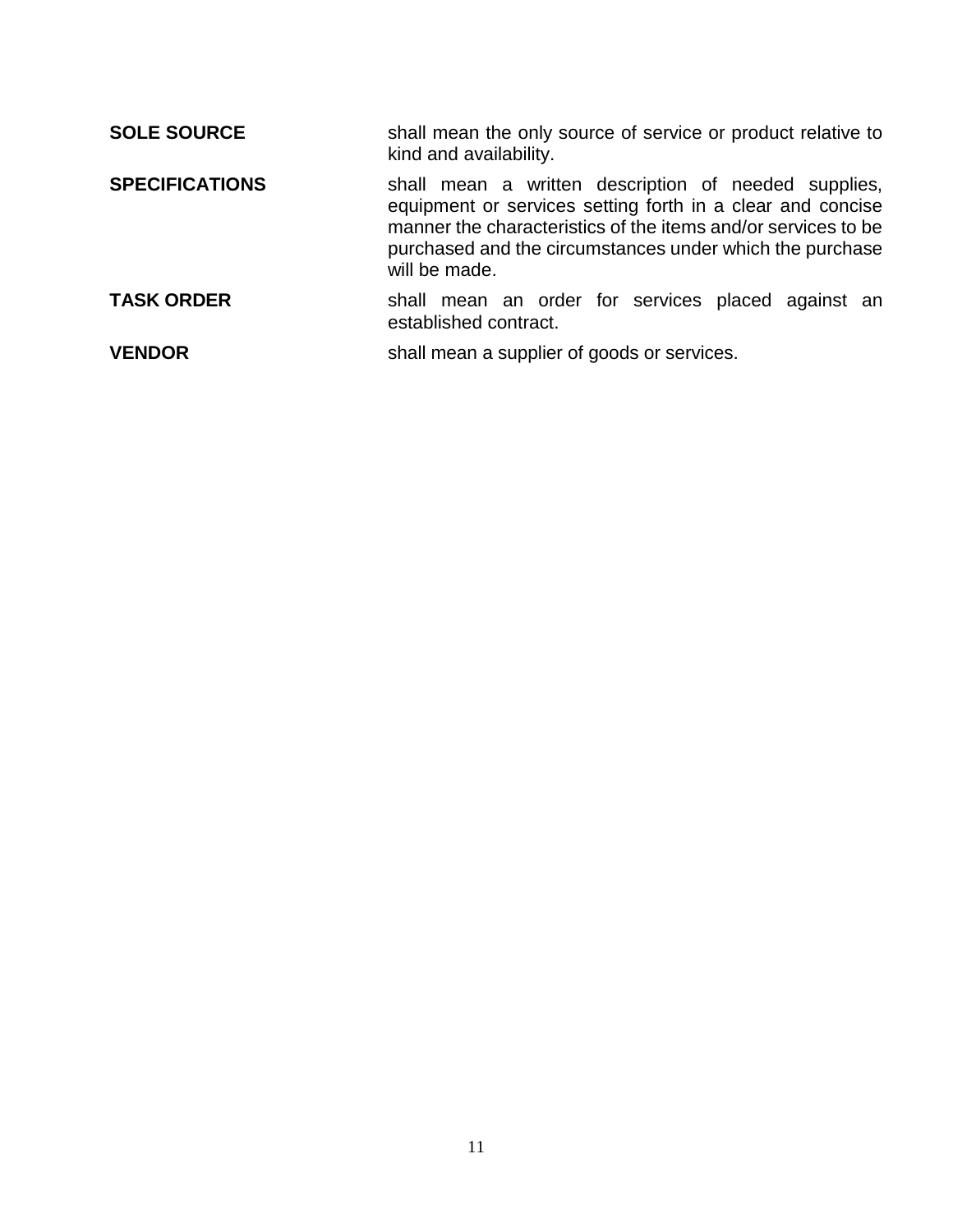| <b>SOLE SOURCE</b>    | shall mean the only source of service or product relative to<br>kind and availability.                                                                                                                                                                           |
|-----------------------|------------------------------------------------------------------------------------------------------------------------------------------------------------------------------------------------------------------------------------------------------------------|
| <b>SPECIFICATIONS</b> | shall mean a written description of needed supplies,<br>equipment or services setting forth in a clear and concise<br>manner the characteristics of the items and/or services to be<br>purchased and the circumstances under which the purchase<br>will be made. |
| <b>TASK ORDER</b>     | shall mean an order for services placed against an<br>established contract.                                                                                                                                                                                      |
| <b>VENDOR</b>         | shall mean a supplier of goods or services.                                                                                                                                                                                                                      |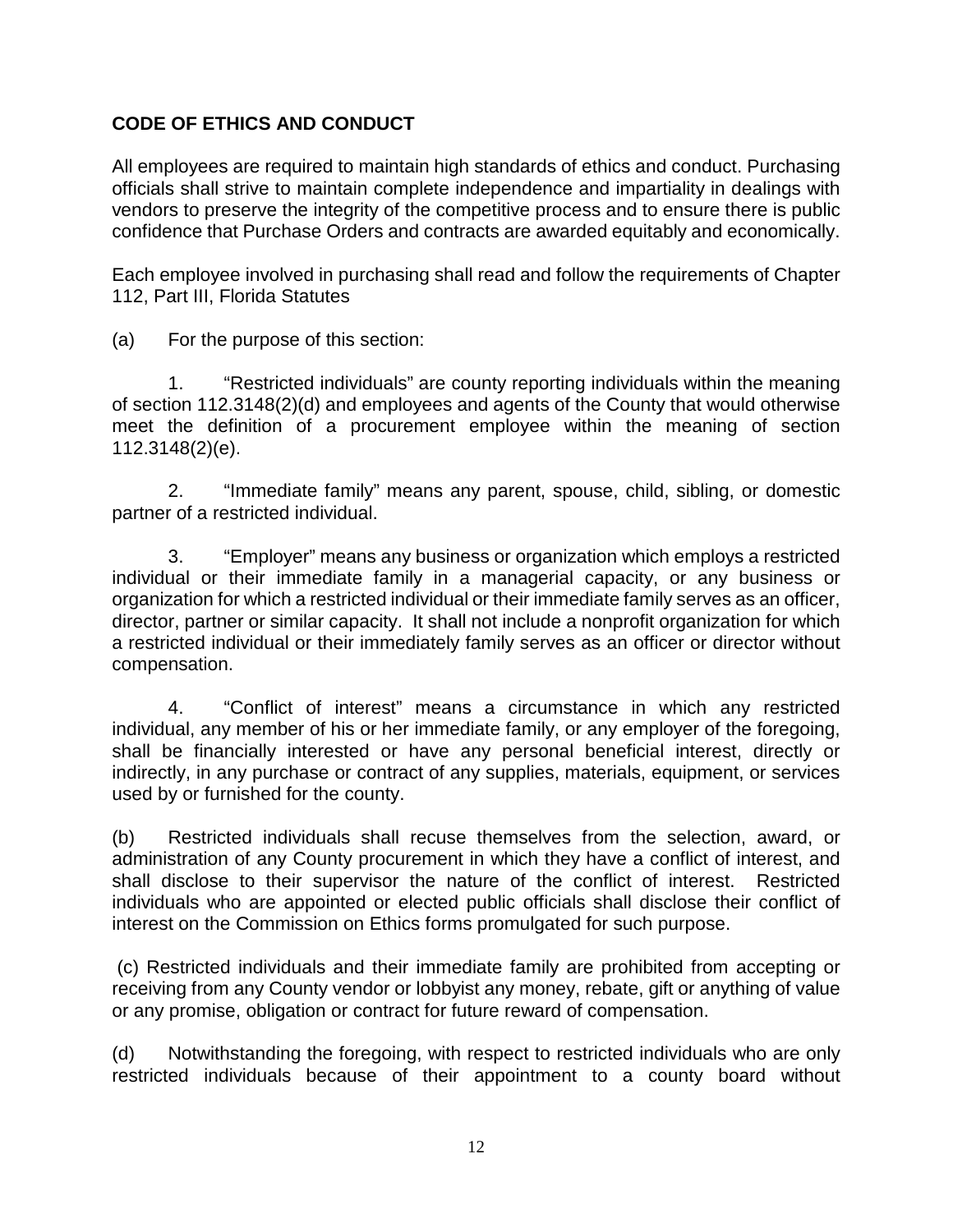# **CODE OF ETHICS AND CONDUCT**

All employees are required to maintain high standards of ethics and conduct. Purchasing officials shall strive to maintain complete independence and impartiality in dealings with vendors to preserve the integrity of the competitive process and to ensure there is public confidence that Purchase Orders and contracts are awarded equitably and economically.

Each employee involved in purchasing shall read and follow the requirements of Chapter 112, Part III, Florida Statutes

(a) For the purpose of this section:

1. "Restricted individuals" are county reporting individuals within the meaning of section 112.3148(2)(d) and employees and agents of the County that would otherwise meet the definition of a procurement employee within the meaning of section 112.3148(2)(e).

2. "Immediate family" means any parent, spouse, child, sibling, or domestic partner of a restricted individual.

3. "Employer" means any business or organization which employs a restricted individual or their immediate family in a managerial capacity, or any business or organization for which a restricted individual or their immediate family serves as an officer, director, partner or similar capacity. It shall not include a nonprofit organization for which a restricted individual or their immediately family serves as an officer or director without compensation.

4. "Conflict of interest" means a circumstance in which any restricted individual, any member of his or her immediate family, or any employer of the foregoing, shall be financially interested or have any personal beneficial interest, directly or indirectly, in any purchase or contract of any supplies, materials, equipment, or services used by or furnished for the county.

(b) Restricted individuals shall recuse themselves from the selection, award, or administration of any County procurement in which they have a conflict of interest, and shall disclose to their supervisor the nature of the conflict of interest. Restricted individuals who are appointed or elected public officials shall disclose their conflict of interest on the Commission on Ethics forms promulgated for such purpose.

 (c) Restricted individuals and their immediate family are prohibited from accepting or receiving from any County vendor or lobbyist any money, rebate, gift or anything of value or any promise, obligation or contract for future reward of compensation.

(d) Notwithstanding the foregoing, with respect to restricted individuals who are only restricted individuals because of their appointment to a county board without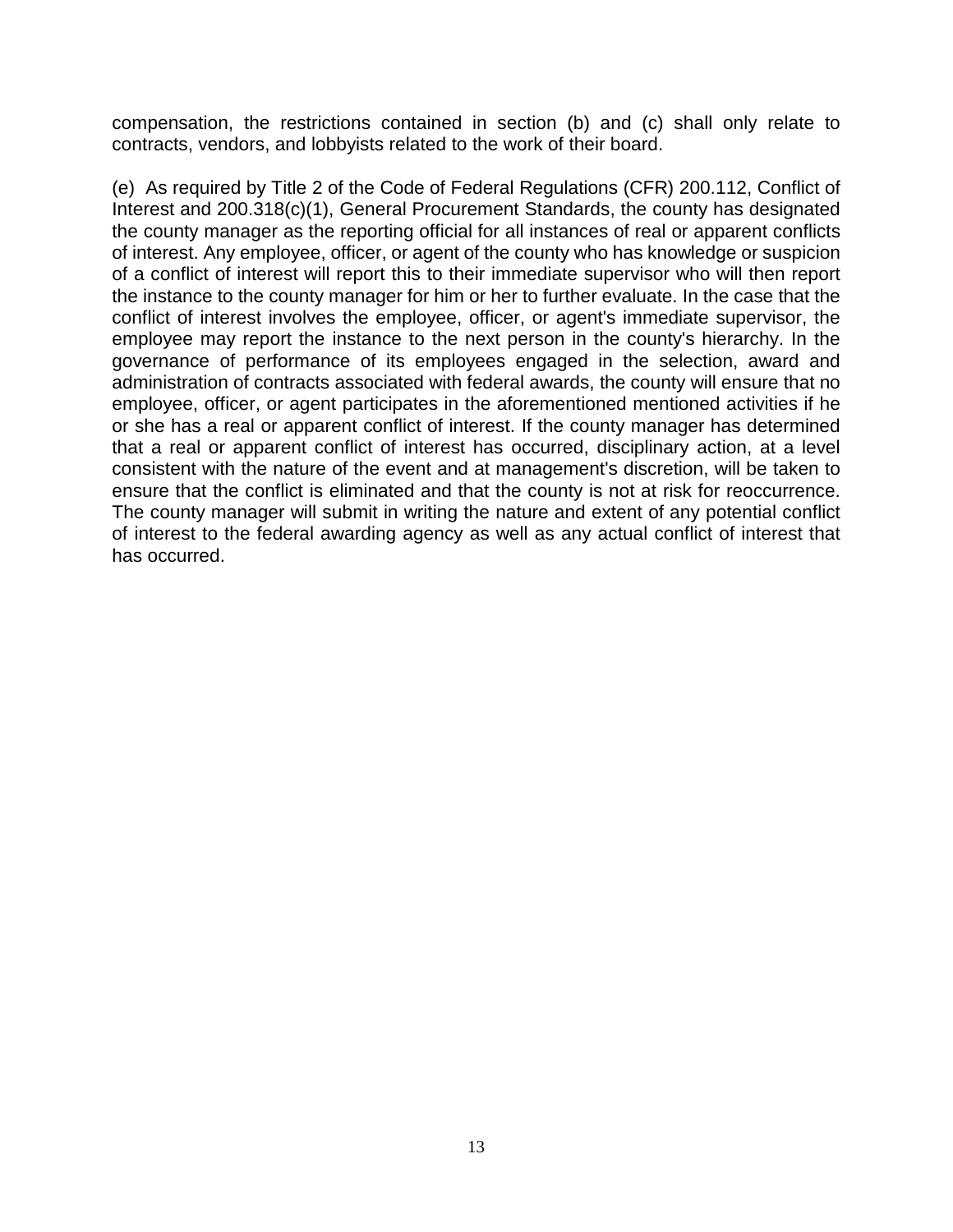compensation, the restrictions contained in section (b) and (c) shall only relate to contracts, vendors, and lobbyists related to the work of their board.

(e) As required by Title 2 of the Code of Federal Regulations (CFR) 200.112, Conflict of Interest and 200.318(c)(1), General Procurement Standards, the county has designated the county manager as the reporting official for all instances of real or apparent conflicts of interest. Any employee, officer, or agent of the county who has knowledge or suspicion of a conflict of interest will report this to their immediate supervisor who will then report the instance to the county manager for him or her to further evaluate. In the case that the conflict of interest involves the employee, officer, or agent's immediate supervisor, the employee may report the instance to the next person in the county's hierarchy. In the governance of performance of its employees engaged in the selection, award and administration of contracts associated with federal awards, the county will ensure that no employee, officer, or agent participates in the aforementioned mentioned activities if he or she has a real or apparent conflict of interest. If the county manager has determined that a real or apparent conflict of interest has occurred, disciplinary action, at a level consistent with the nature of the event and at management's discretion, will be taken to ensure that the conflict is eliminated and that the county is not at risk for reoccurrence. The county manager will submit in writing the nature and extent of any potential conflict of interest to the federal awarding agency as well as any actual conflict of interest that has occurred.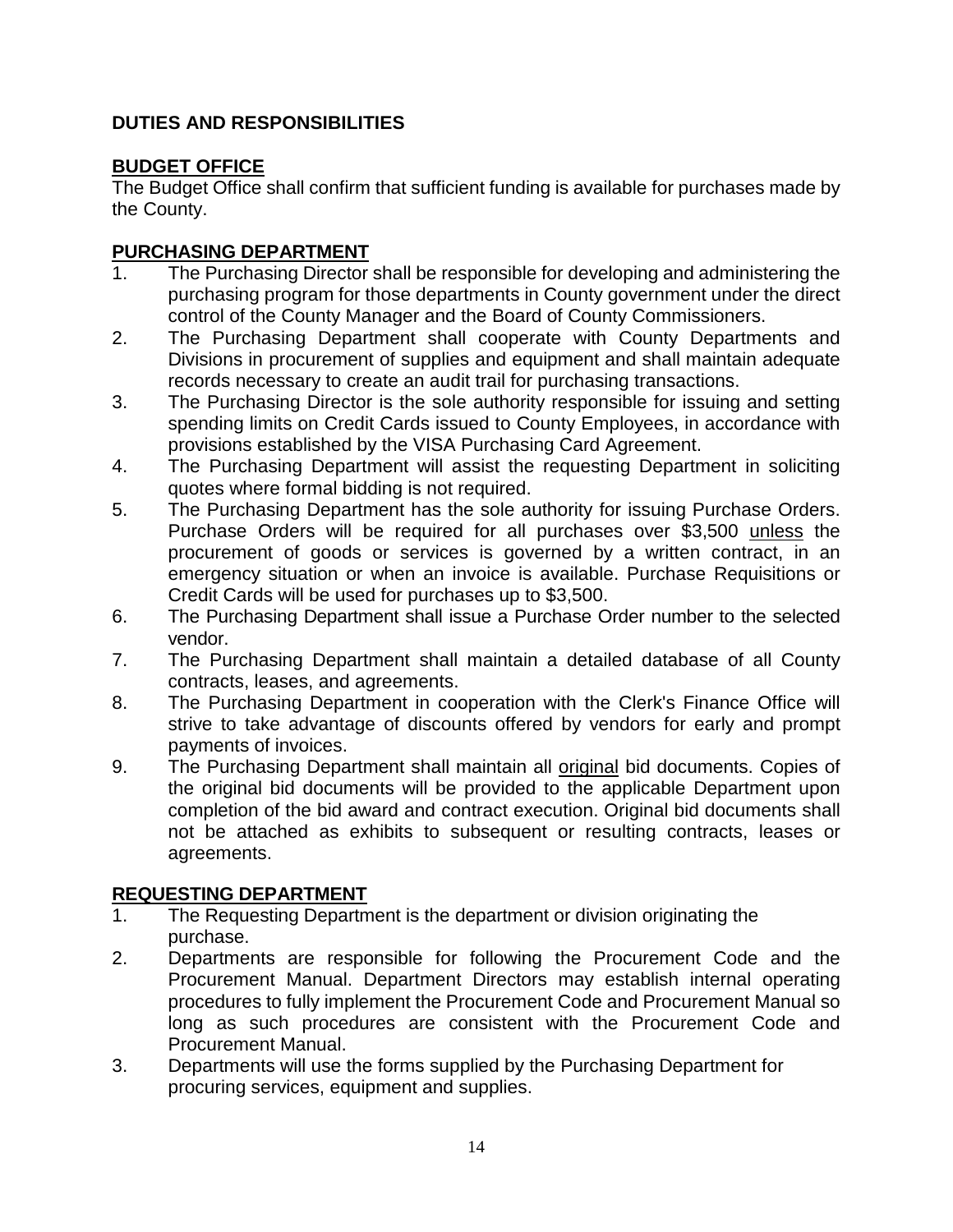# **DUTIES AND RESPONSIBILITIES**

# **BUDGET OFFICE**

The Budget Office shall confirm that sufficient funding is available for purchases made by the County.

# **PURCHASING DEPARTMENT**

- 1. The Purchasing Director shall be responsible for developing and administering the purchasing program for those departments in County government under the direct control of the County Manager and the Board of County Commissioners.
- 2. The Purchasing Department shall cooperate with County Departments and Divisions in procurement of supplies and equipment and shall maintain adequate records necessary to create an audit trail for purchasing transactions.
- 3. The Purchasing Director is the sole authority responsible for issuing and setting spending limits on Credit Cards issued to County Employees, in accordance with provisions established by the VISA Purchasing Card Agreement.
- 4. The Purchasing Department will assist the requesting Department in soliciting quotes where formal bidding is not required.
- 5. The Purchasing Department has the sole authority for issuing Purchase Orders. Purchase Orders will be required for all purchases over \$3,500 unless the procurement of goods or services is governed by a written contract, in an emergency situation or when an invoice is available. Purchase Requisitions or Credit Cards will be used for purchases up to \$3,500.
- 6. The Purchasing Department shall issue a Purchase Order number to the selected vendor.
- 7. The Purchasing Department shall maintain a detailed database of all County contracts, leases, and agreements.
- 8. The Purchasing Department in cooperation with the Clerk's Finance Office will strive to take advantage of discounts offered by vendors for early and prompt payments of invoices.
- 9. The Purchasing Department shall maintain all original bid documents. Copies of the original bid documents will be provided to the applicable Department upon completion of the bid award and contract execution. Original bid documents shall not be attached as exhibits to subsequent or resulting contracts, leases or agreements.

# **REQUESTING DEPARTMENT**

- 1. The Requesting Department is the department or division originating the purchase.
- 2. Departments are responsible for following the Procurement Code and the Procurement Manual. Department Directors may establish internal operating procedures to fully implement the Procurement Code and Procurement Manual so long as such procedures are consistent with the Procurement Code and Procurement Manual.
- 3. Departments will use the forms supplied by the Purchasing Department for procuring services, equipment and supplies.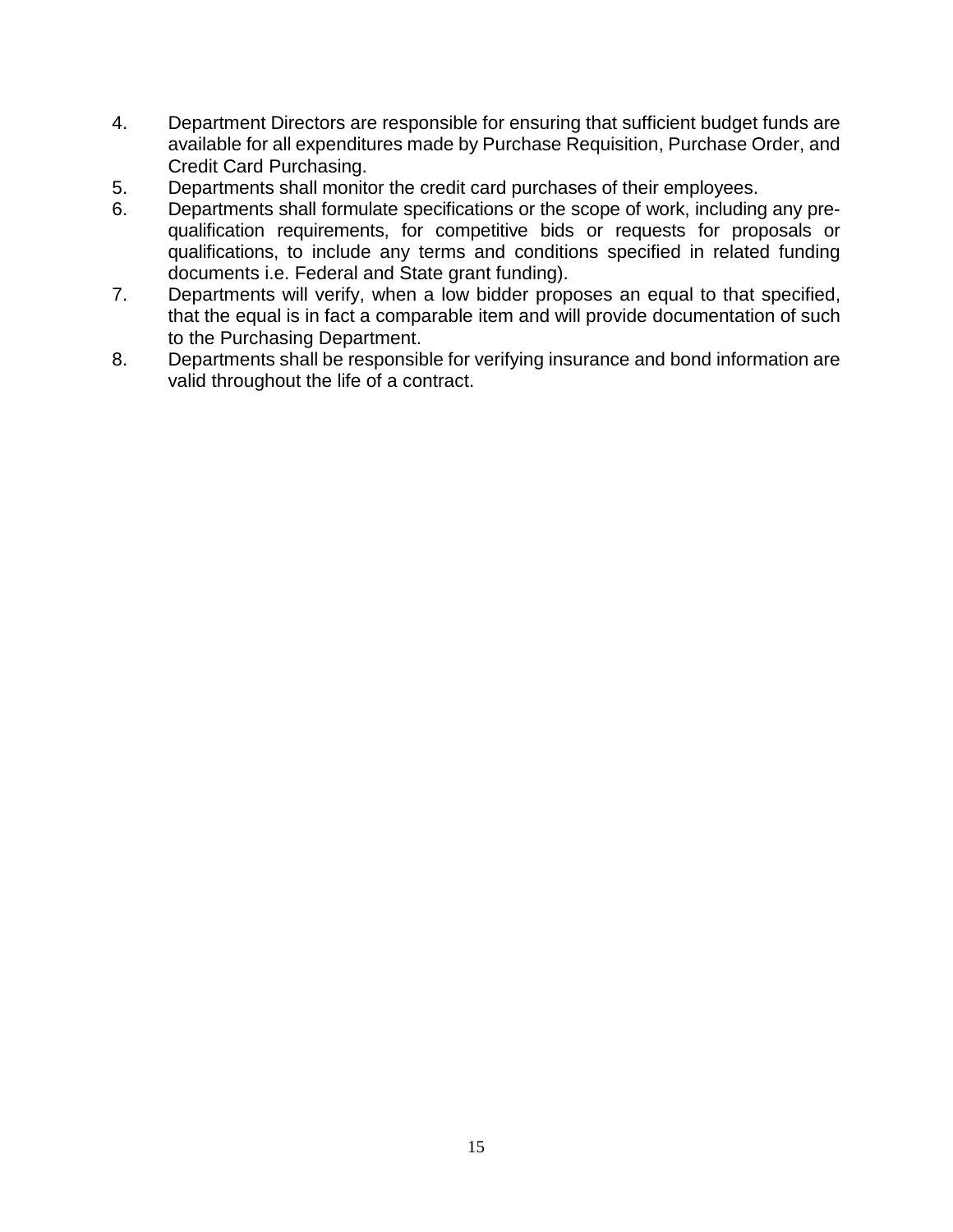- 4. Department Directors are responsible for ensuring that sufficient budget funds are available for all expenditures made by Purchase Requisition, Purchase Order, and Credit Card Purchasing.
- 5. Departments shall monitor the credit card purchases of their employees.
- 6. Departments shall formulate specifications or the scope of work, including any prequalification requirements, for competitive bids or requests for proposals or qualifications, to include any terms and conditions specified in related funding documents i.e. Federal and State grant funding).
- 7. Departments will verify, when a low bidder proposes an equal to that specified, that the equal is in fact a comparable item and will provide documentation of such to the Purchasing Department.
- 8. Departments shall be responsible for verifying insurance and bond information are valid throughout the life of a contract.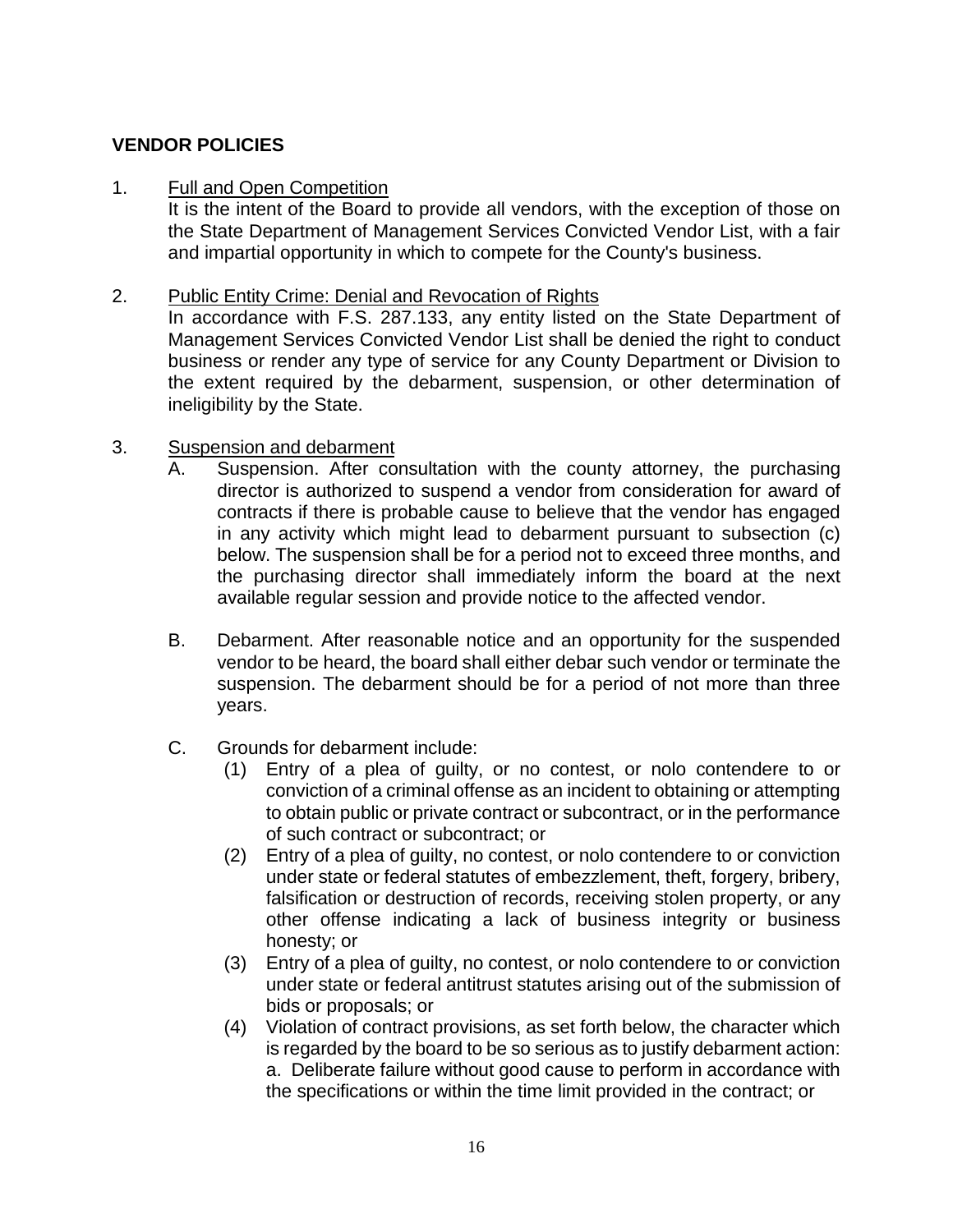# **VENDOR POLICIES**

#### 1. Full and Open Competition

It is the intent of the Board to provide all vendors, with the exception of those on the State Department of Management Services Convicted Vendor List, with a fair and impartial opportunity in which to compete for the County's business.

#### 2. Public Entity Crime: Denial and Revocation of Rights

In accordance with F.S. 287.133, any entity listed on the State Department of Management Services Convicted Vendor List shall be denied the right to conduct business or render any type of service for any County Department or Division to the extent required by the debarment, suspension, or other determination of ineligibility by the State.

#### 3. Suspension and debarment

- A. Suspension. After consultation with the county attorney, the purchasing director is authorized to suspend a vendor from consideration for award of contracts if there is probable cause to believe that the vendor has engaged in any activity which might lead to debarment pursuant to subsection (c) below. The suspension shall be for a period not to exceed three months, and the purchasing director shall immediately inform the board at the next available regular session and provide notice to the affected vendor.
- B. Debarment. After reasonable notice and an opportunity for the suspended vendor to be heard, the board shall either debar such vendor or terminate the suspension. The debarment should be for a period of not more than three years.
- C. Grounds for debarment include:
	- (1) Entry of a plea of guilty, or no contest, or nolo contendere to or conviction of a criminal offense as an incident to obtaining or attempting to obtain public or private contract or subcontract, or in the performance of such contract or subcontract; or
	- (2) Entry of a plea of guilty, no contest, or nolo contendere to or conviction under state or federal statutes of embezzlement, theft, forgery, bribery, falsification or destruction of records, receiving stolen property, or any other offense indicating a lack of business integrity or business honesty; or
	- (3) Entry of a plea of guilty, no contest, or nolo contendere to or conviction under state or federal antitrust statutes arising out of the submission of bids or proposals; or
	- (4) Violation of contract provisions, as set forth below, the character which is regarded by the board to be so serious as to justify debarment action: a. Deliberate failure without good cause to perform in accordance with the specifications or within the time limit provided in the contract; or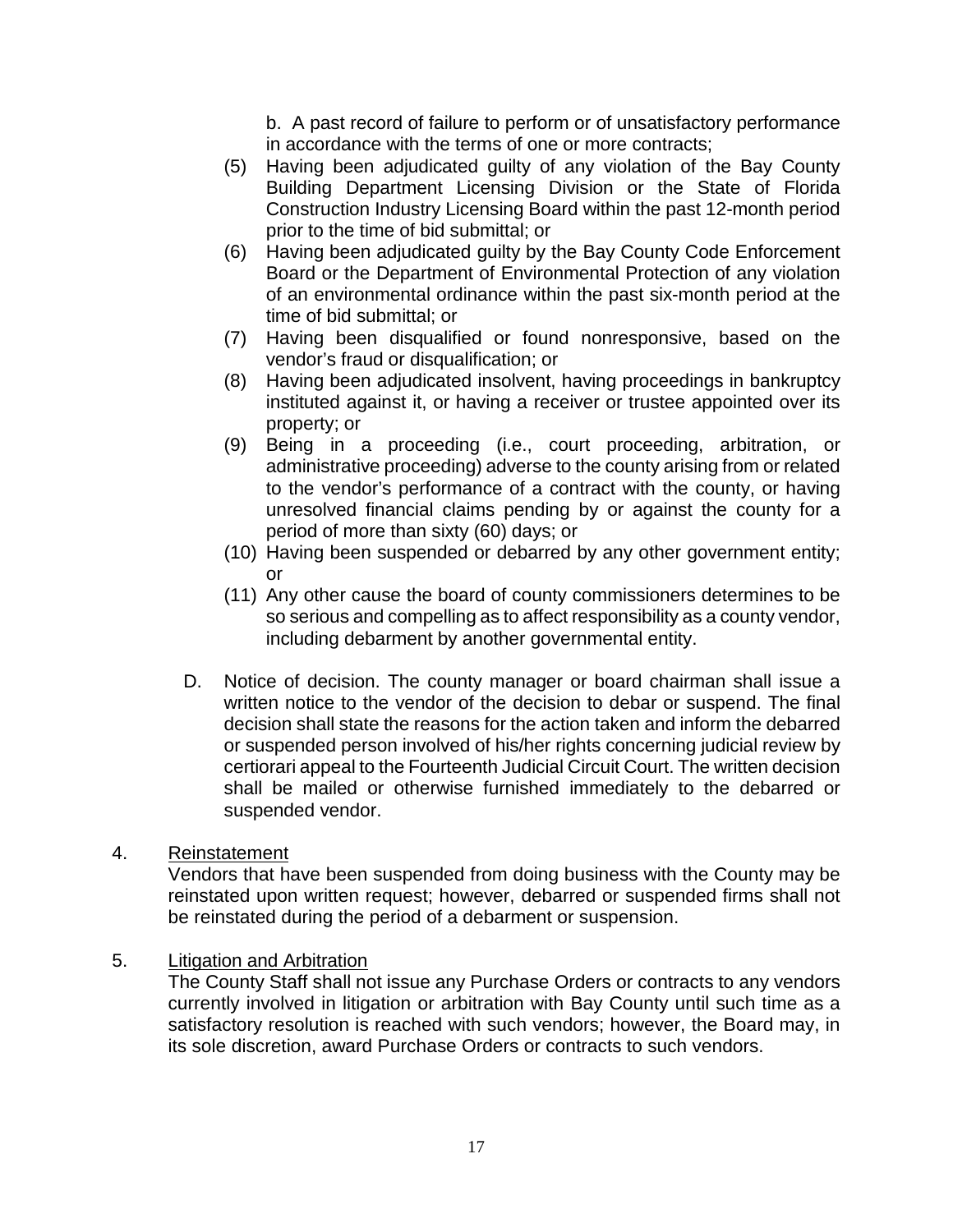b. A past record of failure to perform or of unsatisfactory performance in accordance with the terms of one or more contracts;

- (5) Having been adjudicated guilty of any violation of the Bay County Building Department Licensing Division or the State of Florida Construction Industry Licensing Board within the past 12-month period prior to the time of bid submittal; or
- (6) Having been adjudicated guilty by the Bay County Code Enforcement Board or the Department of Environmental Protection of any violation of an environmental ordinance within the past six-month period at the time of bid submittal; or
- (7) Having been disqualified or found nonresponsive, based on the vendor's fraud or disqualification; or
- (8) Having been adjudicated insolvent, having proceedings in bankruptcy instituted against it, or having a receiver or trustee appointed over its property; or
- (9) Being in a proceeding (i.e., court proceeding, arbitration, or administrative proceeding) adverse to the county arising from or related to the vendor's performance of a contract with the county, or having unresolved financial claims pending by or against the county for a period of more than sixty (60) days; or
- (10) Having been suspended or debarred by any other government entity; or
- (11) Any other cause the board of county commissioners determines to be so serious and compelling as to affect responsibility as a county vendor, including debarment by another governmental entity.
- D. Notice of decision. The county manager or board chairman shall issue a written notice to the vendor of the decision to debar or suspend. The final decision shall state the reasons for the action taken and inform the debarred or suspended person involved of his/her rights concerning judicial review by certiorari appeal to the Fourteenth Judicial Circuit Court. The written decision shall be mailed or otherwise furnished immediately to the debarred or suspended vendor.
- 4. Reinstatement

Vendors that have been suspended from doing business with the County may be reinstated upon written request; however, debarred or suspended firms shall not be reinstated during the period of a debarment or suspension.

5. Litigation and Arbitration

The County Staff shall not issue any Purchase Orders or contracts to any vendors currently involved in litigation or arbitration with Bay County until such time as a satisfactory resolution is reached with such vendors; however, the Board may, in its sole discretion, award Purchase Orders or contracts to such vendors.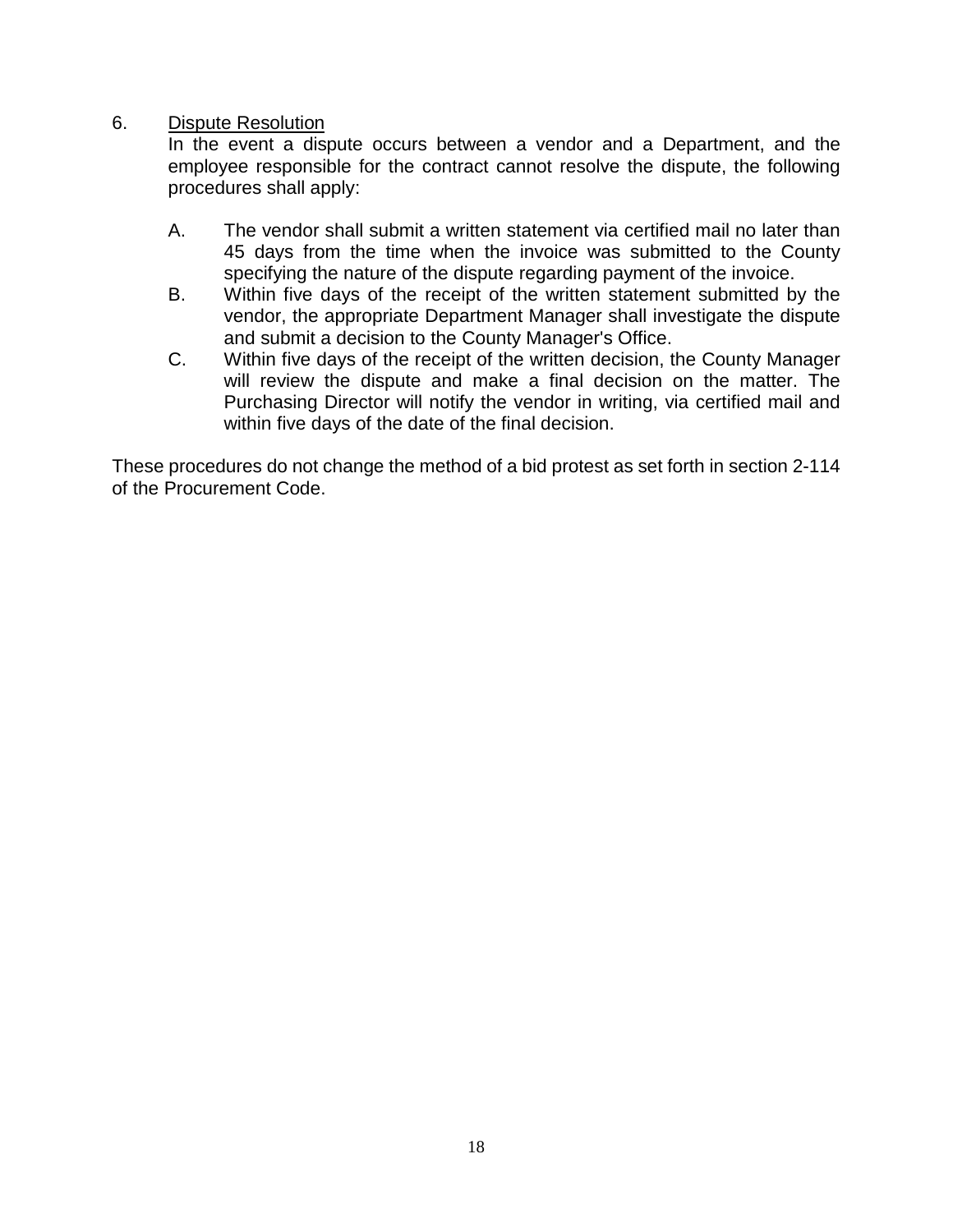#### 6. Dispute Resolution

In the event a dispute occurs between a vendor and a Department, and the employee responsible for the contract cannot resolve the dispute, the following procedures shall apply:

- A. The vendor shall submit a written statement via certified mail no later than 45 days from the time when the invoice was submitted to the County specifying the nature of the dispute regarding payment of the invoice.
- B. Within five days of the receipt of the written statement submitted by the vendor, the appropriate Department Manager shall investigate the dispute and submit a decision to the County Manager's Office.
- C. Within five days of the receipt of the written decision, the County Manager will review the dispute and make a final decision on the matter. The Purchasing Director will notify the vendor in writing, via certified mail and within five days of the date of the final decision.

These procedures do not change the method of a bid protest as set forth in section 2-114 of the Procurement Code.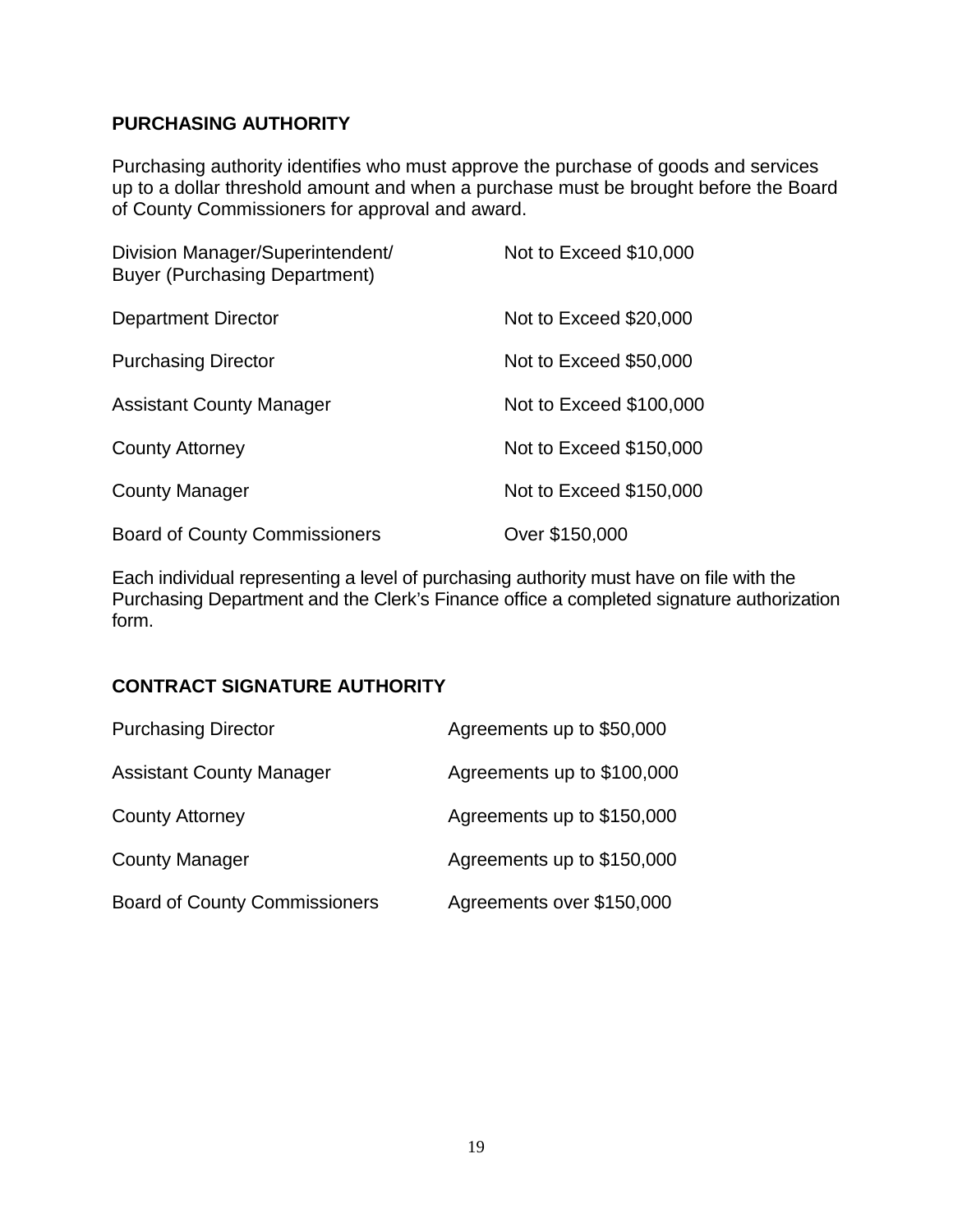## **PURCHASING AUTHORITY**

Purchasing authority identifies who must approve the purchase of goods and services up to a dollar threshold amount and when a purchase must be brought before the Board of County Commissioners for approval and award.

| Division Manager/Superintendent/<br><b>Buyer (Purchasing Department)</b> | Not to Exceed \$10,000  |
|--------------------------------------------------------------------------|-------------------------|
| Department Director                                                      | Not to Exceed \$20,000  |
| <b>Purchasing Director</b>                                               | Not to Exceed \$50,000  |
| <b>Assistant County Manager</b>                                          | Not to Exceed \$100,000 |
| <b>County Attorney</b>                                                   | Not to Exceed \$150,000 |
| <b>County Manager</b>                                                    | Not to Exceed \$150,000 |
| <b>Board of County Commissioners</b>                                     | Over \$150,000          |

Each individual representing a level of purchasing authority must have on file with the Purchasing Department and the Clerk's Finance office a completed signature authorization form.

# **CONTRACT SIGNATURE AUTHORITY**

| <b>Purchasing Director</b>           | Agreements up to \$50,000  |
|--------------------------------------|----------------------------|
| <b>Assistant County Manager</b>      | Agreements up to \$100,000 |
| <b>County Attorney</b>               | Agreements up to \$150,000 |
| <b>County Manager</b>                | Agreements up to \$150,000 |
| <b>Board of County Commissioners</b> | Agreements over \$150,000  |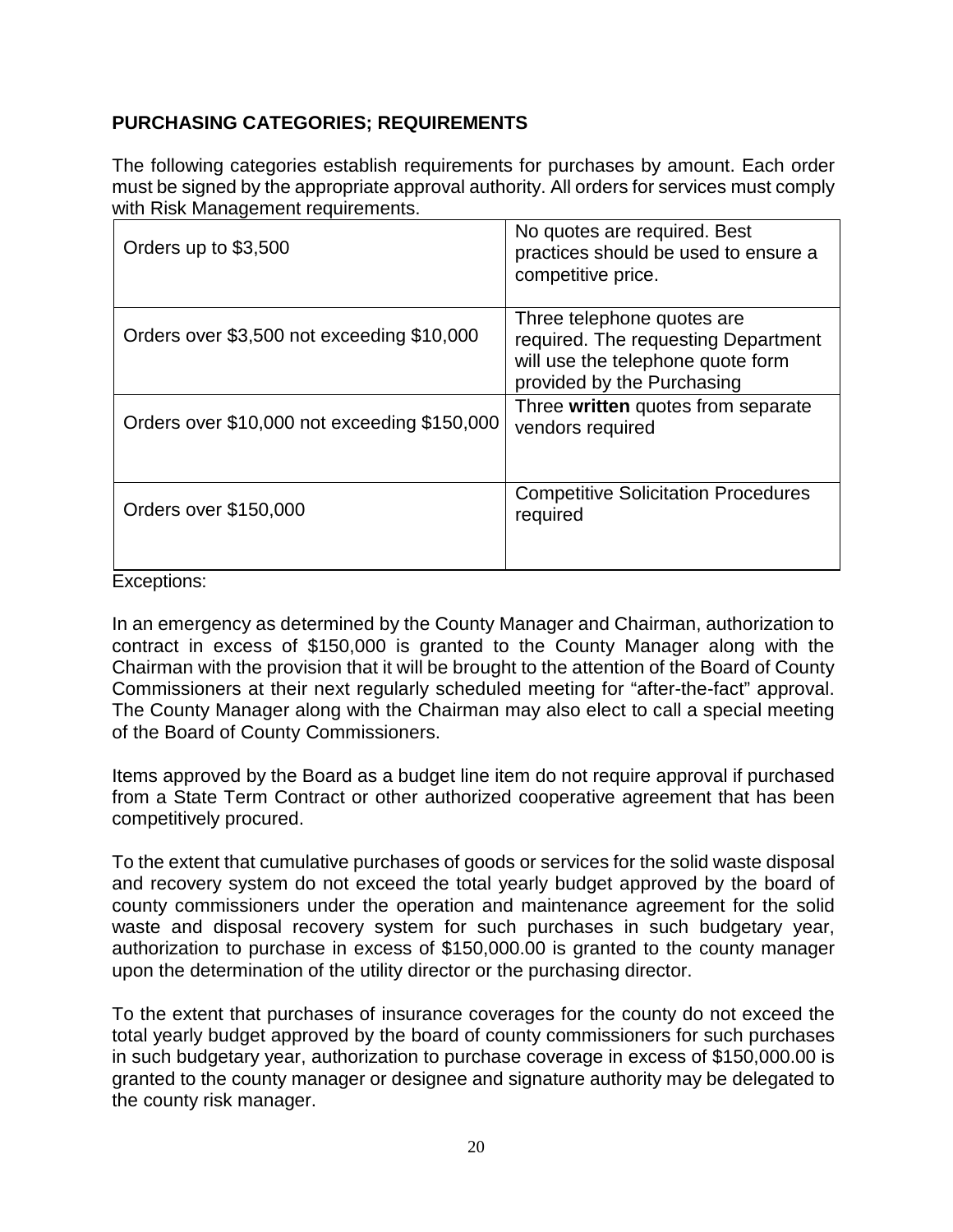# **PURCHASING CATEGORIES; REQUIREMENTS**

The following categories establish requirements for purchases by amount. Each order must be signed by the appropriate approval authority. All orders for services must comply with Risk Management requirements.

| Orders up to \$3,500                         | No quotes are required. Best<br>practices should be used to ensure a<br>competitive price.                                           |
|----------------------------------------------|--------------------------------------------------------------------------------------------------------------------------------------|
| Orders over \$3,500 not exceeding \$10,000   | Three telephone quotes are<br>required. The requesting Department<br>will use the telephone quote form<br>provided by the Purchasing |
| Orders over \$10,000 not exceeding \$150,000 | Three written quotes from separate<br>vendors required                                                                               |
| Orders over \$150,000                        | <b>Competitive Solicitation Procedures</b><br>required                                                                               |

Exceptions:

In an emergency as determined by the County Manager and Chairman, authorization to contract in excess of \$150,000 is granted to the County Manager along with the Chairman with the provision that it will be brought to the attention of the Board of County Commissioners at their next regularly scheduled meeting for "after-the-fact" approval. The County Manager along with the Chairman may also elect to call a special meeting of the Board of County Commissioners.

Items approved by the Board as a budget line item do not require approval if purchased from a State Term Contract or other authorized cooperative agreement that has been competitively procured.

To the extent that cumulative purchases of goods or services for the solid waste disposal and recovery system do not exceed the total yearly budget approved by the board of county commissioners under the operation and maintenance agreement for the solid waste and disposal recovery system for such purchases in such budgetary year, authorization to purchase in excess of \$150,000.00 is granted to the county manager upon the determination of the utility director or the purchasing director.

To the extent that purchases of insurance coverages for the county do not exceed the total yearly budget approved by the board of county commissioners for such purchases in such budgetary year, authorization to purchase coverage in excess of \$150,000.00 is granted to the county manager or designee and signature authority may be delegated to the county risk manager.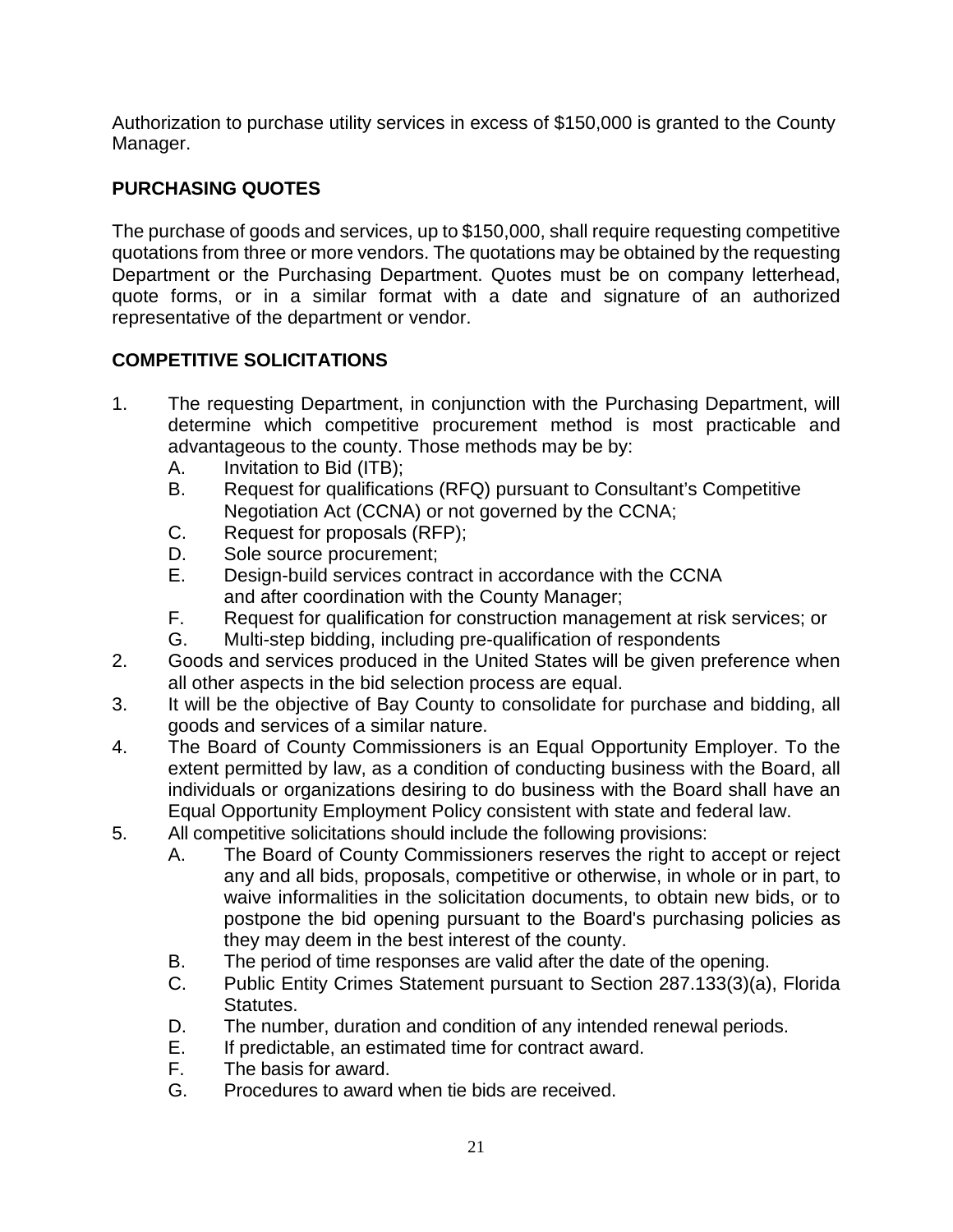Authorization to purchase utility services in excess of \$150,000 is granted to the County Manager.

# **PURCHASING QUOTES**

The purchase of goods and services, up to \$150,000, shall require requesting competitive quotations from three or more vendors. The quotations may be obtained by the requesting Department or the Purchasing Department. Quotes must be on company letterhead, quote forms, or in a similar format with a date and signature of an authorized representative of the department or vendor.

# **COMPETITIVE SOLICITATIONS**

- 1. The requesting Department, in conjunction with the Purchasing Department, will determine which competitive procurement method is most practicable and advantageous to the county. Those methods may be by:
	- A. Invitation to Bid (ITB);
	- B. Request for qualifications (RFQ) pursuant to Consultant's Competitive Negotiation Act (CCNA) or not governed by the CCNA;
	- C. Request for proposals (RFP);
	- D. Sole source procurement;
	- E. Design-build services contract in accordance with the CCNA and after coordination with the County Manager;
	- F. Request for qualification for construction management at risk services; or
	- G. Multi-step bidding, including pre-qualification of respondents
- 2. Goods and services produced in the United States will be given preference when all other aspects in the bid selection process are equal.
- 3. It will be the objective of Bay County to consolidate for purchase and bidding, all goods and services of a similar nature.
- 4. The Board of County Commissioners is an Equal Opportunity Employer. To the extent permitted by law, as a condition of conducting business with the Board, all individuals or organizations desiring to do business with the Board shall have an Equal Opportunity Employment Policy consistent with state and federal law.
- 5. All competitive solicitations should include the following provisions:
	- A. The Board of County Commissioners reserves the right to accept or reject any and all bids, proposals, competitive or otherwise, in whole or in part, to waive informalities in the solicitation documents, to obtain new bids, or to postpone the bid opening pursuant to the Board's purchasing policies as they may deem in the best interest of the county.
	- B. The period of time responses are valid after the date of the opening.
	- C. Public Entity Crimes Statement pursuant to Section 287.133(3)(a), Florida Statutes.
	- D. The number, duration and condition of any intended renewal periods.
	- E. If predictable, an estimated time for contract award.
	- F. The basis for award.
	- G. Procedures to award when tie bids are received.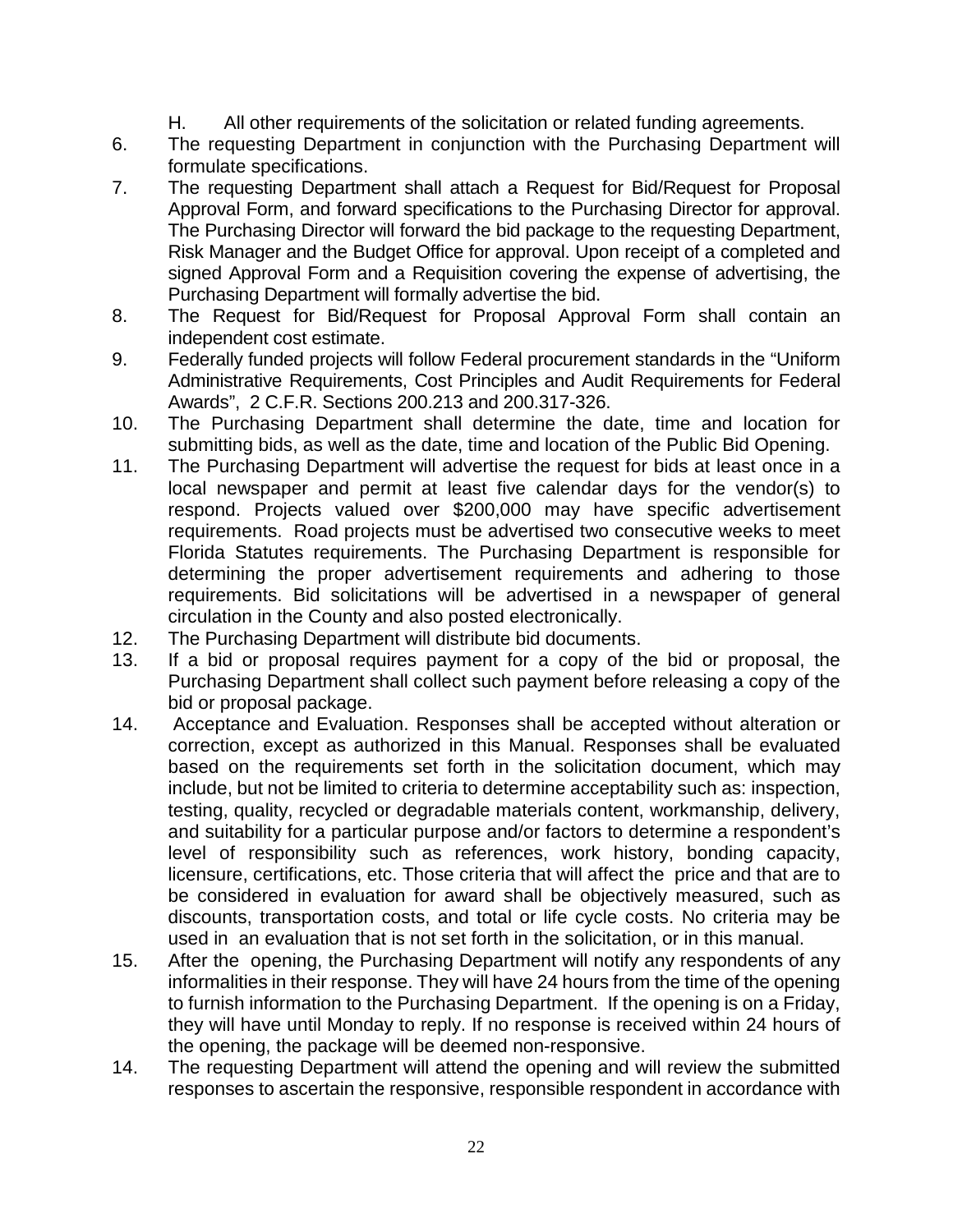- H. All other requirements of the solicitation or related funding agreements.
- 6. The requesting Department in conjunction with the Purchasing Department will formulate specifications.
- 7. The requesting Department shall attach a Request for Bid/Request for Proposal Approval Form, and forward specifications to the Purchasing Director for approval. The Purchasing Director will forward the bid package to the requesting Department, Risk Manager and the Budget Office for approval. Upon receipt of a completed and signed Approval Form and a Requisition covering the expense of advertising, the Purchasing Department will formally advertise the bid.
- 8. The Request for Bid/Request for Proposal Approval Form shall contain an independent cost estimate.
- 9. Federally funded projects will follow Federal procurement standards in the "Uniform Administrative Requirements, Cost Principles and Audit Requirements for Federal Awards", 2 C.F.R. Sections 200.213 and 200.317-326.
- 10. The Purchasing Department shall determine the date, time and location for submitting bids, as well as the date, time and location of the Public Bid Opening.
- 11. The Purchasing Department will advertise the request for bids at least once in a local newspaper and permit at least five calendar days for the vendor(s) to respond. Projects valued over \$200,000 may have specific advertisement requirements. Road projects must be advertised two consecutive weeks to meet Florida Statutes requirements. The Purchasing Department is responsible for determining the proper advertisement requirements and adhering to those requirements. Bid solicitations will be advertised in a newspaper of general circulation in the County and also posted electronically.
- 12. The Purchasing Department will distribute bid documents.
- 13. If a bid or proposal requires payment for a copy of the bid or proposal, the Purchasing Department shall collect such payment before releasing a copy of the bid or proposal package.
- 14. Acceptance and Evaluation. Responses shall be accepted without alteration or correction, except as authorized in this Manual. Responses shall be evaluated based on the requirements set forth in the solicitation document, which may include, but not be limited to criteria to determine acceptability such as: inspection, testing, quality, recycled or degradable materials content, workmanship, delivery, and suitability for a particular purpose and/or factors to determine a respondent's level of responsibility such as references, work history, bonding capacity, licensure, certifications, etc. Those criteria that will affect the price and that are to be considered in evaluation for award shall be objectively measured, such as discounts, transportation costs, and total or life cycle costs. No criteria may be used in an evaluation that is not set forth in the solicitation, or in this manual.
- 15. After the opening, the Purchasing Department will notify any respondents of any informalities in their response. They will have 24 hours from the time of the opening to furnish information to the Purchasing Department. If the opening is on a Friday, they will have until Monday to reply. If no response is received within 24 hours of the opening, the package will be deemed non-responsive.
- 14. The requesting Department will attend the opening and will review the submitted responses to ascertain the responsive, responsible respondent in accordance with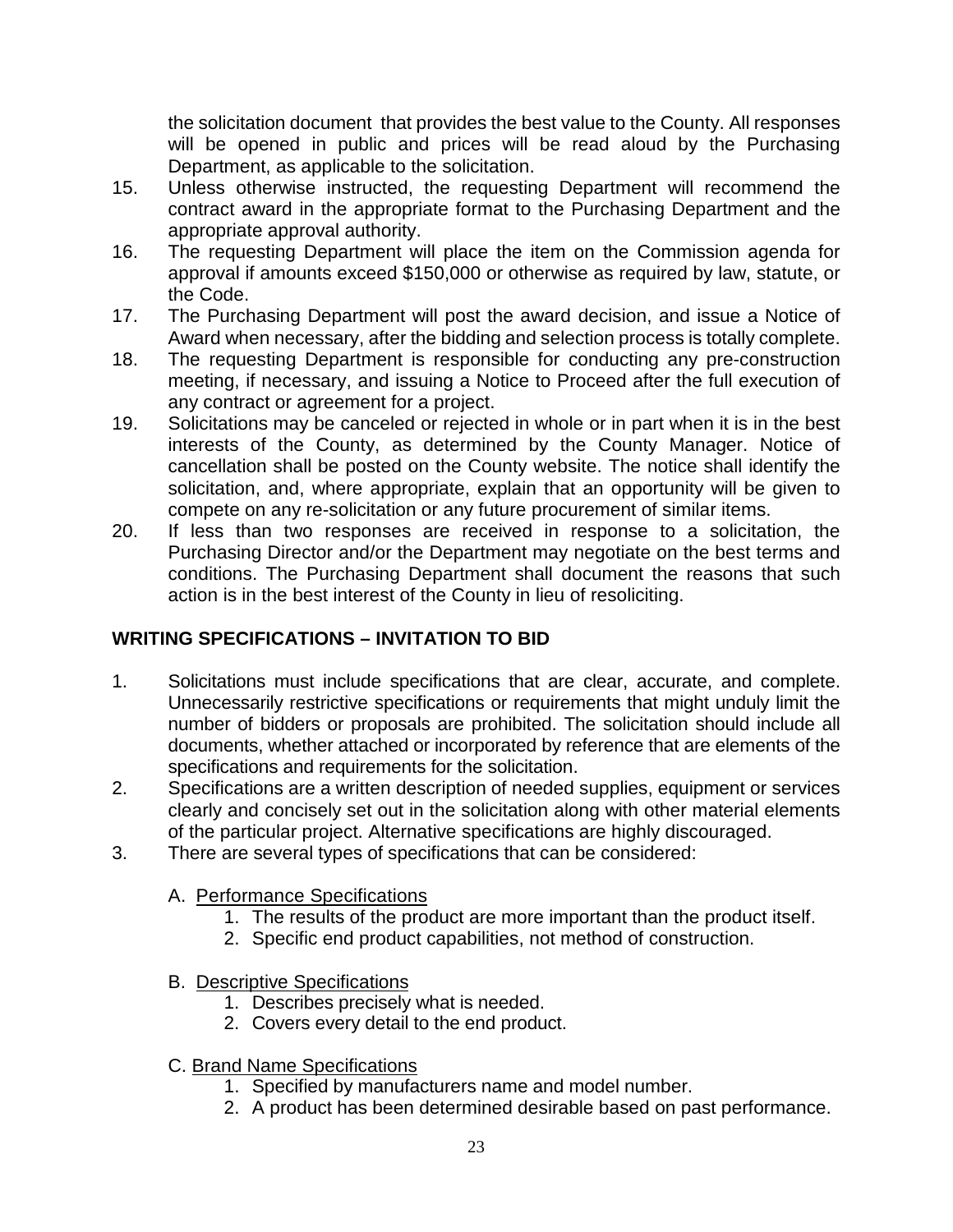the solicitation document that provides the best value to the County. All responses will be opened in public and prices will be read aloud by the Purchasing Department, as applicable to the solicitation.

- 15. Unless otherwise instructed, the requesting Department will recommend the contract award in the appropriate format to the Purchasing Department and the appropriate approval authority.
- 16. The requesting Department will place the item on the Commission agenda for approval if amounts exceed \$150,000 or otherwise as required by law, statute, or the Code.
- 17. The Purchasing Department will post the award decision, and issue a Notice of Award when necessary, after the bidding and selection process is totally complete.
- 18. The requesting Department is responsible for conducting any pre-construction meeting, if necessary, and issuing a Notice to Proceed after the full execution of any contract or agreement for a project.
- 19. Solicitations may be canceled or rejected in whole or in part when it is in the best interests of the County, as determined by the County Manager. Notice of cancellation shall be posted on the County website. The notice shall identify the solicitation, and, where appropriate, explain that an opportunity will be given to compete on any re-solicitation or any future procurement of similar items.
- 20. If less than two responses are received in response to a solicitation, the Purchasing Director and/or the Department may negotiate on the best terms and conditions. The Purchasing Department shall document the reasons that such action is in the best interest of the County in lieu of resoliciting.

# **WRITING SPECIFICATIONS – INVITATION TO BID**

- 1. Solicitations must include specifications that are clear, accurate, and complete. Unnecessarily restrictive specifications or requirements that might unduly limit the number of bidders or proposals are prohibited. The solicitation should include all documents, whether attached or incorporated by reference that are elements of the specifications and requirements for the solicitation.
- 2. Specifications are a written description of needed supplies, equipment or services clearly and concisely set out in the solicitation along with other material elements of the particular project. Alternative specifications are highly discouraged.
- 3. There are several types of specifications that can be considered:
	- A. Performance Specifications
		- 1. The results of the product are more important than the product itself.
		- 2. Specific end product capabilities, not method of construction.
	- B. Descriptive Specifications
		- 1. Describes precisely what is needed.
		- 2. Covers every detail to the end product.
	- C. Brand Name Specifications
		- 1. Specified by manufacturers name and model number.
		- 2. A product has been determined desirable based on past performance.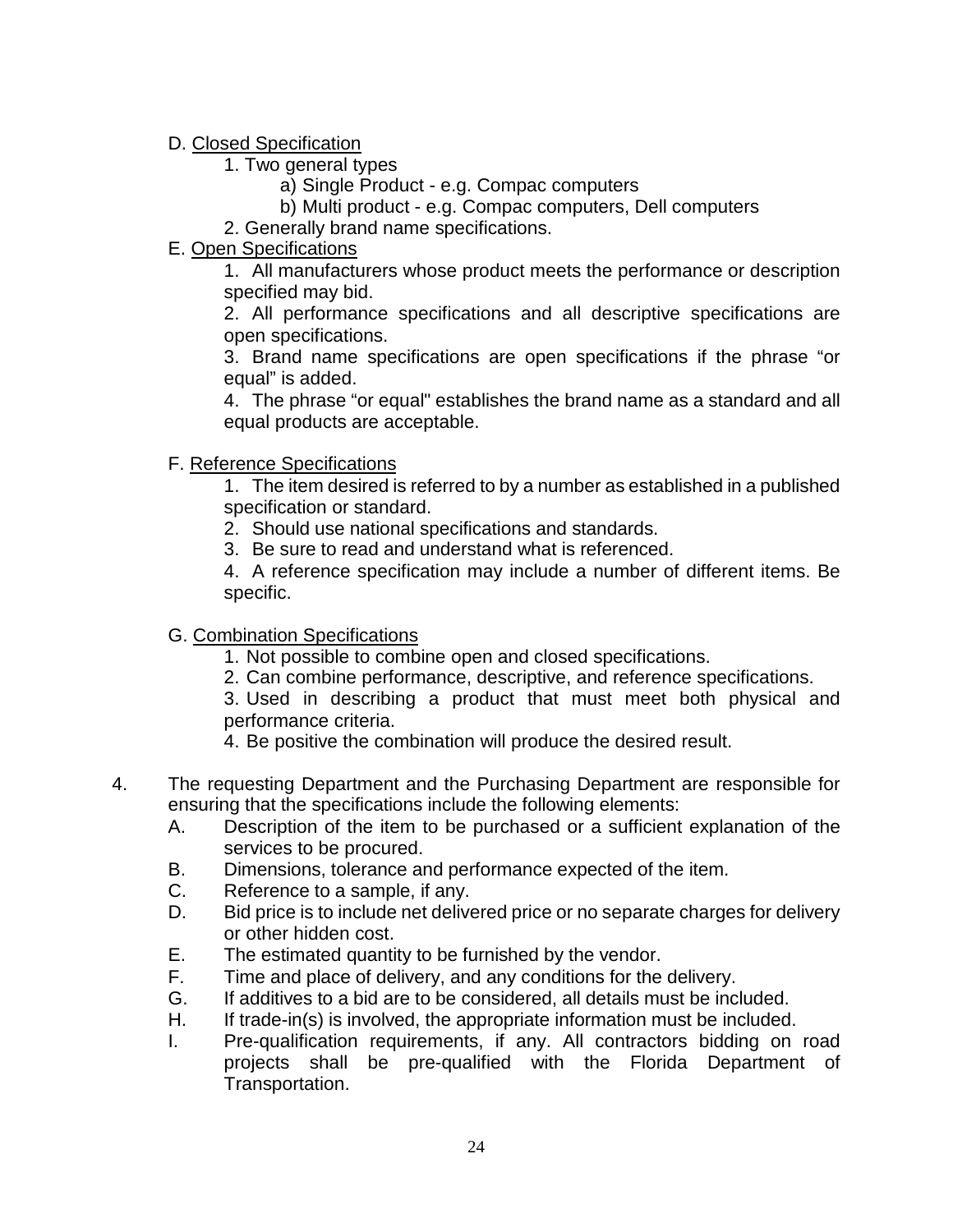# D. Closed Specification

- 1. Two general types
	- a) Single Product e.g. Compac computers
	- b) Multi product e.g. Compac computers, Dell computers
- 2. Generally brand name specifications.

# E. Open Specifications

1. All manufacturers whose product meets the performance or description specified may bid.

2. All performance specifications and all descriptive specifications are open specifications.

3. Brand name specifications are open specifications if the phrase "or equal" is added.

4. The phrase "or equal" establishes the brand name as a standard and all equal products are acceptable.

# F. Reference Specifications

1. The item desired is referred to by a number as established in a published specification or standard.

- 2. Should use national specifications and standards.
- 3. Be sure to read and understand what is referenced.

4. A reference specification may include a number of different items. Be specific.

# G. Combination Specifications

- 1. Not possible to combine open and closed specifications.
- 2. Can combine performance, descriptive, and reference specifications.

3. Used in describing a product that must meet both physical and performance criteria.

- 4. Be positive the combination will produce the desired result.
- 4. The requesting Department and the Purchasing Department are responsible for ensuring that the specifications include the following elements:
	- A. Description of the item to be purchased or a sufficient explanation of the services to be procured.
	- B. Dimensions, tolerance and performance expected of the item.
	- C. Reference to a sample, if any.
	- D. Bid price is to include net delivered price or no separate charges for delivery or other hidden cost.
	- E. The estimated quantity to be furnished by the vendor.
	- F. Time and place of delivery, and any conditions for the delivery.
	- G. If additives to a bid are to be considered, all details must be included.
	- H. If trade-in(s) is involved, the appropriate information must be included.
	- I. Pre-qualification requirements, if any. All contractors bidding on road projects shall be pre-qualified with the Florida Department of Transportation.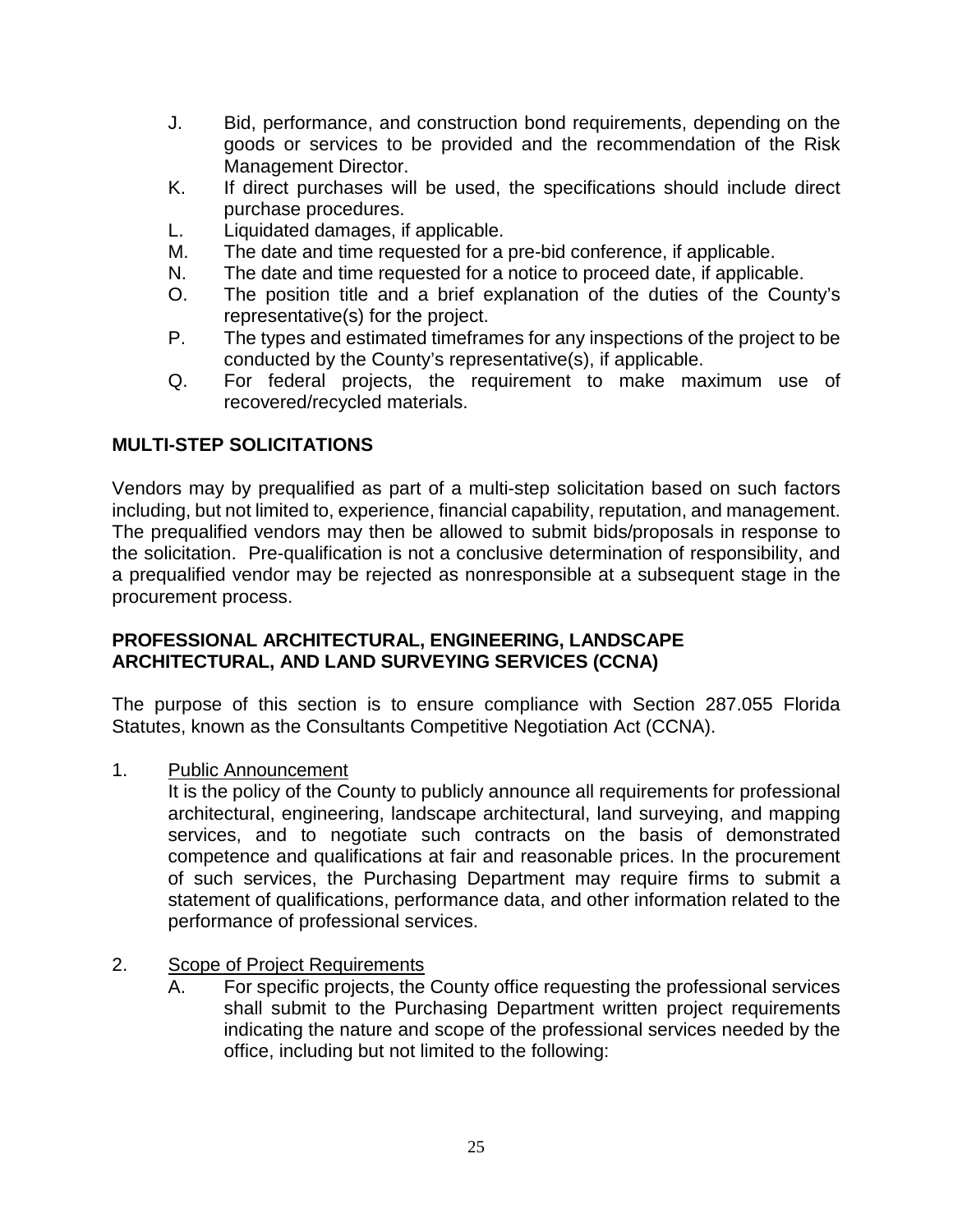- J. Bid, performance, and construction bond requirements, depending on the goods or services to be provided and the recommendation of the Risk Management Director.
- K. If direct purchases will be used, the specifications should include direct purchase procedures.
- L. Liquidated damages, if applicable.
- M. The date and time requested for a pre-bid conference, if applicable.
- N. The date and time requested for a notice to proceed date, if applicable.
- O. The position title and a brief explanation of the duties of the County's representative(s) for the project.
- P. The types and estimated timeframes for any inspections of the project to be conducted by the County's representative(s), if applicable.
- Q. For federal projects, the requirement to make maximum use of recovered/recycled materials.

# **MULTI-STEP SOLICITATIONS**

Vendors may by prequalified as part of a multi-step solicitation based on such factors including, but not limited to, experience, financial capability, reputation, and management. The prequalified vendors may then be allowed to submit bids/proposals in response to the solicitation. Pre-qualification is not a conclusive determination of responsibility, and a prequalified vendor may be rejected as nonresponsible at a subsequent stage in the procurement process.

#### **PROFESSIONAL ARCHITECTURAL, ENGINEERING, LANDSCAPE ARCHITECTURAL, AND LAND SURVEYING SERVICES (CCNA)**

The purpose of this section is to ensure compliance with Section 287.055 Florida Statutes, known as the Consultants Competitive Negotiation Act (CCNA).

1. Public Announcement

It is the policy of the County to publicly announce all requirements for professional architectural, engineering, landscape architectural, land surveying, and mapping services, and to negotiate such contracts on the basis of demonstrated competence and qualifications at fair and reasonable prices. In the procurement of such services, the Purchasing Department may require firms to submit a statement of qualifications, performance data, and other information related to the performance of professional services.

#### 2. Scope of Project Requirements

A. For specific projects, the County office requesting the professional services shall submit to the Purchasing Department written project requirements indicating the nature and scope of the professional services needed by the office, including but not limited to the following: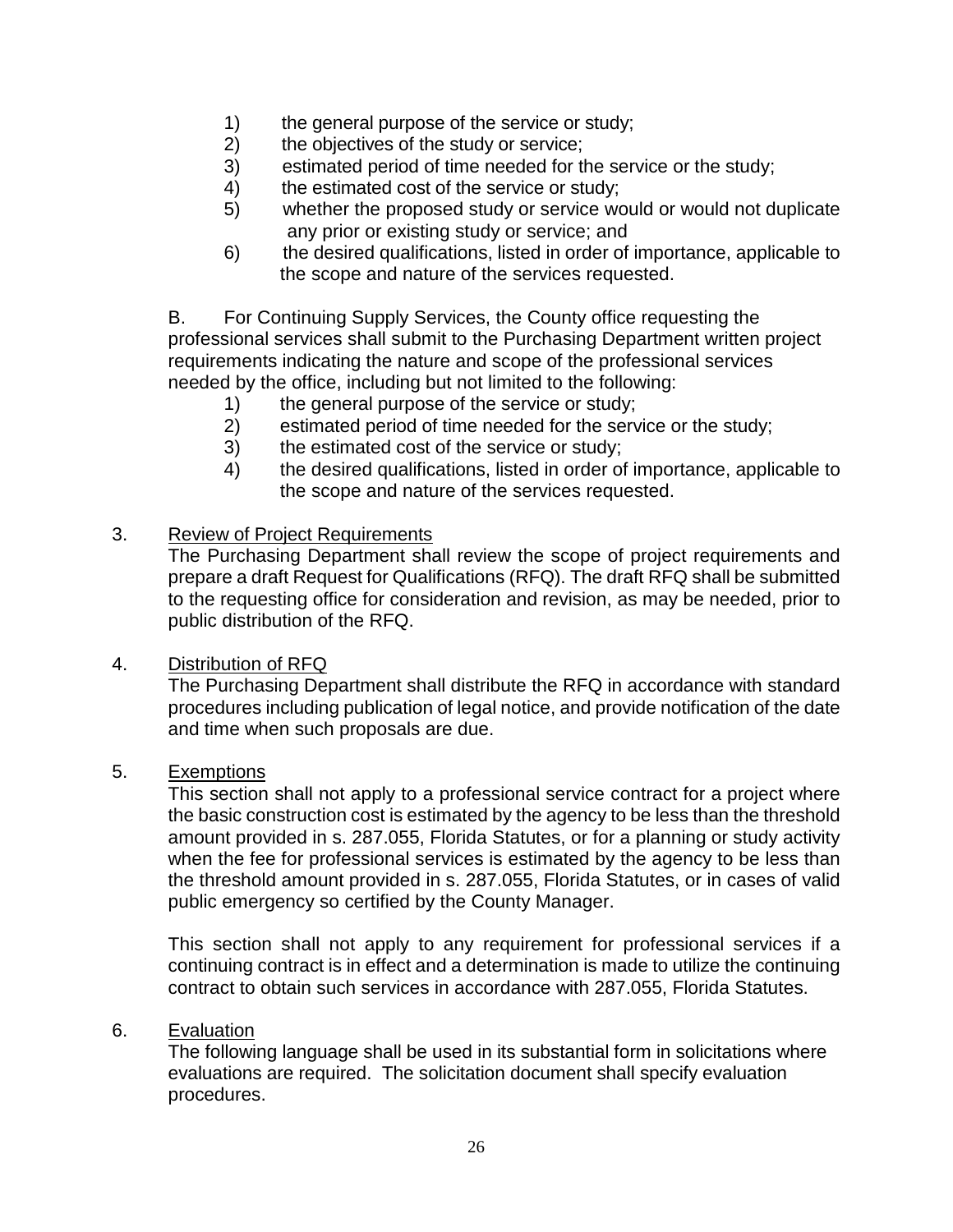- 1) the general purpose of the service or study;
- 2) the objectives of the study or service;
- 3) estimated period of time needed for the service or the study;
- 4) the estimated cost of the service or study;
- 5) whether the proposed study or service would or would not duplicate any prior or existing study or service; and
- 6) the desired qualifications, listed in order of importance, applicable to the scope and nature of the services requested.

B. For Continuing Supply Services, the County office requesting the professional services shall submit to the Purchasing Department written project requirements indicating the nature and scope of the professional services needed by the office, including but not limited to the following:

- 1) the general purpose of the service or study;
- 2) estimated period of time needed for the service or the study;
- 3) the estimated cost of the service or study;
- 4) the desired qualifications, listed in order of importance, applicable to the scope and nature of the services requested.

#### 3. Review of Project Requirements

The Purchasing Department shall review the scope of project requirements and prepare a draft Request for Qualifications (RFQ). The draft RFQ shall be submitted to the requesting office for consideration and revision, as may be needed, prior to public distribution of the RFQ.

#### 4. Distribution of RFQ

The Purchasing Department shall distribute the RFQ in accordance with standard procedures including publication of legal notice, and provide notification of the date and time when such proposals are due.

#### 5. Exemptions

This section shall not apply to a professional service contract for a project where the basic construction cost is estimated by the agency to be less than the threshold amount provided in s. 287.055, Florida Statutes, or for a planning or study activity when the fee for professional services is estimated by the agency to be less than the threshold amount provided in s. 287.055, Florida Statutes, or in cases of valid public emergency so certified by the County Manager.

This section shall not apply to any requirement for professional services if a continuing contract is in effect and a determination is made to utilize the continuing contract to obtain such services in accordance with 287.055, Florida Statutes.

#### 6. Evaluation

The following language shall be used in its substantial form in solicitations where evaluations are required. The solicitation document shall specify evaluation procedures.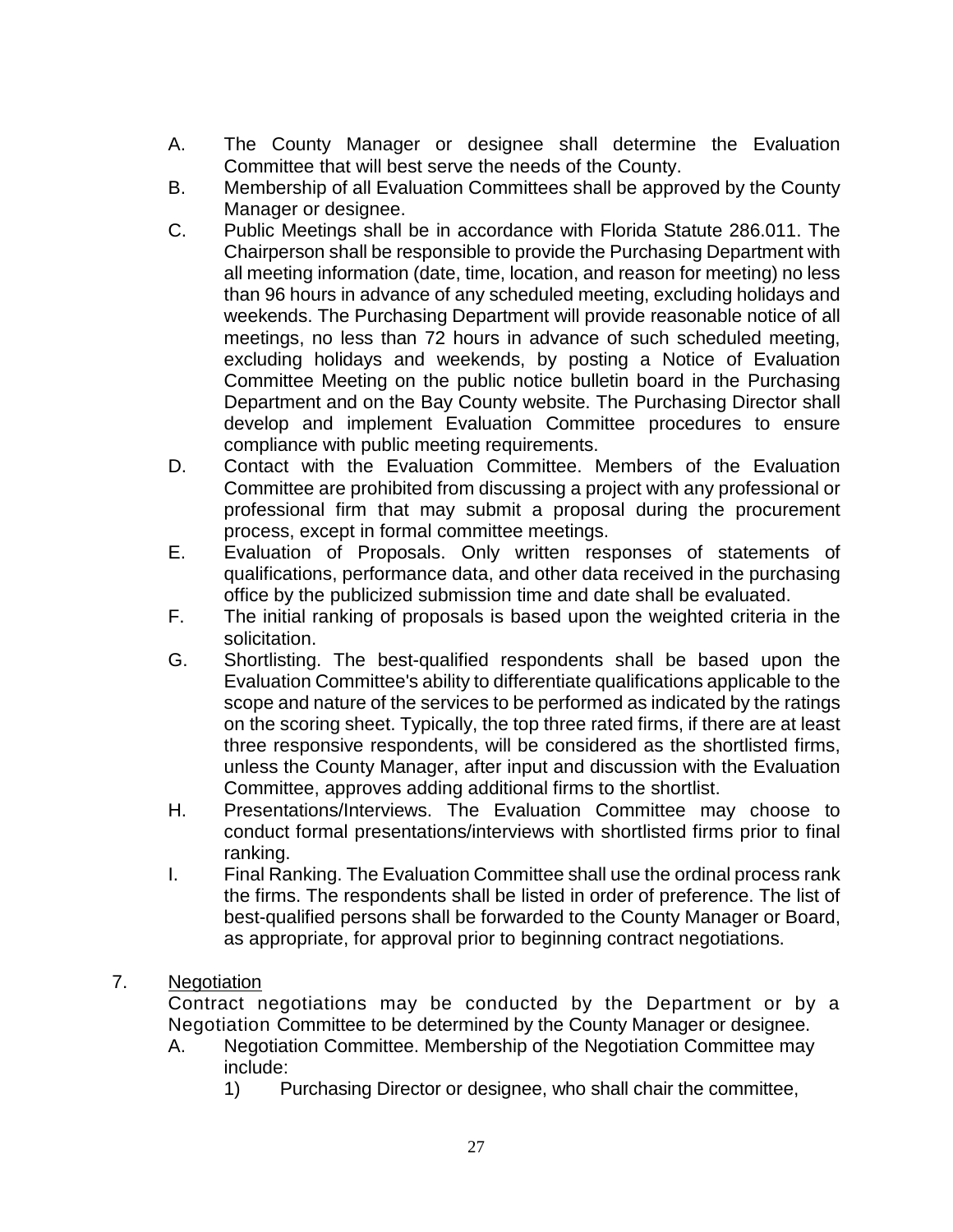- A. The County Manager or designee shall determine the Evaluation Committee that will best serve the needs of the County.
- B. Membership of all Evaluation Committees shall be approved by the County Manager or designee.
- C. Public Meetings shall be in accordance with Florida Statute 286.011. The Chairperson shall be responsible to provide the Purchasing Department with all meeting information (date, time, location, and reason for meeting) no less than 96 hours in advance of any scheduled meeting, excluding holidays and weekends. The Purchasing Department will provide reasonable notice of all meetings, no less than 72 hours in advance of such scheduled meeting, excluding holidays and weekends, by posting a Notice of Evaluation Committee Meeting on the public notice bulletin board in the Purchasing Department and on the Bay County website. The Purchasing Director shall develop and implement Evaluation Committee procedures to ensure compliance with public meeting requirements.
- D. Contact with the Evaluation Committee. Members of the Evaluation Committee are prohibited from discussing a project with any professional or professional firm that may submit a proposal during the procurement process, except in formal committee meetings.
- E. Evaluation of Proposals. Only written responses of statements of qualifications, performance data, and other data received in the purchasing office by the publicized submission time and date shall be evaluated.
- F. The initial ranking of proposals is based upon the weighted criteria in the solicitation.
- G. Shortlisting. The best-qualified respondents shall be based upon the Evaluation Committee's ability to differentiate qualifications applicable to the scope and nature of the services to be performed as indicated by the ratings on the scoring sheet. Typically, the top three rated firms, if there are at least three responsive respondents, will be considered as the shortlisted firms, unless the County Manager, after input and discussion with the Evaluation Committee, approves adding additional firms to the shortlist.
- H. Presentations/Interviews. The Evaluation Committee may choose to conduct formal presentations/interviews with shortlisted firms prior to final ranking.
- I. Final Ranking. The Evaluation Committee shall use the ordinal process rank the firms. The respondents shall be listed in order of preference. The list of best-qualified persons shall be forwarded to the County Manager or Board, as appropriate, for approval prior to beginning contract negotiations.

# 7. Negotiation

Contract negotiations may be conducted by the Department or by a Negotiation Committee to be determined by the County Manager or designee.

- A. Negotiation Committee. Membership of the Negotiation Committee may include:
	- 1) Purchasing Director or designee, who shall chair the committee,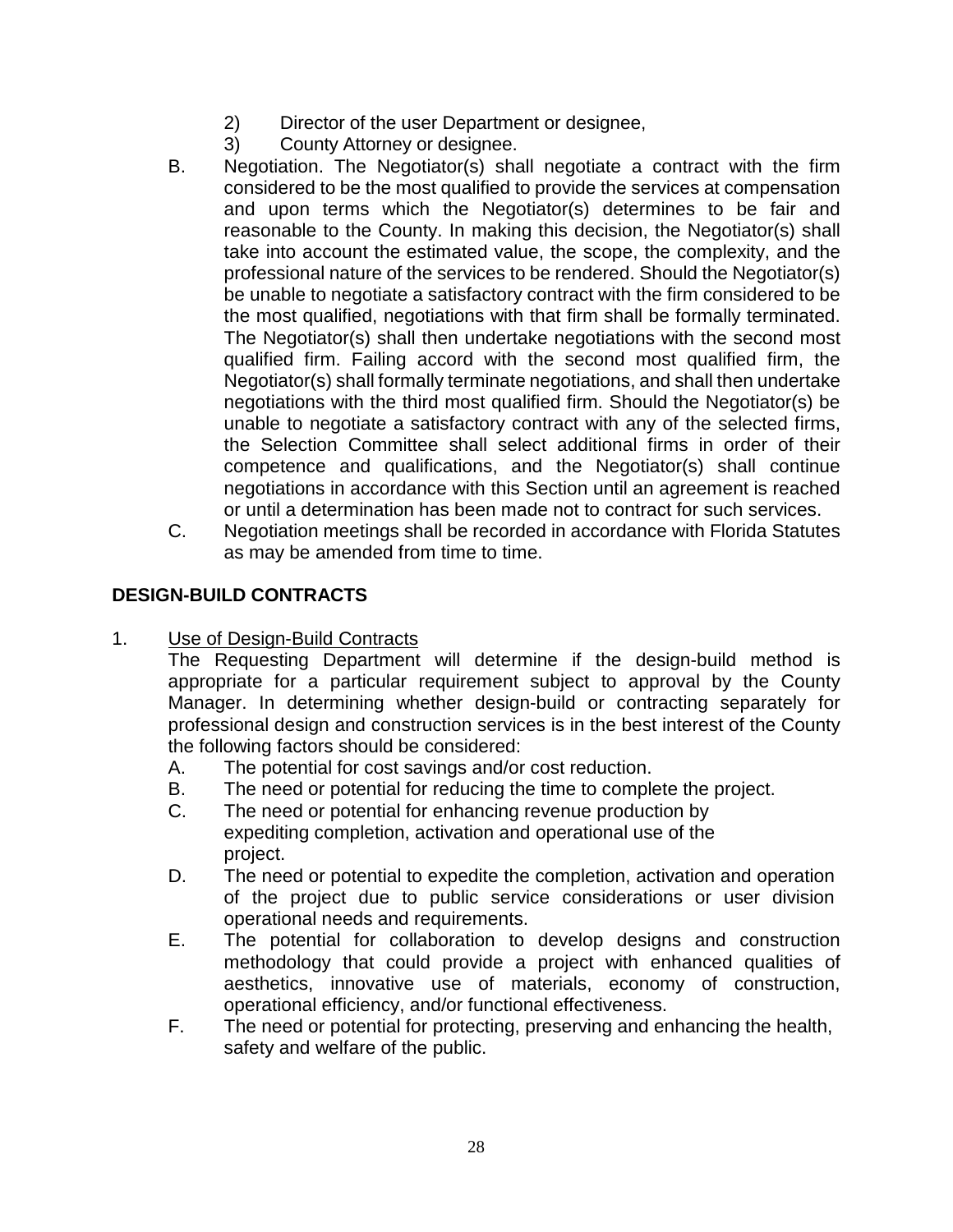- 2) Director of the user Department or designee,
- 3) County Attorney or designee.
- B. Negotiation. The Negotiator(s) shall negotiate a contract with the firm considered to be the most qualified to provide the services at compensation and upon terms which the Negotiator(s) determines to be fair and reasonable to the County. In making this decision, the Negotiator(s) shall take into account the estimated value, the scope, the complexity, and the professional nature of the services to be rendered. Should the Negotiator(s) be unable to negotiate a satisfactory contract with the firm considered to be the most qualified, negotiations with that firm shall be formally terminated. The Negotiator(s) shall then undertake negotiations with the second most qualified firm. Failing accord with the second most qualified firm, the Negotiator(s) shall formally terminate negotiations, and shall then undertake negotiations with the third most qualified firm. Should the Negotiator(s) be unable to negotiate a satisfactory contract with any of the selected firms, the Selection Committee shall select additional firms in order of their competence and qualifications, and the Negotiator(s) shall continue negotiations in accordance with this Section until an agreement is reached or until a determination has been made not to contract for such services.
- C. Negotiation meetings shall be recorded in accordance with Florida Statutes as may be amended from time to time.

# **DESIGN-BUILD CONTRACTS**

1. Use of Design-Build Contracts

The Requesting Department will determine if the design-build method is appropriate for a particular requirement subject to approval by the County Manager. In determining whether design-build or contracting separately for professional design and construction services is in the best interest of the County the following factors should be considered:

- A. The potential for cost savings and/or cost reduction.
- B. The need or potential for reducing the time to complete the project.
- C. The need or potential for enhancing revenue production by expediting completion, activation and operational use of the project.
- D. The need or potential to expedite the completion, activation and operation of the project due to public service considerations or user division operational needs and requirements.
- E. The potential for collaboration to develop designs and construction methodology that could provide a project with enhanced qualities of aesthetics, innovative use of materials, economy of construction, operational efficiency, and/or functional effectiveness.
- F. The need or potential for protecting, preserving and enhancing the health, safety and welfare of the public.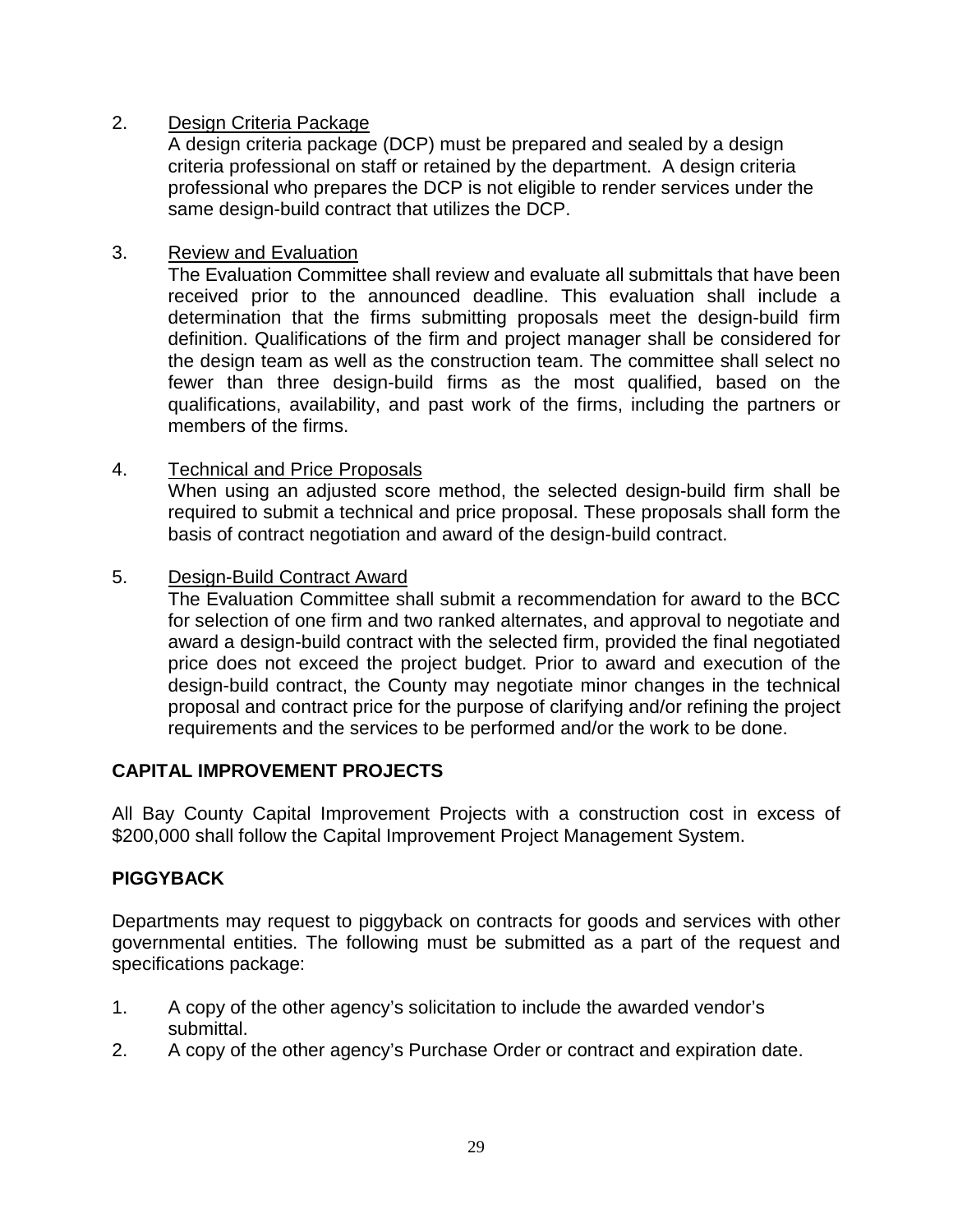# 2. Design Criteria Package

A design criteria package (DCP) must be prepared and sealed by a design criteria professional on staff or retained by the department. A design criteria professional who prepares the DCP is not eligible to render services under the same design-build contract that utilizes the DCP.

## 3. Review and Evaluation

The Evaluation Committee shall review and evaluate all submittals that have been received prior to the announced deadline. This evaluation shall include a determination that the firms submitting proposals meet the design-build firm definition. Qualifications of the firm and project manager shall be considered for the design team as well as the construction team. The committee shall select no fewer than three design-build firms as the most qualified, based on the qualifications, availability, and past work of the firms, including the partners or members of the firms.

#### 4. Technical and Price Proposals

When using an adjusted score method, the selected design-build firm shall be required to submit a technical and price proposal. These proposals shall form the basis of contract negotiation and award of the design-build contract.

#### 5. Design-Build Contract Award

The Evaluation Committee shall submit a recommendation for award to the BCC for selection of one firm and two ranked alternates, and approval to negotiate and award a design-build contract with the selected firm, provided the final negotiated price does not exceed the project budget. Prior to award and execution of the design-build contract, the County may negotiate minor changes in the technical proposal and contract price for the purpose of clarifying and/or refining the project requirements and the services to be performed and/or the work to be done.

# **CAPITAL IMPROVEMENT PROJECTS**

All Bay County Capital Improvement Projects with a construction cost in excess of \$200,000 shall follow the Capital Improvement Project Management System.

#### **PIGGYBACK**

Departments may request to piggyback on contracts for goods and services with other governmental entities. The following must be submitted as a part of the request and specifications package:

- 1. A copy of the other agency's solicitation to include the awarded vendor's submittal.
- 2. A copy of the other agency's Purchase Order or contract and expiration date.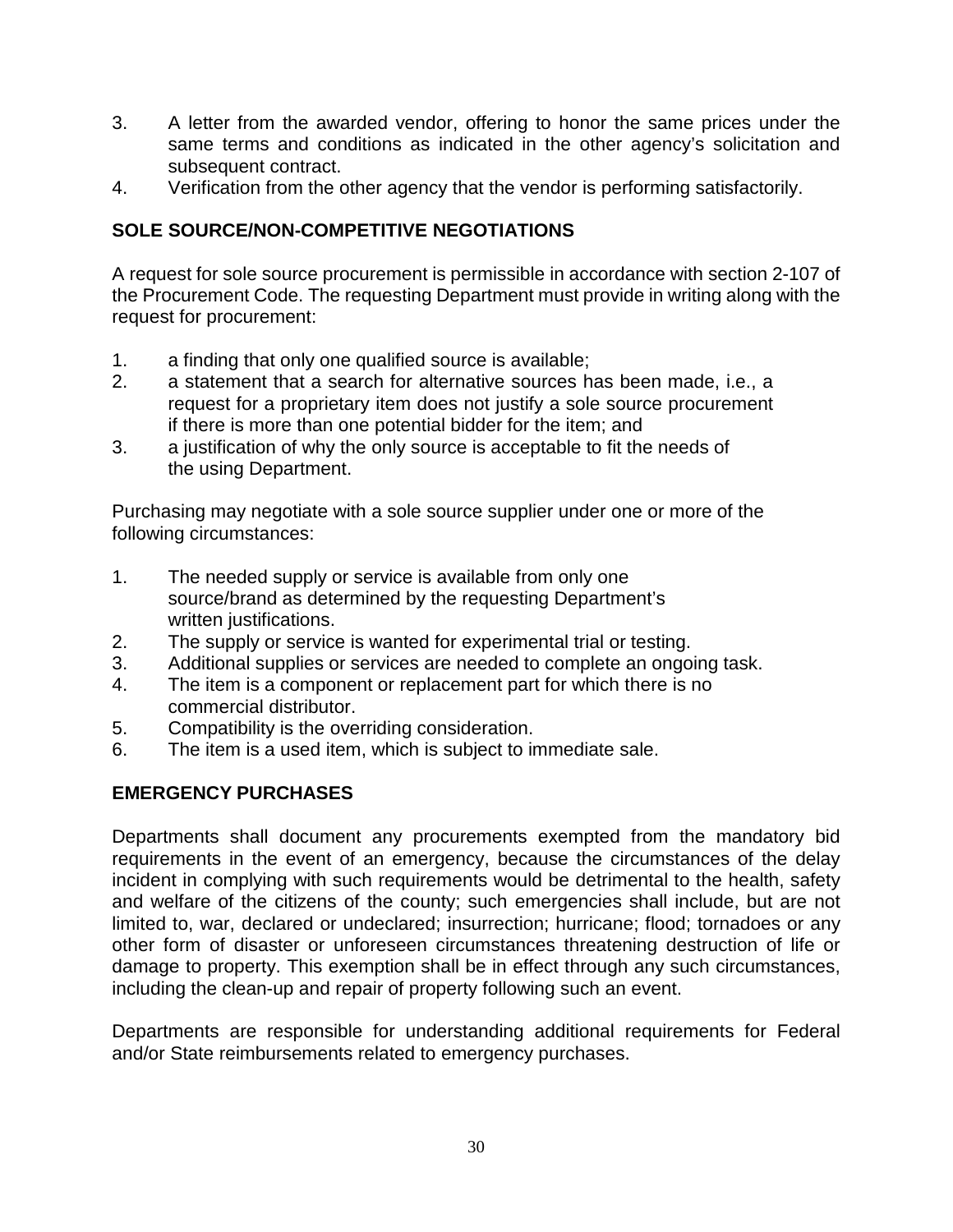- 3. A letter from the awarded vendor, offering to honor the same prices under the same terms and conditions as indicated in the other agency's solicitation and subsequent contract.
- 4. Verification from the other agency that the vendor is performing satisfactorily.

# **SOLE SOURCE/NON-COMPETITIVE NEGOTIATIONS**

A request for sole source procurement is permissible in accordance with section 2-107 of the Procurement Code. The requesting Department must provide in writing along with the request for procurement:

- 1. a finding that only one qualified source is available;
- 2. a statement that a search for alternative sources has been made, i.e., a request for a proprietary item does not justify a sole source procurement if there is more than one potential bidder for the item; and
- 3. a justification of why the only source is acceptable to fit the needs of the using Department.

Purchasing may negotiate with a sole source supplier under one or more of the following circumstances:

- 1. The needed supply or service is available from only one source/brand as determined by the requesting Department's written justifications.
- 2. The supply or service is wanted for experimental trial or testing.
- 3. Additional supplies or services are needed to complete an ongoing task.
- 4. The item is a component or replacement part for which there is no commercial distributor.
- 5. Compatibility is the overriding consideration.
- 6. The item is a used item, which is subject to immediate sale.

# **EMERGENCY PURCHASES**

Departments shall document any procurements exempted from the mandatory bid requirements in the event of an emergency, because the circumstances of the delay incident in complying with such requirements would be detrimental to the health, safety and welfare of the citizens of the county; such emergencies shall include, but are not limited to, war, declared or undeclared; insurrection; hurricane; flood; tornadoes or any other form of disaster or unforeseen circumstances threatening destruction of life or damage to property. This exemption shall be in effect through any such circumstances, including the clean-up and repair of property following such an event.

Departments are responsible for understanding additional requirements for Federal and/or State reimbursements related to emergency purchases.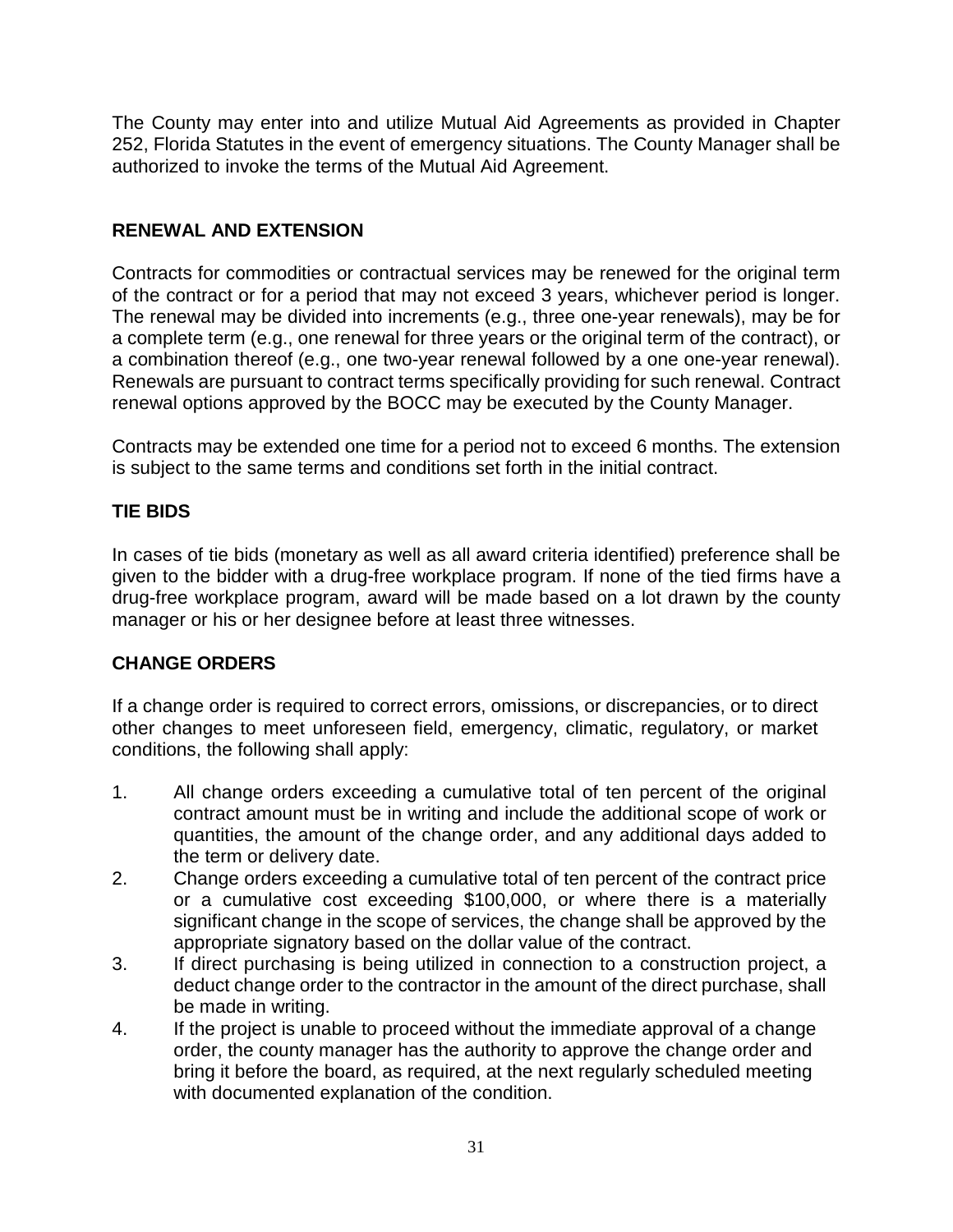The County may enter into and utilize Mutual Aid Agreements as provided in Chapter 252, Florida Statutes in the event of emergency situations. The County Manager shall be authorized to invoke the terms of the Mutual Aid Agreement.

# **RENEWAL AND EXTENSION**

Contracts for commodities or contractual services may be renewed for the original term of the contract or for a period that may not exceed 3 years, whichever period is longer. The renewal may be divided into increments (e.g., three one-year renewals), may be for a complete term (e.g., one renewal for three years or the original term of the contract), or a combination thereof (e.g., one two-year renewal followed by a one one-year renewal). Renewals are pursuant to contract terms specifically providing for such renewal. Contract renewal options approved by the BOCC may be executed by the County Manager.

Contracts may be extended one time for a period not to exceed 6 months. The extension is subject to the same terms and conditions set forth in the initial contract.

# **TIE BIDS**

In cases of tie bids (monetary as well as all award criteria identified) preference shall be given to the bidder with a drug-free workplace program. If none of the tied firms have a drug-free workplace program, award will be made based on a lot drawn by the county manager or his or her designee before at least three witnesses.

# **CHANGE ORDERS**

If a change order is required to correct errors, omissions, or discrepancies, or to direct other changes to meet unforeseen field, emergency, climatic, regulatory, or market conditions, the following shall apply:

- 1. All change orders exceeding a cumulative total of ten percent of the original contract amount must be in writing and include the additional scope of work or quantities, the amount of the change order, and any additional days added to the term or delivery date.
- 2. Change orders exceeding a cumulative total of ten percent of the contract price or a cumulative cost exceeding \$100,000, or where there is a materially significant change in the scope of services, the change shall be approved by the appropriate signatory based on the dollar value of the contract.
- 3. If direct purchasing is being utilized in connection to a construction project, a deduct change order to the contractor in the amount of the direct purchase, shall be made in writing.
- 4. If the project is unable to proceed without the immediate approval of a change order, the county manager has the authority to approve the change order and bring it before the board, as required, at the next regularly scheduled meeting with documented explanation of the condition.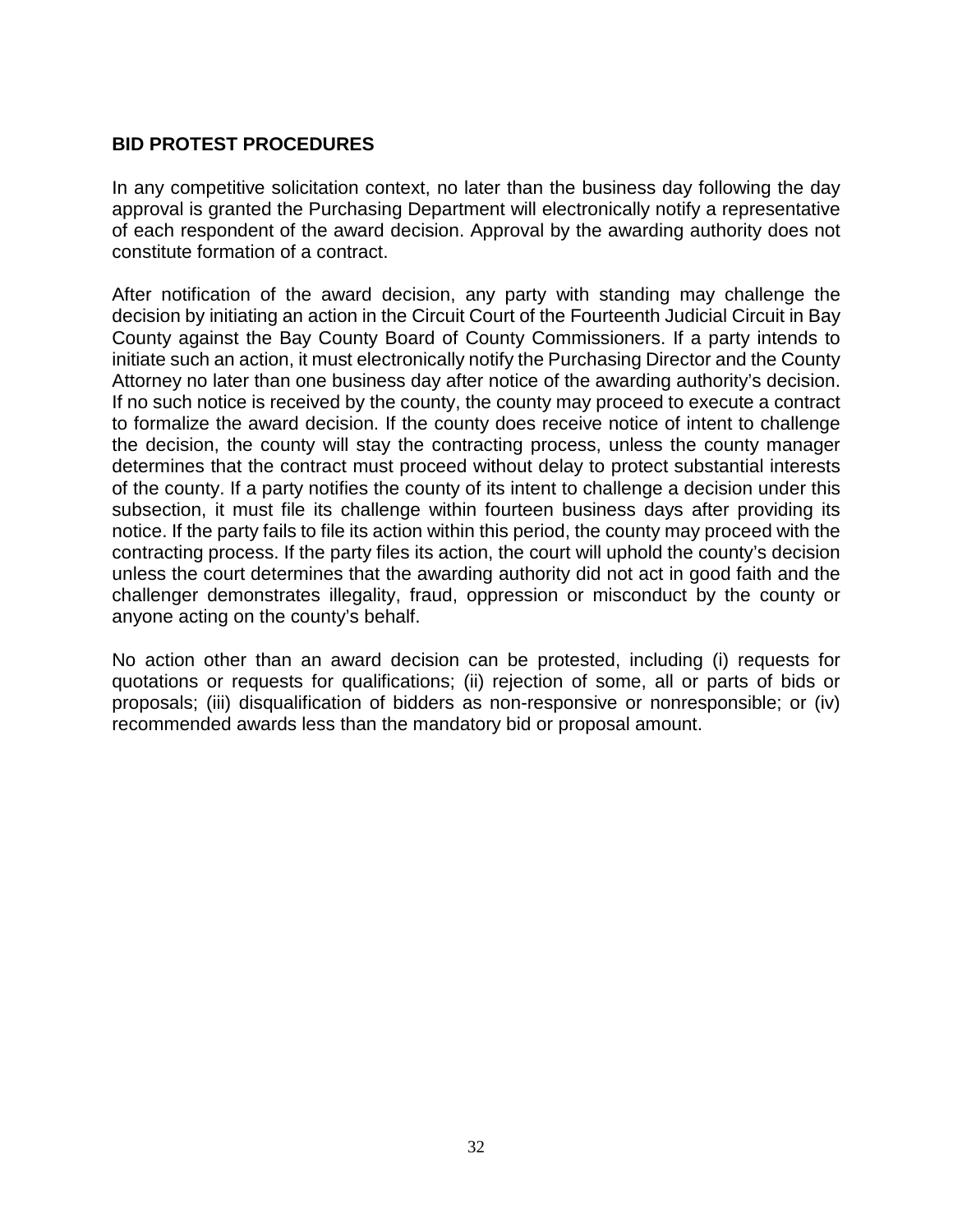#### **BID PROTEST PROCEDURES**

In any competitive solicitation context, no later than the business day following the day approval is granted the Purchasing Department will electronically notify a representative of each respondent of the award decision. Approval by the awarding authority does not constitute formation of a contract.

After notification of the award decision, any party with standing may challenge the decision by initiating an action in the Circuit Court of the Fourteenth Judicial Circuit in Bay County against the Bay County Board of County Commissioners. If a party intends to initiate such an action, it must electronically notify the Purchasing Director and the County Attorney no later than one business day after notice of the awarding authority's decision. If no such notice is received by the county, the county may proceed to execute a contract to formalize the award decision. If the county does receive notice of intent to challenge the decision, the county will stay the contracting process, unless the county manager determines that the contract must proceed without delay to protect substantial interests of the county. If a party notifies the county of its intent to challenge a decision under this subsection, it must file its challenge within fourteen business days after providing its notice. If the party fails to file its action within this period, the county may proceed with the contracting process. If the party files its action, the court will uphold the county's decision unless the court determines that the awarding authority did not act in good faith and the challenger demonstrates illegality, fraud, oppression or misconduct by the county or anyone acting on the county's behalf.

No action other than an award decision can be protested, including (i) requests for quotations or requests for qualifications; (ii) rejection of some, all or parts of bids or proposals; (iii) disqualification of bidders as non-responsive or nonresponsible; or (iv) recommended awards less than the mandatory bid or proposal amount.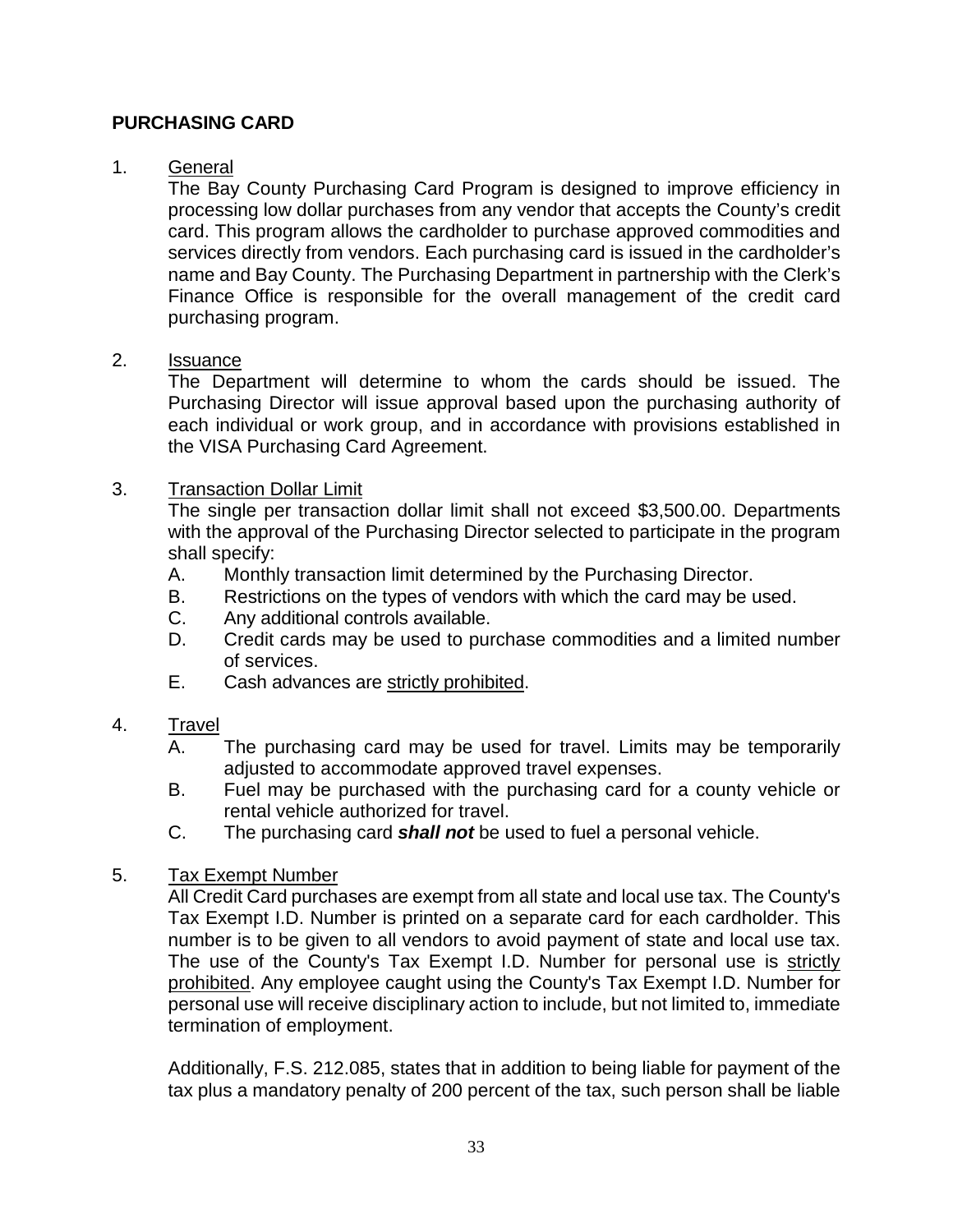#### **PURCHASING CARD**

#### 1. General

The Bay County Purchasing Card Program is designed to improve efficiency in processing low dollar purchases from any vendor that accepts the County's credit card. This program allows the cardholder to purchase approved commodities and services directly from vendors. Each purchasing card is issued in the cardholder's name and Bay County. The Purchasing Department in partnership with the Clerk's Finance Office is responsible for the overall management of the credit card purchasing program.

#### 2. Issuance

The Department will determine to whom the cards should be issued. The Purchasing Director will issue approval based upon the purchasing authority of each individual or work group, and in accordance with provisions established in the VISA Purchasing Card Agreement.

#### 3. Transaction Dollar Limit

The single per transaction dollar limit shall not exceed \$3,500.00. Departments with the approval of the Purchasing Director selected to participate in the program shall specify:

- A. Monthly transaction limit determined by the Purchasing Director.
- B. Restrictions on the types of vendors with which the card may be used.
- C. Any additional controls available.
- D. Credit cards may be used to purchase commodities and a limited number of services.
- E. Cash advances are strictly prohibited.

#### 4. Travel

- A. The purchasing card may be used for travel. Limits may be temporarily adjusted to accommodate approved travel expenses.
- B. Fuel may be purchased with the purchasing card for a county vehicle or rental vehicle authorized for travel.
- C. The purchasing card *shall not* be used to fuel a personal vehicle.

#### 5. Tax Exempt Number

All Credit Card purchases are exempt from all state and local use tax. The County's Tax Exempt I.D. Number is printed on a separate card for each cardholder. This number is to be given to all vendors to avoid payment of state and local use tax. The use of the County's Tax Exempt I.D. Number for personal use is strictly prohibited. Any employee caught using the County's Tax Exempt I.D. Number for personal use will receive disciplinary action to include, but not limited to, immediate termination of employment.

Additionally, F.S. 212.085, states that in addition to being liable for payment of the tax plus a mandatory penalty of 200 percent of the tax, such person shall be liable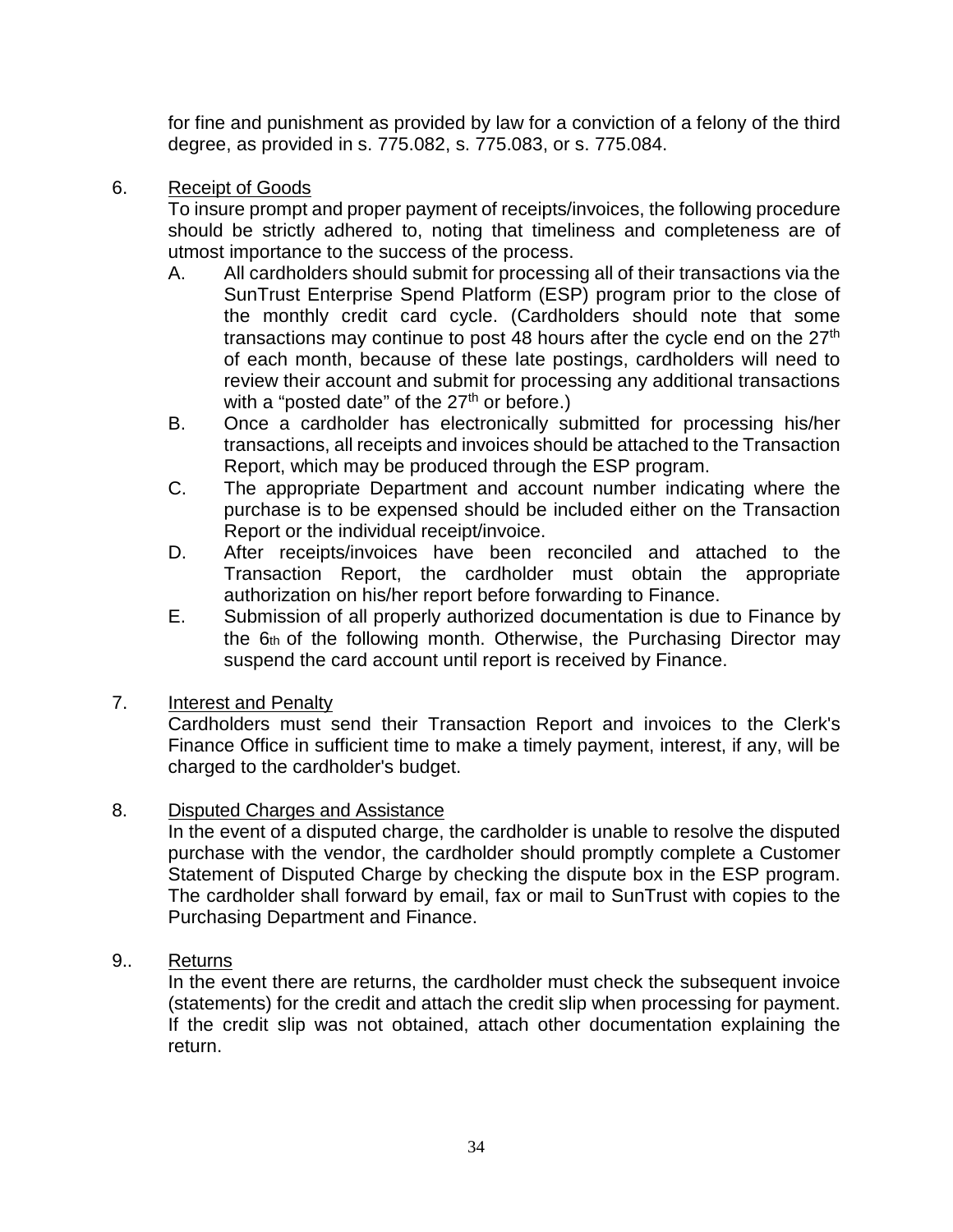for fine and punishment as provided by law for a conviction of a felony of the third degree, as provided in s. 775.082, s. 775.083, or s. 775.084.

6. Receipt of Goods

To insure prompt and proper payment of receipts/invoices, the following procedure should be strictly adhered to, noting that timeliness and completeness are of utmost importance to the success of the process.

- A. All cardholders should submit for processing all of their transactions via the SunTrust Enterprise Spend Platform (ESP) program prior to the close of the monthly credit card cycle. (Cardholders should note that some transactions may continue to post 48 hours after the cycle end on the 27<sup>th</sup> of each month, because of these late postings, cardholders will need to review their account and submit for processing any additional transactions with a "posted date" of the 27<sup>th</sup> or before.)
- B. Once a cardholder has electronically submitted for processing his/her transactions, all receipts and invoices should be attached to the Transaction Report, which may be produced through the ESP program.
- C. The appropriate Department and account number indicating where the purchase is to be expensed should be included either on the Transaction Report or the individual receipt/invoice.
- D. After receipts/invoices have been reconciled and attached to the Transaction Report, the cardholder must obtain the appropriate authorization on his/her report before forwarding to Finance.
- E. Submission of all properly authorized documentation is due to Finance by the 6th of the following month. Otherwise, the Purchasing Director may suspend the card account until report is received by Finance.
- 7. Interest and Penalty

Cardholders must send their Transaction Report and invoices to the Clerk's Finance Office in sufficient time to make a timely payment, interest, if any, will be charged to the cardholder's budget.

8. Disputed Charges and Assistance

In the event of a disputed charge, the cardholder is unable to resolve the disputed purchase with the vendor, the cardholder should promptly complete a Customer Statement of Disputed Charge by checking the dispute box in the ESP program. The cardholder shall forward by email, fax or mail to SunTrust with copies to the Purchasing Department and Finance.

9.. Returns

In the event there are returns, the cardholder must check the subsequent invoice (statements) for the credit and attach the credit slip when processing for payment. If the credit slip was not obtained, attach other documentation explaining the return.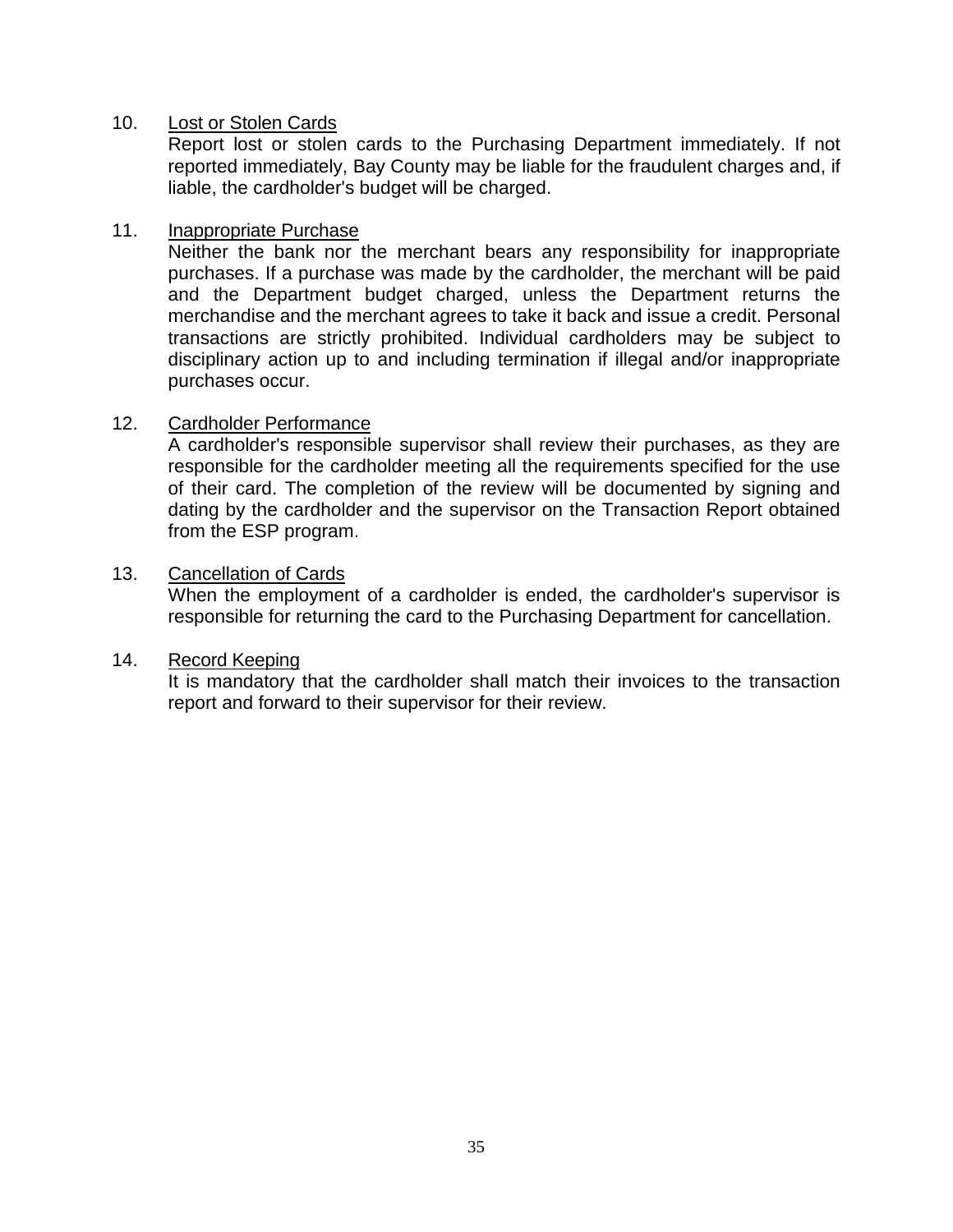#### 10. Lost or Stolen Cards

Report lost or stolen cards to the Purchasing Department immediately. If not reported immediately, Bay County may be liable for the fraudulent charges and, if liable, the cardholder's budget will be charged.

#### 11. Inappropriate Purchase

Neither the bank nor the merchant bears any responsibility for inappropriate purchases. If a purchase was made by the cardholder, the merchant will be paid and the Department budget charged, unless the Department returns the merchandise and the merchant agrees to take it back and issue a credit. Personal transactions are strictly prohibited. Individual cardholders may be subject to disciplinary action up to and including termination if illegal and/or inappropriate purchases occur.

#### 12. Cardholder Performance

A cardholder's responsible supervisor shall review their purchases, as they are responsible for the cardholder meeting all the requirements specified for the use of their card. The completion of the review will be documented by signing and dating by the cardholder and the supervisor on the Transaction Report obtained from the ESP program.

#### 13. Cancellation of Cards

When the employment of a cardholder is ended, the cardholder's supervisor is responsible for returning the card to the Purchasing Department for cancellation.

#### 14. Record Keeping

It is mandatory that the cardholder shall match their invoices to the transaction report and forward to their supervisor for their review.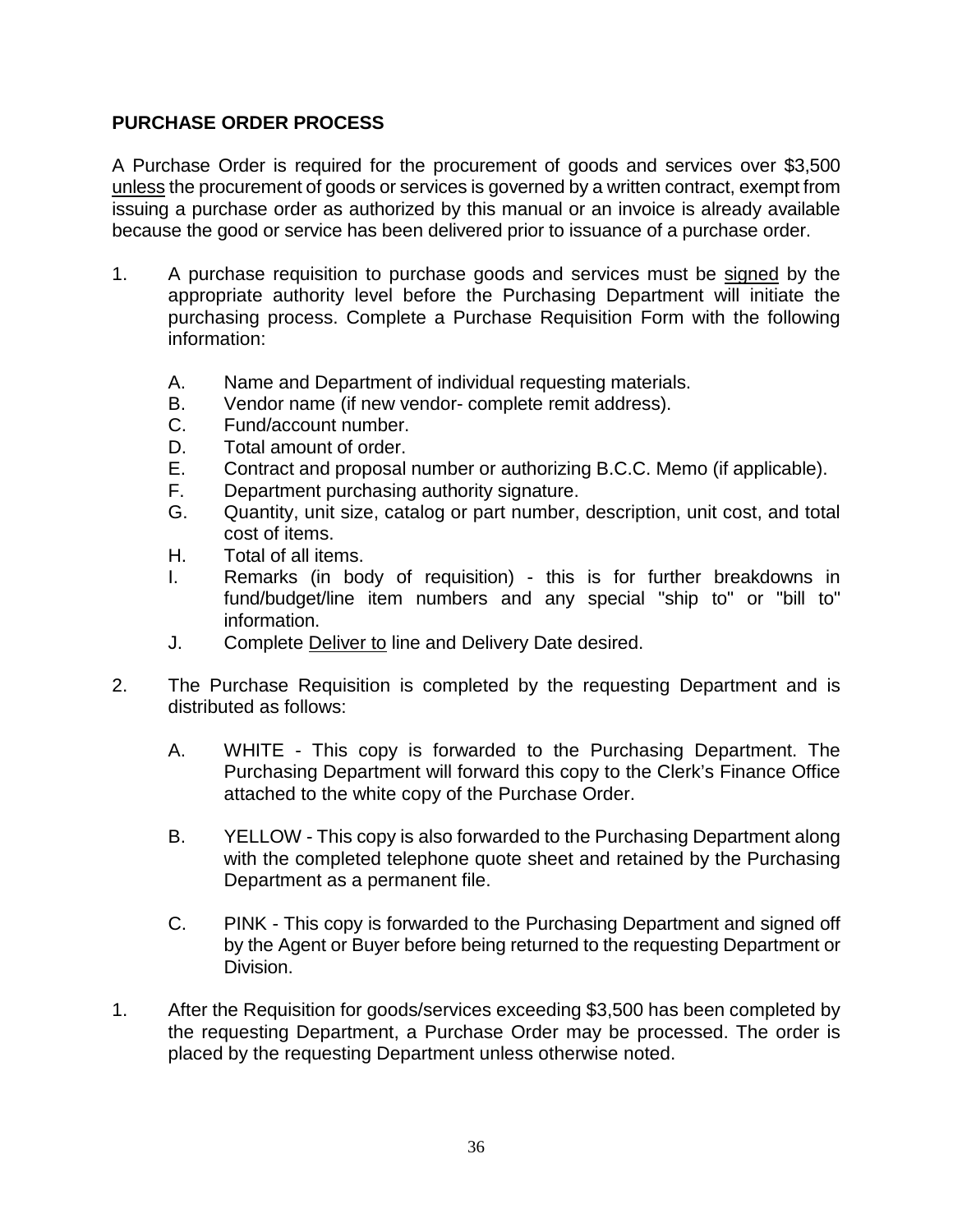### **PURCHASE ORDER PROCESS**

A Purchase Order is required for the procurement of goods and services over \$3,500 unless the procurement of goods or services is governed by a written contract, exempt from issuing a purchase order as authorized by this manual or an invoice is already available because the good or service has been delivered prior to issuance of a purchase order.

- 1. A purchase requisition to purchase goods and services must be signed by the appropriate authority level before the Purchasing Department will initiate the purchasing process. Complete a Purchase Requisition Form with the following information:
	- A. Name and Department of individual requesting materials.
	- B. Vendor name (if new vendor- complete remit address).
	- C. Fund/account number.
	- D. Total amount of order.
	- E. Contract and proposal number or authorizing B.C.C. Memo (if applicable).
	- F. Department purchasing authority signature.
	- G. Quantity, unit size, catalog or part number, description, unit cost, and total cost of items.
	- H. Total of all items.
	- I. Remarks (in body of requisition) this is for further breakdowns in fund/budget/line item numbers and any special "ship to" or "bill to" information.
	- J. Complete Deliver to line and Delivery Date desired.
- 2. The Purchase Requisition is completed by the requesting Department and is distributed as follows:
	- A. WHITE This copy is forwarded to the Purchasing Department. The Purchasing Department will forward this copy to the Clerk's Finance Office attached to the white copy of the Purchase Order.
	- B. YELLOW This copy is also forwarded to the Purchasing Department along with the completed telephone quote sheet and retained by the Purchasing Department as a permanent file.
	- C. PINK This copy is forwarded to the Purchasing Department and signed off by the Agent or Buyer before being returned to the requesting Department or Division.
- 1. After the Requisition for goods/services exceeding \$3,500 has been completed by the requesting Department, a Purchase Order may be processed. The order is placed by the requesting Department unless otherwise noted.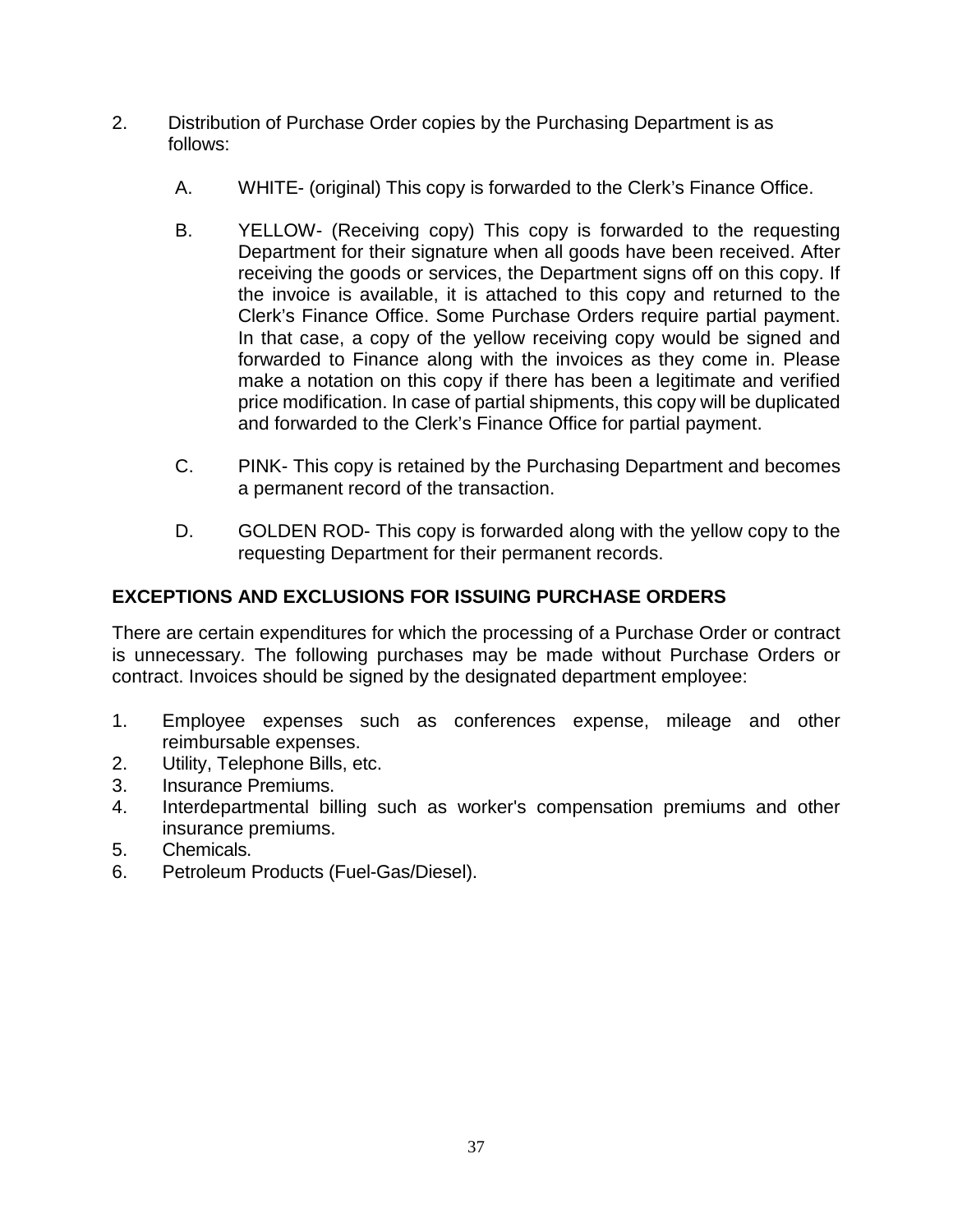- 2. Distribution of Purchase Order copies by the Purchasing Department is as follows:
	- A. WHITE- (original) This copy is forwarded to the Clerk's Finance Office.
	- B. YELLOW- (Receiving copy) This copy is forwarded to the requesting Department for their signature when all goods have been received. After receiving the goods or services, the Department signs off on this copy. If the invoice is available, it is attached to this copy and returned to the Clerk's Finance Office. Some Purchase Orders require partial payment. In that case, a copy of the yellow receiving copy would be signed and forwarded to Finance along with the invoices as they come in. Please make a notation on this copy if there has been a legitimate and verified price modification. In case of partial shipments, this copy will be duplicated and forwarded to the Clerk's Finance Office for partial payment.
	- C. PINK- This copy is retained by the Purchasing Department and becomes a permanent record of the transaction.
	- D. GOLDEN ROD- This copy is forwarded along with the yellow copy to the requesting Department for their permanent records.

# **EXCEPTIONS AND EXCLUSIONS FOR ISSUING PURCHASE ORDERS**

There are certain expenditures for which the processing of a Purchase Order or contract is unnecessary. The following purchases may be made without Purchase Orders or contract. Invoices should be signed by the designated department employee:

- 1. Employee expenses such as conferences expense, mileage and other reimbursable expenses.
- 2. Utility, Telephone Bills, etc.
- 3. Insurance Premiums.
- 4. Interdepartmental billing such as worker's compensation premiums and other insurance premiums.
- 5. Chemicals.
- 6. Petroleum Products (Fuel-Gas/Diesel).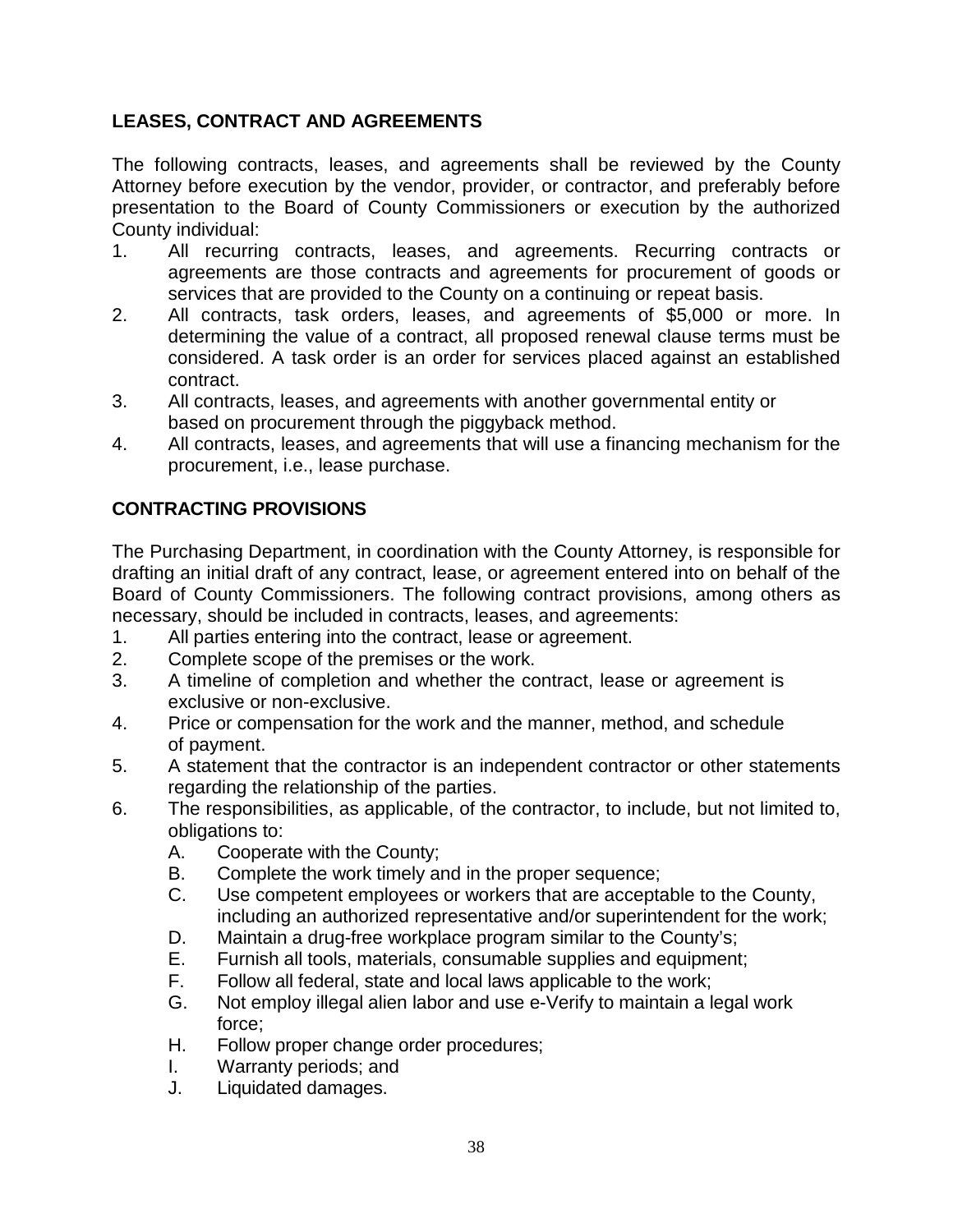# **LEASES, CONTRACT AND AGREEMENTS**

The following contracts, leases, and agreements shall be reviewed by the County Attorney before execution by the vendor, provider, or contractor, and preferably before presentation to the Board of County Commissioners or execution by the authorized County individual:

- 1. All recurring contracts, leases, and agreements. Recurring contracts or agreements are those contracts and agreements for procurement of goods or services that are provided to the County on a continuing or repeat basis.
- 2. All contracts, task orders, leases, and agreements of \$5,000 or more. In determining the value of a contract, all proposed renewal clause terms must be considered. A task order is an order for services placed against an established contract.
- 3. All contracts, leases, and agreements with another governmental entity or based on procurement through the piggyback method.
- 4. All contracts, leases, and agreements that will use a financing mechanism for the procurement, i.e., lease purchase.

# **CONTRACTING PROVISIONS**

The Purchasing Department, in coordination with the County Attorney, is responsible for drafting an initial draft of any contract, lease, or agreement entered into on behalf of the Board of County Commissioners. The following contract provisions, among others as necessary, should be included in contracts, leases, and agreements:

- 1. All parties entering into the contract, lease or agreement.
- 2. Complete scope of the premises or the work.
- 3. A timeline of completion and whether the contract, lease or agreement is exclusive or non-exclusive.
- 4. Price or compensation for the work and the manner, method, and schedule of payment.
- 5. A statement that the contractor is an independent contractor or other statements regarding the relationship of the parties.
- 6. The responsibilities, as applicable, of the contractor, to include, but not limited to, obligations to:
	- A. Cooperate with the County;
	- B. Complete the work timely and in the proper sequence;
	- C. Use competent employees or workers that are acceptable to the County, including an authorized representative and/or superintendent for the work;
	- D. Maintain a drug-free workplace program similar to the County's;
	- E. Furnish all tools, materials, consumable supplies and equipment;
	- F. Follow all federal, state and local laws applicable to the work;
	- G. Not employ illegal alien labor and use e-Verify to maintain a legal work force;
	- H. Follow proper change order procedures;
	- I. Warranty periods; and
	- J. Liquidated damages.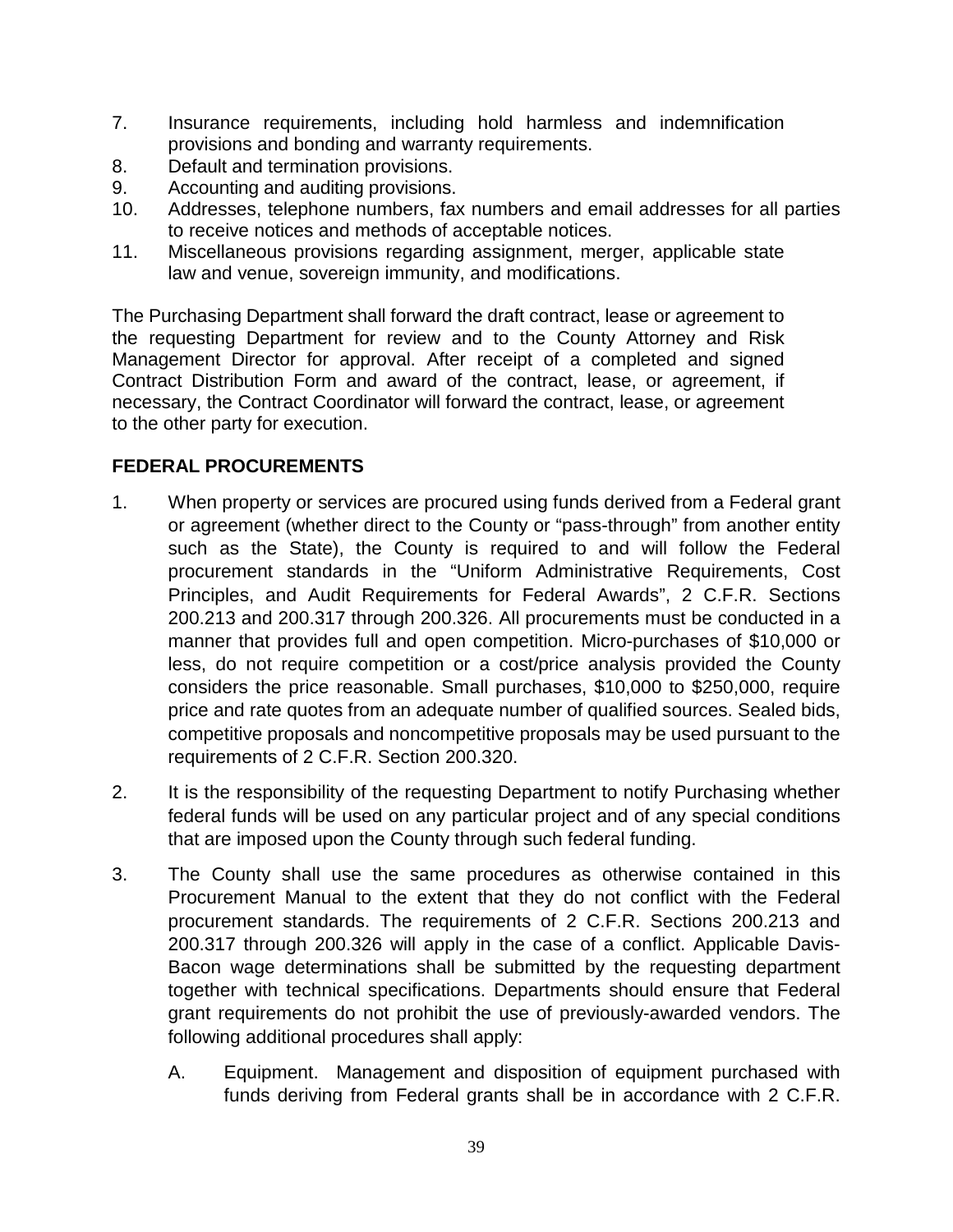- 7. Insurance requirements, including hold harmless and indemnification provisions and bonding and warranty requirements.
- 8. Default and termination provisions.
- 9. Accounting and auditing provisions.
- 10. Addresses, telephone numbers, fax numbers and email addresses for all parties to receive notices and methods of acceptable notices.
- 11. Miscellaneous provisions regarding assignment, merger, applicable state law and venue, sovereign immunity, and modifications.

The Purchasing Department shall forward the draft contract, lease or agreement to the requesting Department for review and to the County Attorney and Risk Management Director for approval. After receipt of a completed and signed Contract Distribution Form and award of the contract, lease, or agreement, if necessary, the Contract Coordinator will forward the contract, lease, or agreement to the other party for execution.

#### **FEDERAL PROCUREMENTS**

- 1. When property or services are procured using funds derived from a Federal grant or agreement (whether direct to the County or "pass-through" from another entity such as the State), the County is required to and will follow the Federal procurement standards in the "Uniform Administrative Requirements, Cost Principles, and Audit Requirements for Federal Awards", 2 C.F.R. Sections 200.213 and 200.317 through 200.326. All procurements must be conducted in a manner that provides full and open competition. Micro-purchases of \$10,000 or less, do not require competition or a cost/price analysis provided the County considers the price reasonable. Small purchases, \$10,000 to \$250,000, require price and rate quotes from an adequate number of qualified sources. Sealed bids, competitive proposals and noncompetitive proposals may be used pursuant to the requirements of 2 C.F.R. Section 200.320.
- 2. It is the responsibility of the requesting Department to notify Purchasing whether federal funds will be used on any particular project and of any special conditions that are imposed upon the County through such federal funding.
- 3. The County shall use the same procedures as otherwise contained in this Procurement Manual to the extent that they do not conflict with the Federal procurement standards. The requirements of 2 C.F.R. Sections 200.213 and 200.317 through 200.326 will apply in the case of a conflict. Applicable Davis-Bacon wage determinations shall be submitted by the requesting department together with technical specifications. Departments should ensure that Federal grant requirements do not prohibit the use of previously-awarded vendors. The following additional procedures shall apply:
	- A. Equipment. Management and disposition of equipment purchased with funds deriving from Federal grants shall be in accordance with 2 C.F.R.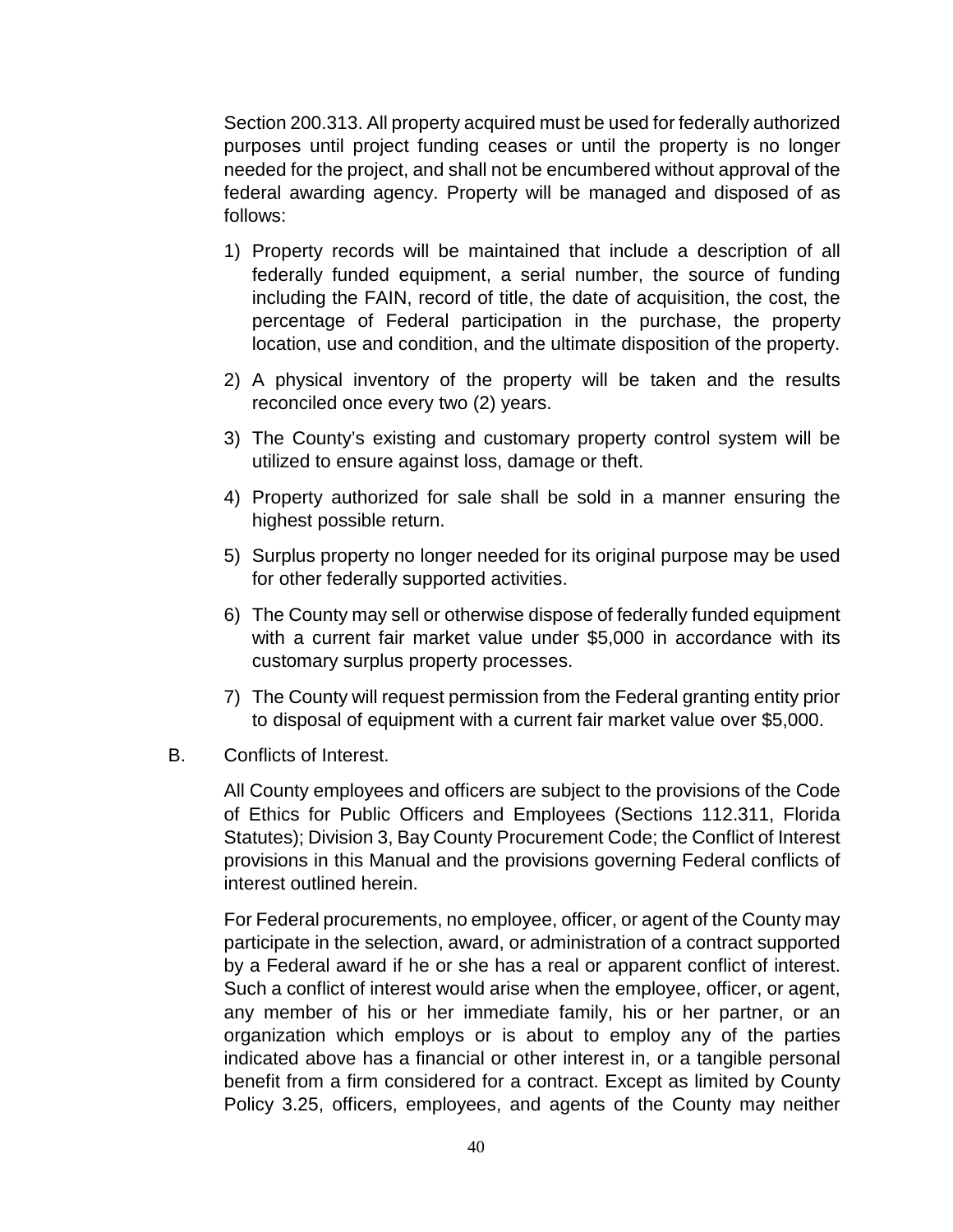Section 200.313. All property acquired must be used for federally authorized purposes until project funding ceases or until the property is no longer needed for the project, and shall not be encumbered without approval of the federal awarding agency. Property will be managed and disposed of as follows:

- 1) Property records will be maintained that include a description of all federally funded equipment, a serial number, the source of funding including the FAIN, record of title, the date of acquisition, the cost, the percentage of Federal participation in the purchase, the property location, use and condition, and the ultimate disposition of the property.
- 2) A physical inventory of the property will be taken and the results reconciled once every two (2) years.
- 3) The County's existing and customary property control system will be utilized to ensure against loss, damage or theft.
- 4) Property authorized for sale shall be sold in a manner ensuring the highest possible return.
- 5) Surplus property no longer needed for its original purpose may be used for other federally supported activities.
- 6) The County may sell or otherwise dispose of federally funded equipment with a current fair market value under \$5,000 in accordance with its customary surplus property processes.
- 7) The County will request permission from the Federal granting entity prior to disposal of equipment with a current fair market value over \$5,000.

#### B. Conflicts of Interest.

All County employees and officers are subject to the provisions of the Code of Ethics for Public Officers and Employees (Sections 112.311, Florida Statutes); Division 3, Bay County Procurement Code; the Conflict of Interest provisions in this Manual and the provisions governing Federal conflicts of interest outlined herein.

For Federal procurements, no employee, officer, or agent of the County may participate in the selection, award, or administration of a contract supported by a Federal award if he or she has a real or apparent conflict of interest. Such a conflict of interest would arise when the employee, officer, or agent, any member of his or her immediate family, his or her partner, or an organization which employs or is about to employ any of the parties indicated above has a financial or other interest in, or a tangible personal benefit from a firm considered for a contract. Except as limited by County Policy 3.25, officers, employees, and agents of the County may neither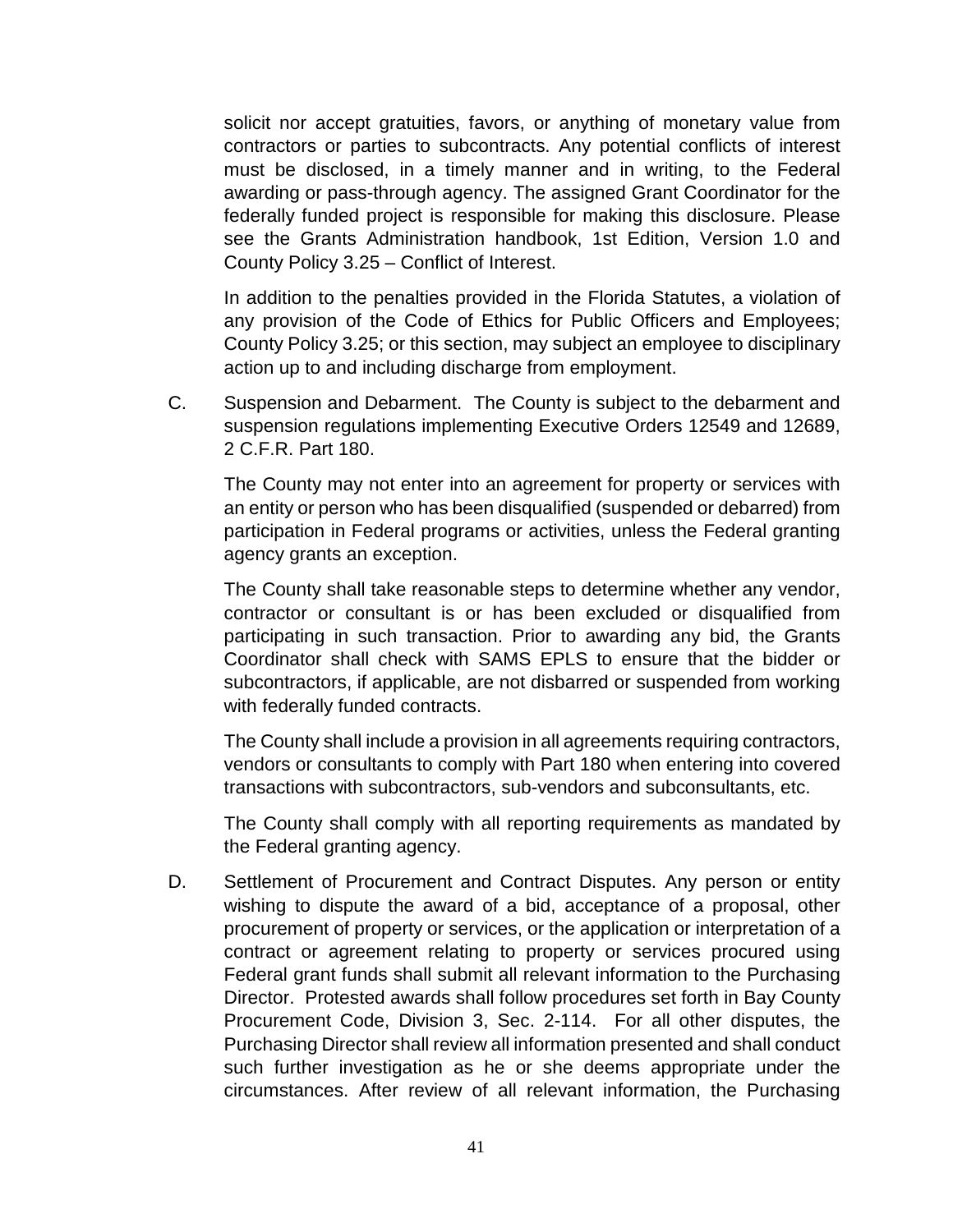solicit nor accept gratuities, favors, or anything of monetary value from contractors or parties to subcontracts. Any potential conflicts of interest must be disclosed, in a timely manner and in writing, to the Federal awarding or pass-through agency. The assigned Grant Coordinator for the federally funded project is responsible for making this disclosure. Please see the Grants Administration handbook, 1st Edition, Version 1.0 and County Policy 3.25 – Conflict of Interest.

In addition to the penalties provided in the Florida Statutes, a violation of any provision of the Code of Ethics for Public Officers and Employees; County Policy 3.25; or this section, may subject an employee to disciplinary action up to and including discharge from employment.

C. Suspension and Debarment. The County is subject to the debarment and suspension regulations implementing Executive Orders 12549 and 12689, 2 C.F.R. Part 180.

The County may not enter into an agreement for property or services with an entity or person who has been disqualified (suspended or debarred) from participation in Federal programs or activities, unless the Federal granting agency grants an exception.

The County shall take reasonable steps to determine whether any vendor, contractor or consultant is or has been excluded or disqualified from participating in such transaction. Prior to awarding any bid, the Grants Coordinator shall check with SAMS EPLS to ensure that the bidder or subcontractors, if applicable, are not disbarred or suspended from working with federally funded contracts.

The County shall include a provision in all agreements requiring contractors, vendors or consultants to comply with Part 180 when entering into covered transactions with subcontractors, sub-vendors and subconsultants, etc.

The County shall comply with all reporting requirements as mandated by the Federal granting agency.

D. Settlement of Procurement and Contract Disputes. Any person or entity wishing to dispute the award of a bid, acceptance of a proposal, other procurement of property or services, or the application or interpretation of a contract or agreement relating to property or services procured using Federal grant funds shall submit all relevant information to the Purchasing Director. Protested awards shall follow procedures set forth in Bay County Procurement Code, Division 3, Sec. 2-114. For all other disputes, the Purchasing Director shall review all information presented and shall conduct such further investigation as he or she deems appropriate under the circumstances. After review of all relevant information, the Purchasing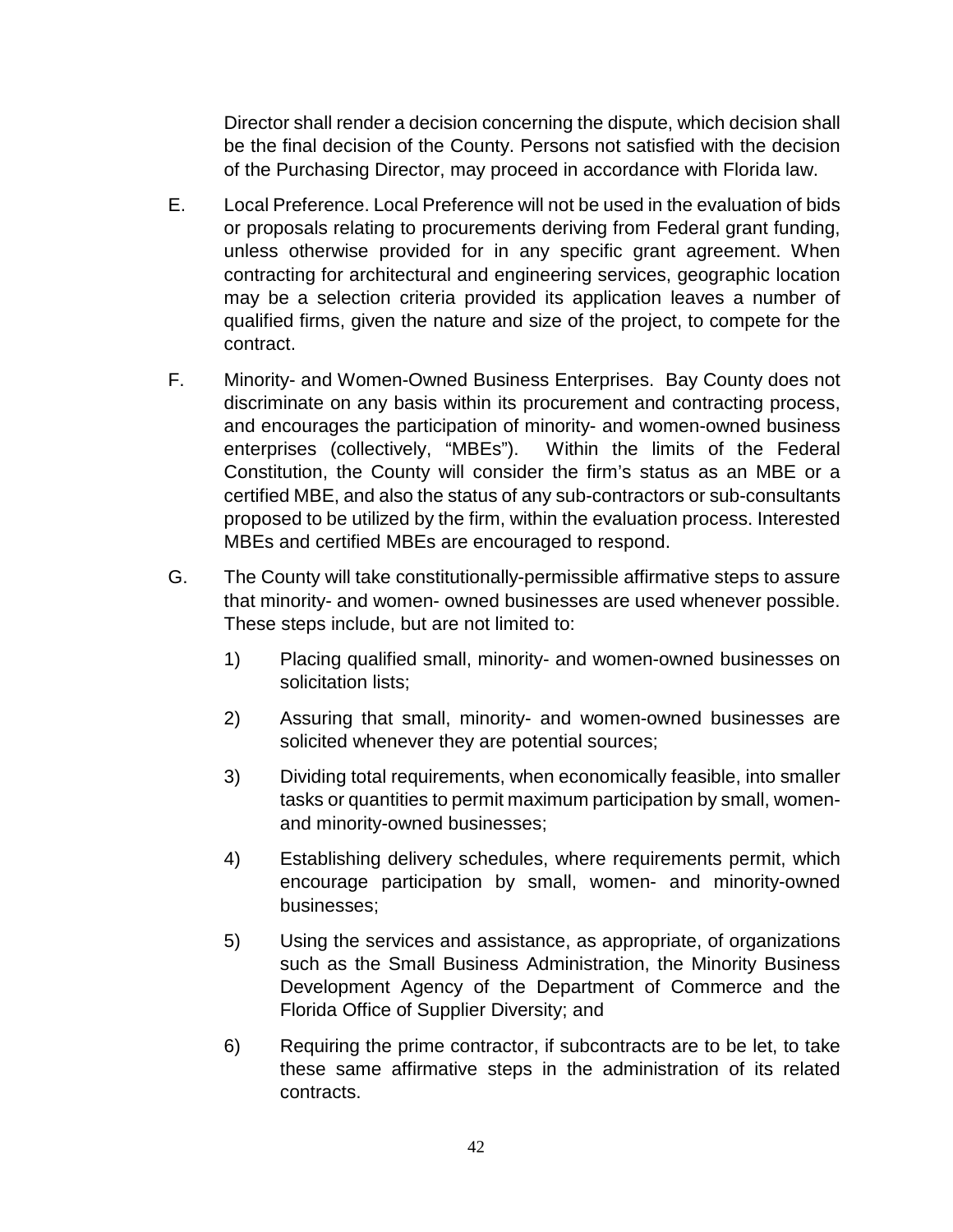Director shall render a decision concerning the dispute, which decision shall be the final decision of the County. Persons not satisfied with the decision of the Purchasing Director, may proceed in accordance with Florida law.

- E. Local Preference. Local Preference will not be used in the evaluation of bids or proposals relating to procurements deriving from Federal grant funding, unless otherwise provided for in any specific grant agreement. When contracting for architectural and engineering services, geographic location may be a selection criteria provided its application leaves a number of qualified firms, given the nature and size of the project, to compete for the contract.
- F. Minority- and Women-Owned Business Enterprises. Bay County does not discriminate on any basis within its procurement and contracting process, and encourages the participation of minority- and women-owned business enterprises (collectively, "MBEs"). Within the limits of the Federal Constitution, the County will consider the firm's status as an MBE or a certified MBE, and also the status of any sub-contractors or sub-consultants proposed to be utilized by the firm, within the evaluation process. Interested MBEs and certified MBEs are encouraged to respond.
- G. The County will take constitutionally-permissible affirmative steps to assure that minority- and women- owned businesses are used whenever possible. These steps include, but are not limited to:
	- 1) Placing qualified small, minority- and women-owned businesses on solicitation lists;
	- 2) Assuring that small, minority- and women-owned businesses are solicited whenever they are potential sources;
	- 3) Dividing total requirements, when economically feasible, into smaller tasks or quantities to permit maximum participation by small, womenand minority-owned businesses;
	- 4) Establishing delivery schedules, where requirements permit, which encourage participation by small, women- and minority-owned businesses;
	- 5) Using the services and assistance, as appropriate, of organizations such as the Small Business Administration, the Minority Business Development Agency of the Department of Commerce and the Florida Office of Supplier Diversity; and
	- 6) Requiring the prime contractor, if subcontracts are to be let, to take these same affirmative steps in the administration of its related contracts.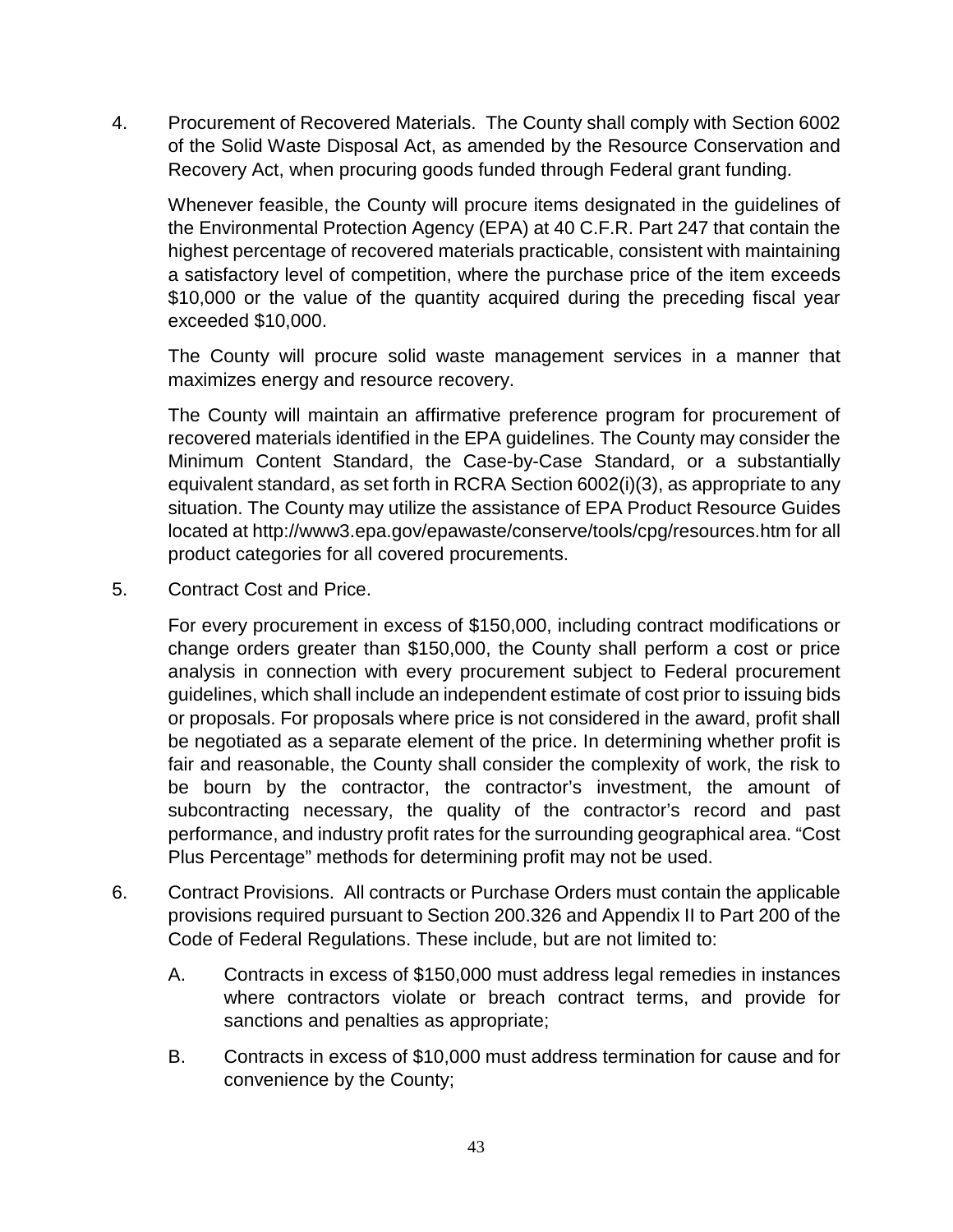4. Procurement of Recovered Materials. The County shall comply with Section 6002 of the Solid Waste Disposal Act, as amended by the Resource Conservation and Recovery Act, when procuring goods funded through Federal grant funding.

Whenever feasible, the County will procure items designated in the guidelines of the Environmental Protection Agency (EPA) at 40 C.F.R. Part 247 that contain the highest percentage of recovered materials practicable, consistent with maintaining a satisfactory level of competition, where the purchase price of the item exceeds \$10,000 or the value of the quantity acquired during the preceding fiscal year exceeded \$10,000.

The County will procure solid waste management services in a manner that maximizes energy and resource recovery.

The County will maintain an affirmative preference program for procurement of recovered materials identified in the EPA guidelines. The County may consider the Minimum Content Standard, the Case-by-Case Standard, or a substantially equivalent standard, as set forth in RCRA Section 6002(i)(3), as appropriate to any situation. The County may utilize the assistance of EPA Product Resource Guides located at http://www3.epa.gov/epawaste/conserve/tools/cpg/resources.htm for all product categories for all covered procurements.

5. Contract Cost and Price.

For every procurement in excess of \$150,000, including contract modifications or change orders greater than \$150,000, the County shall perform a cost or price analysis in connection with every procurement subject to Federal procurement guidelines, which shall include an independent estimate of cost prior to issuing bids or proposals. For proposals where price is not considered in the award, profit shall be negotiated as a separate element of the price. In determining whether profit is fair and reasonable, the County shall consider the complexity of work, the risk to be bourn by the contractor, the contractor's investment, the amount of subcontracting necessary, the quality of the contractor's record and past performance, and industry profit rates for the surrounding geographical area. "Cost Plus Percentage" methods for determining profit may not be used.

- 6. Contract Provisions. All contracts or Purchase Orders must contain the applicable provisions required pursuant to Section 200.326 and Appendix II to Part 200 of the Code of Federal Regulations. These include, but are not limited to:
	- A. Contracts in excess of \$150,000 must address legal remedies in instances where contractors violate or breach contract terms, and provide for sanctions and penalties as appropriate;
	- B. Contracts in excess of \$10,000 must address termination for cause and for convenience by the County;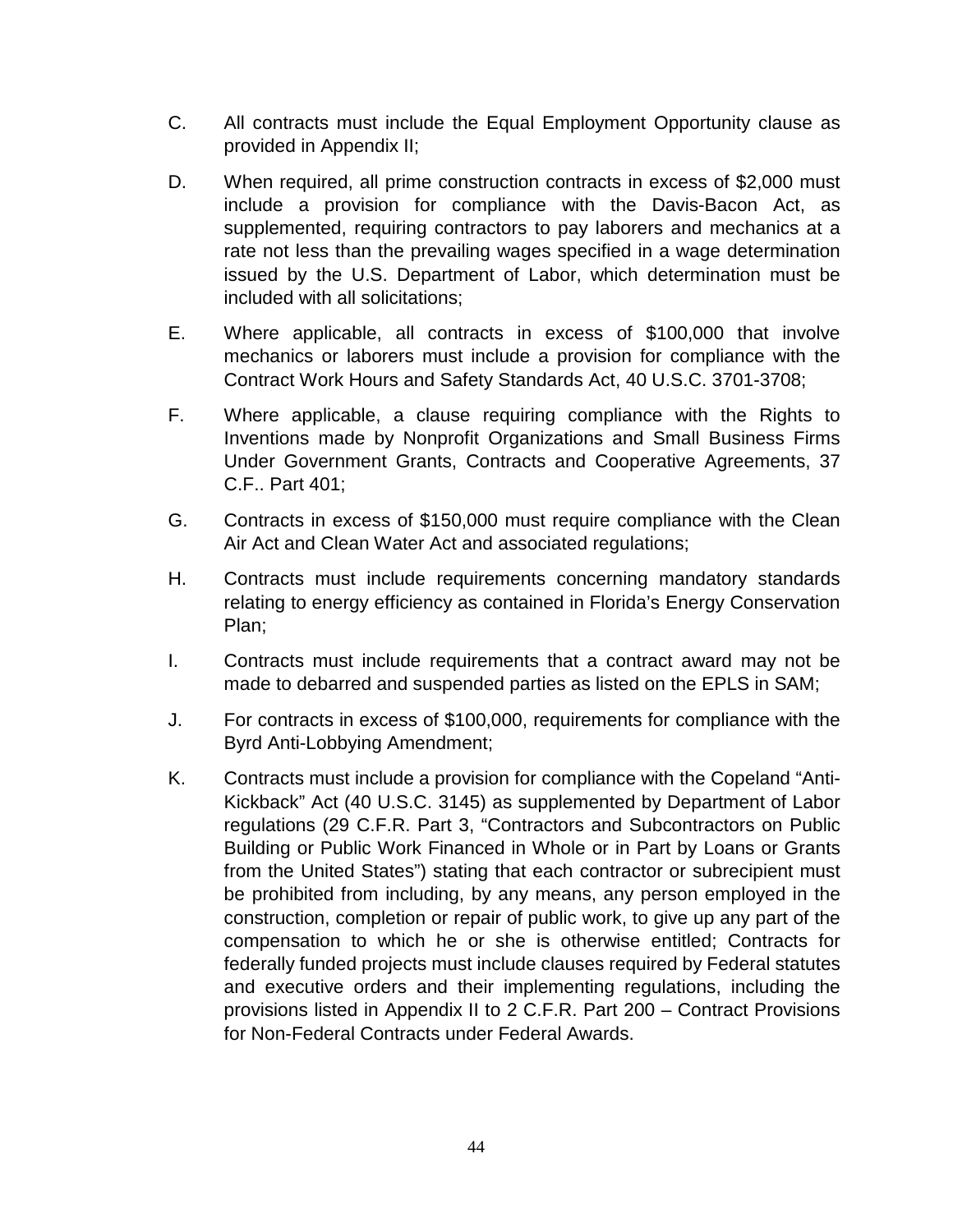- C. All contracts must include the Equal Employment Opportunity clause as provided in Appendix II;
- D. When required, all prime construction contracts in excess of \$2,000 must include a provision for compliance with the Davis-Bacon Act, as supplemented, requiring contractors to pay laborers and mechanics at a rate not less than the prevailing wages specified in a wage determination issued by the U.S. Department of Labor, which determination must be included with all solicitations;
- E. Where applicable, all contracts in excess of \$100,000 that involve mechanics or laborers must include a provision for compliance with the Contract Work Hours and Safety Standards Act, 40 U.S.C. 3701-3708;
- F. Where applicable, a clause requiring compliance with the Rights to Inventions made by Nonprofit Organizations and Small Business Firms Under Government Grants, Contracts and Cooperative Agreements, 37 C.F.. Part 401;
- G. Contracts in excess of \$150,000 must require compliance with the Clean Air Act and Clean Water Act and associated regulations;
- H. Contracts must include requirements concerning mandatory standards relating to energy efficiency as contained in Florida's Energy Conservation Plan;
- I. Contracts must include requirements that a contract award may not be made to debarred and suspended parties as listed on the EPLS in SAM;
- J. For contracts in excess of \$100,000, requirements for compliance with the Byrd Anti-Lobbying Amendment;
- K. Contracts must include a provision for compliance with the Copeland "Anti-Kickback" Act (40 U.S.C. 3145) as supplemented by Department of Labor regulations (29 C.F.R. Part 3, "Contractors and Subcontractors on Public Building or Public Work Financed in Whole or in Part by Loans or Grants from the United States") stating that each contractor or subrecipient must be prohibited from including, by any means, any person employed in the construction, completion or repair of public work, to give up any part of the compensation to which he or she is otherwise entitled; Contracts for federally funded projects must include clauses required by Federal statutes and executive orders and their implementing regulations, including the provisions listed in Appendix II to 2 C.F.R. Part 200 – Contract Provisions for Non-Federal Contracts under Federal Awards.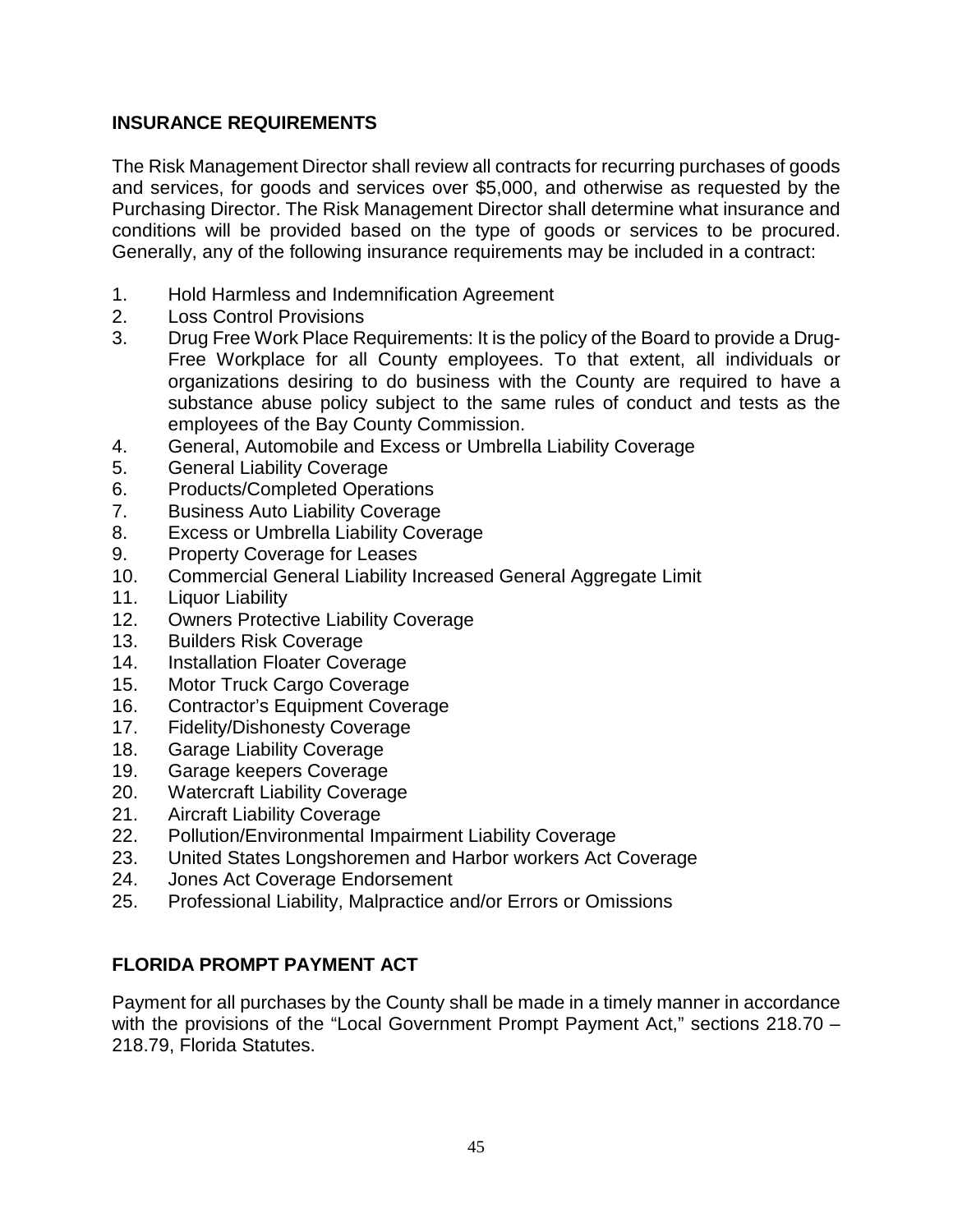## **INSURANCE REQUIREMENTS**

The Risk Management Director shall review all contracts for recurring purchases of goods and services, for goods and services over \$5,000, and otherwise as requested by the Purchasing Director. The Risk Management Director shall determine what insurance and conditions will be provided based on the type of goods or services to be procured. Generally, any of the following insurance requirements may be included in a contract:

- 1. Hold Harmless and Indemnification Agreement
- 2. Loss Control Provisions
- 3. Drug Free Work Place Requirements: It is the policy of the Board to provide a Drug-Free Workplace for all County employees. To that extent, all individuals or organizations desiring to do business with the County are required to have a substance abuse policy subject to the same rules of conduct and tests as the employees of the Bay County Commission.
- 4. General, Automobile and Excess or Umbrella Liability Coverage
- 5. General Liability Coverage
- 6. Products/Completed Operations
- 7. Business Auto Liability Coverage
- 8. Excess or Umbrella Liability Coverage
- 9. Property Coverage for Leases
- 10. Commercial General Liability Increased General Aggregate Limit
- 11. Liquor Liability
- 12. Owners Protective Liability Coverage
- 13. Builders Risk Coverage
- 14. Installation Floater Coverage
- 15. Motor Truck Cargo Coverage
- 16. Contractor's Equipment Coverage
- 17. Fidelity/Dishonesty Coverage
- 18. Garage Liability Coverage
- 19. Garage keepers Coverage
- 20. Watercraft Liability Coverage
- 21. Aircraft Liability Coverage
- 22. Pollution/Environmental Impairment Liability Coverage
- 23. United States Longshoremen and Harbor workers Act Coverage
- 24. Jones Act Coverage Endorsement
- 25. Professional Liability, Malpractice and/or Errors or Omissions

# **FLORIDA PROMPT PAYMENT ACT**

Payment for all purchases by the County shall be made in a timely manner in accordance with the provisions of the "Local Government Prompt Payment Act," sections 218.70 -218.79, Florida Statutes.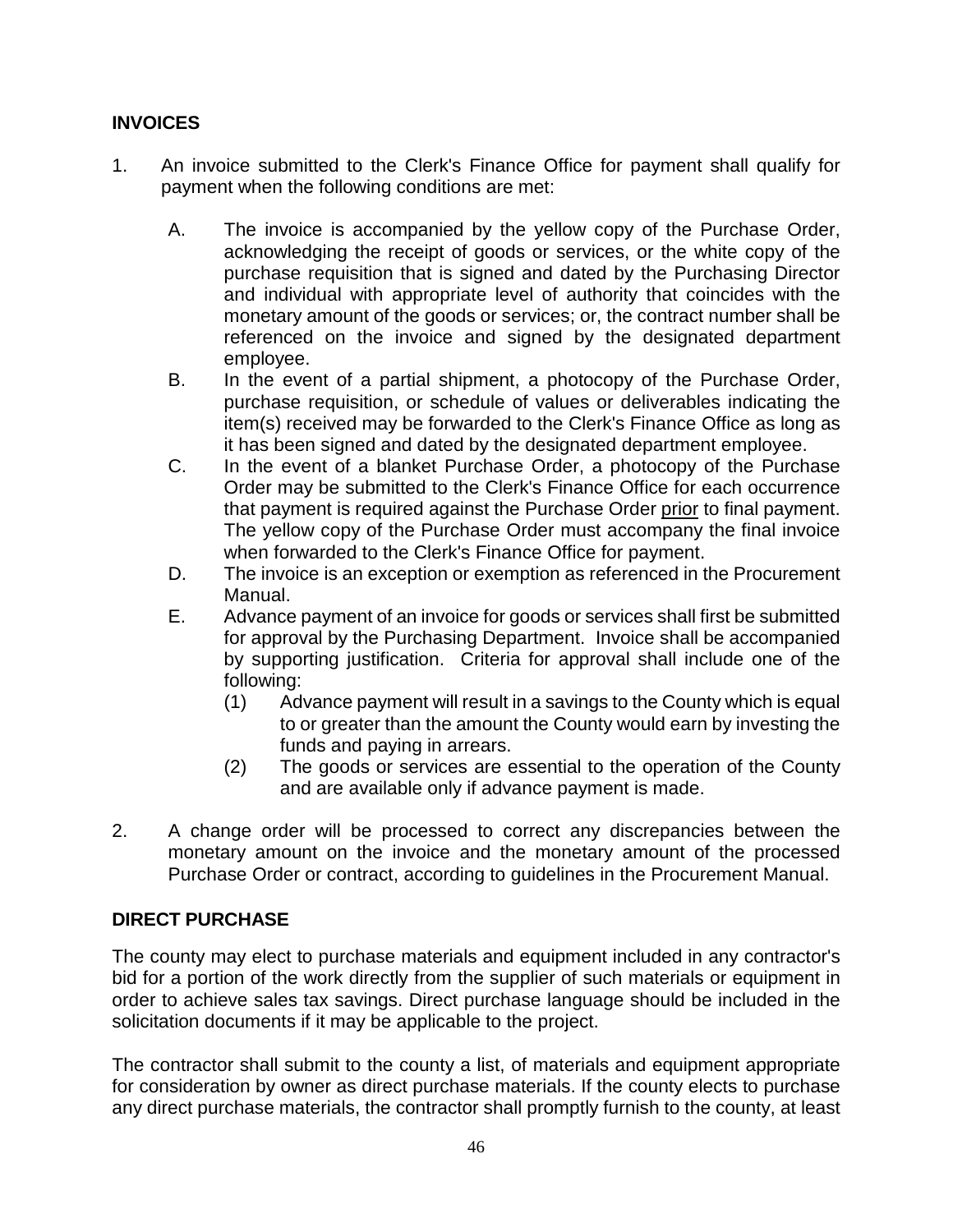# **INVOICES**

- 1. An invoice submitted to the Clerk's Finance Office for payment shall qualify for payment when the following conditions are met:
	- A. The invoice is accompanied by the yellow copy of the Purchase Order, acknowledging the receipt of goods or services, or the white copy of the purchase requisition that is signed and dated by the Purchasing Director and individual with appropriate level of authority that coincides with the monetary amount of the goods or services; or, the contract number shall be referenced on the invoice and signed by the designated department employee.
	- B. In the event of a partial shipment, a photocopy of the Purchase Order, purchase requisition, or schedule of values or deliverables indicating the item(s) received may be forwarded to the Clerk's Finance Office as long as it has been signed and dated by the designated department employee.
	- C. In the event of a blanket Purchase Order, a photocopy of the Purchase Order may be submitted to the Clerk's Finance Office for each occurrence that payment is required against the Purchase Order prior to final payment. The yellow copy of the Purchase Order must accompany the final invoice when forwarded to the Clerk's Finance Office for payment.
	- D. The invoice is an exception or exemption as referenced in the Procurement Manual.
	- E. Advance payment of an invoice for goods or services shall first be submitted for approval by the Purchasing Department. Invoice shall be accompanied by supporting justification. Criteria for approval shall include one of the following:
		- (1) Advance payment will result in a savings to the County which is equal to or greater than the amount the County would earn by investing the funds and paying in arrears.
		- (2) The goods or services are essential to the operation of the County and are available only if advance payment is made.
- 2. A change order will be processed to correct any discrepancies between the monetary amount on the invoice and the monetary amount of the processed Purchase Order or contract, according to guidelines in the Procurement Manual.

# **DIRECT PURCHASE**

The county may elect to purchase materials and equipment included in any contractor's bid for a portion of the work directly from the supplier of such materials or equipment in order to achieve sales tax savings. Direct purchase language should be included in the solicitation documents if it may be applicable to the project.

The contractor shall submit to the county a list, of materials and equipment appropriate for consideration by owner as direct purchase materials. If the county elects to purchase any direct purchase materials, the contractor shall promptly furnish to the county, at least